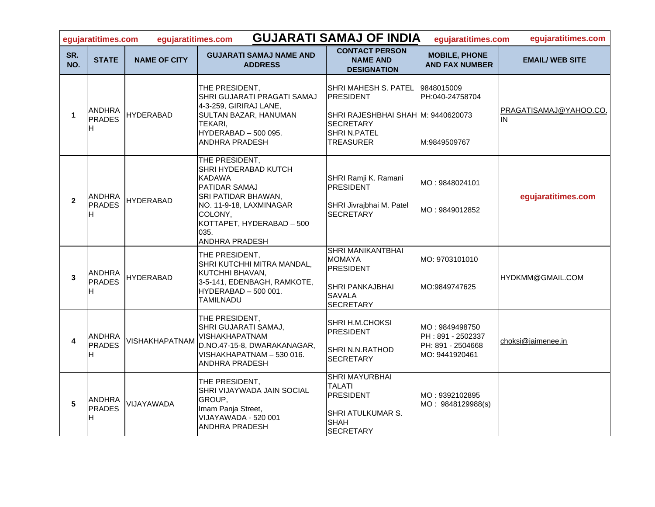|                | <b>GUJARATI SAMAJ OF INDIA</b><br>egujaratitimes.com<br>egujaratitimes.com<br>equjaratitimes.com<br>egujaratitimes.com |                     |                                                                                                                                                                                                     |                                                                                                                                        |                                                                            |                                      |  |  |  |
|----------------|------------------------------------------------------------------------------------------------------------------------|---------------------|-----------------------------------------------------------------------------------------------------------------------------------------------------------------------------------------------------|----------------------------------------------------------------------------------------------------------------------------------------|----------------------------------------------------------------------------|--------------------------------------|--|--|--|
| SR.<br>NO.     | <b>STATE</b>                                                                                                           | <b>NAME OF CITY</b> | <b>GUJARATI SAMAJ NAME AND</b><br><b>ADDRESS</b>                                                                                                                                                    | <b>CONTACT PERSON</b><br><b>NAME AND</b><br><b>DESIGNATION</b>                                                                         | <b>MOBILE, PHONE</b><br><b>AND FAX NUMBER</b>                              | <b>EMAIL/ WEB SITE</b>               |  |  |  |
| 1              | ANDHRA<br>PRADES<br>H                                                                                                  | <b>HYDERABAD</b>    | THE PRESIDENT,<br>SHRI GUJARATI PRAGATI SAMAJ<br>4-3-259, GIRIRAJ LANE,<br>SULTAN BAZAR, HANUMAN<br>TEKARI.<br>HYDERABAD - 500 095.<br><b>ANDHRA PRADESH</b>                                        | SHRI MAHESH S. PATEL<br><b>PRESIDENT</b><br>SHRI RAJESHBHAI SHAH M: 9440620073<br><b>SECRETARY</b><br><b>SHRI N.PATEL</b><br>TREASURER | 9848015009<br>PH:040-24758704<br>M:9849509767                              | PRAGATISAMAJ@YAHOO.CO.<br>${\sf IN}$ |  |  |  |
| $\overline{2}$ | <b>ANDHRA</b><br><b>PRADES</b><br>H                                                                                    | <b>HYDERABAD</b>    | THE PRESIDENT,<br>SHRI HYDERABAD KUTCH<br><b>KADAWA</b><br><b>PATIDAR SAMAJ</b><br>SRI PATIDAR BHAWAN,<br>NO. 11-9-18, LAXMINAGAR<br>COLONY,<br>KOTTAPET, HYDERABAD - 500<br>035.<br>ANDHRA PRADESH | SHRI Ramji K. Ramani<br><b>PRESIDENT</b><br>SHRI Jivrajbhai M. Patel<br><b>SECRETARY</b>                                               | MO: 9848024101<br>MO: 9849012852                                           | egujaratitimes.com                   |  |  |  |
| 3              | ANDHRA<br>PRADES<br>H                                                                                                  | <b>HYDERABAD</b>    | THE PRESIDENT,<br>SHRI KUTCHHI MITRA MANDAL,<br>KUTCHHI BHAVAN,<br>3-5-141, EDENBAGH, RAMKOTE,<br>HYDERABAD - 500 001.<br>TAMILNADU                                                                 | <b>SHRI MANIKANTBHAI</b><br><b>MOMAYA</b><br><b>PRESIDENT</b><br>SHRI PANKAJBHAI<br><b>SAVALA</b><br><b>SECRETARY</b>                  | MO: 9703101010<br>IMO:9849747625                                           | HYDKMM@GMAIL.COM                     |  |  |  |
|                | <b>ANDHRA</b><br>PRADES<br>H.                                                                                          | VISHAKHAPATNAM      | THE PRESIDENT,<br>SHRI GUJARATI SAMAJ,<br>VISHAKHAPATNAM<br>D.NO.47-15-8, DWARAKANAGAR,<br>VISHAKHAPATNAM - 530 016.<br>ANDHRA PRADESH                                                              | SHRI H.M.CHOKSI<br><b>PRESIDENT</b><br>SHRI N.N.RATHOD<br><b>SECRETARY</b>                                                             | MO: 9849498750<br>PH: 891 - 2502337<br>PH: 891 - 2504668<br>MO: 9441920461 | choksi@jaimenee.in                   |  |  |  |
| 5              | ANDHRA<br>PRADES<br>H                                                                                                  | VIJAYAWADA          | THE PRESIDENT,<br>SHRI VIJAYWADA JAIN SOCIAL<br>GROUP,<br>Imam Panja Street,<br>VIJAYAWADA - 520 001<br><b>ANDHRA PRADESH</b>                                                                       | SHRI MAYURBHAI<br><b>TALATI</b><br><b>PRESIDENT</b><br>SHRI ATULKUMAR S.<br><b>SHAH</b><br><b>SECRETARY</b>                            | MO : 9392102895<br>MO: 9848129988(s)                                       |                                      |  |  |  |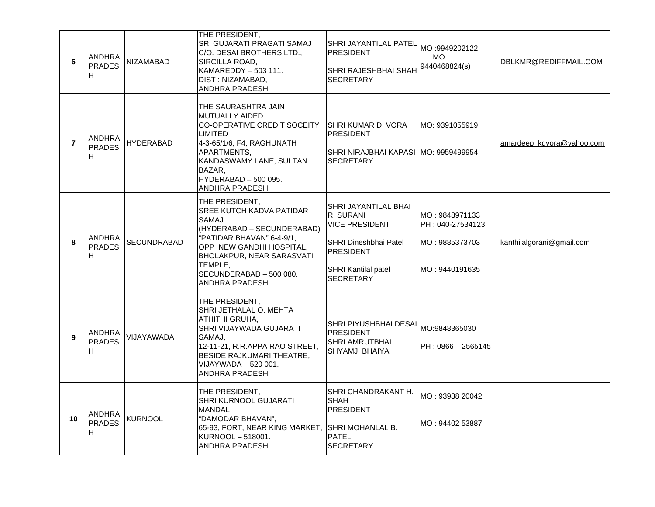| 6              | <b>ANDHRA</b><br><b>PRADES</b><br>H | <b>NIZAMABAD</b>   | THE PRESIDENT,<br>SRI GUJARATI PRAGATI SAMAJ<br>C/O. DESAI BROTHERS LTD.,<br>SIRCILLA ROAD,<br>KAMAREDDY - 503 111.<br>DIST: NIZAMABAD,<br>ANDHRA PRADESH                                                                       | SHRI JAYANTILAL PATEL<br><b>PRESIDENT</b><br>SHRI RAJESHBHAI SHAH<br><b>SECRETARY</b>                                                              | MO:9949202122<br>MO :<br>9440468824(s)                                 | DBLKMR@REDIFFMAIL.COM     |
|----------------|-------------------------------------|--------------------|---------------------------------------------------------------------------------------------------------------------------------------------------------------------------------------------------------------------------------|----------------------------------------------------------------------------------------------------------------------------------------------------|------------------------------------------------------------------------|---------------------------|
| $\overline{7}$ | <b>ANDHRA</b><br><b>PRADES</b><br>н | <b>HYDERABAD</b>   | THE SAURASHTRA JAIN<br>MUTUALLY AIDED<br>CO-OPERATIVE CREDIT SOCEITY<br>LIMITED<br>4-3-65/1/6, F4, RAGHUNATH<br>APARTMENTS,<br>KANDASWAMY LANE, SULTAN<br>BAZAR,<br><b>HYDERABAD - 500 095.</b><br>ANDHRA PRADESH               | SHRI KUMAR D. VORA<br><b>PRESIDENT</b><br>SHRI NIRAJBHAI KAPASI  MO: 9959499954<br><b>SECRETARY</b>                                                | MO: 9391055919                                                         | amardeep kdvora@yahoo.com |
| 8              | <b>ANDHRA</b><br><b>PRADES</b><br>H | <b>SECUNDRABAD</b> | THE PRESIDENT,<br>SREE KUTCH KADVA PATIDAR<br>SAMAJ<br>(HYDERABAD - SECUNDERABAD)<br>"PATIDAR BHAVAN" 6-4-9/1,<br>OPP NEW GANDHI HOSPITAL,<br>BHOLAKPUR, NEAR SARASVATI<br>TEMPLE,<br>SECUNDERABAD - 500 080.<br>ANDHRA PRADESH | SHRI JAYANTILAL BHAI<br>R. SURANI<br>VICE PRESIDENT<br><b>SHRI Dineshbhai Patel</b><br><b>PRESIDENT</b><br><b>SHRI Kantilal patel</b><br>SECRETARY | MO: 9848971133<br>PH: 040-27534123<br>MO: 9885373703<br>MO: 9440191635 | kanthilalgorani@gmail.com |
| 9              | <b>ANDHRA</b><br><b>PRADES</b><br>H | VIJAYAWADA         | THE PRESIDENT,<br>SHRI JETHALAL O. MEHTA<br>ATHITHI GRUHA,<br>SHRI VIJAYWADA GUJARATI<br>SAMAJ.<br>12-11-21, R.R.APPA RAO STREET,<br><b>BESIDE RAJKUMARI THEATRE,</b><br>VIJAYWADA - 520 001.<br>ANDHRA PRADESH                 | SHRI PIYUSHBHAI DESAI MO:9848365030<br><b>PRESIDENT</b><br>SHRI AMRUTBHAI<br>SHYAMJI BHAIYA                                                        | $PH: 0866 - 2565145$                                                   |                           |
| 10             | <b>ANDHRA</b><br><b>PRADES</b><br>H | KURNOOL            | THE PRESIDENT,<br>SHRI KURNOOL GUJARATI<br>MANDAL<br>"DAMODAR BHAVAN",<br>65-93, FORT, NEAR KING MARKET, SHRI MOHANLAL B.<br>KURNOOL - 518001.<br>ANDHRA PRADESH                                                                | SHRI CHANDRAKANT H.<br><b>SHAH</b><br><b>PRESIDENT</b><br><b>PATEL</b><br><b>SECRETARY</b>                                                         | MO: 93938 20042<br>MO: 94402 53887                                     |                           |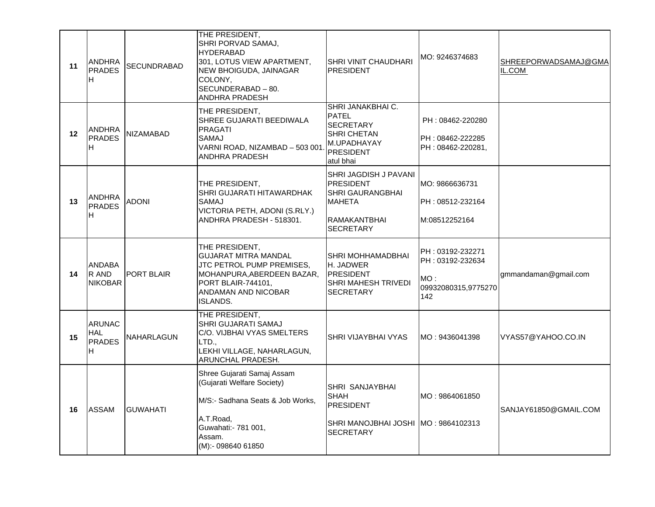| 11      | <b>ANDHRA</b><br><b>PRADES</b><br>H               | SECUNDRABAD       | THE PRESIDENT,<br>SHRI PORVAD SAMAJ,<br>HYDERABAD<br>301, LOTUS VIEW APARTMENT,<br>NEW BHOIGUDA, JAINAGAR<br>COLONY,<br>SECUNDERABAD - 80.<br>ANDHRA PRADESH      | SHRI VINIT CHAUDHARI<br><b>IPRESIDENT</b>                                                                                                 | MO: 9246374683                                                            | SHREEPORWADSAMAJ@GMA<br>IL.COM |
|---------|---------------------------------------------------|-------------------|-------------------------------------------------------------------------------------------------------------------------------------------------------------------|-------------------------------------------------------------------------------------------------------------------------------------------|---------------------------------------------------------------------------|--------------------------------|
| $12 \,$ | <b>ANDHRA</b><br><b>PRADES</b><br>H               | NIZAMABAD         | THE PRESIDENT,<br>SHREE GUJARATI BEEDIWALA<br><b>PRAGATI</b><br>SAMAJ<br>VARNI ROAD, NIZAMBAD - 503 001<br><b>ANDHRA PRADESH</b>                                  | SHRI JANAKBHAI C.<br><b>PATEL</b><br><b>SECRETARY</b><br>ISHRI CHETAN<br>M.UPADHAYAY<br>PRESIDENT<br>latul bhai                           | PH: 08462-220280<br>PH: 08462-222285<br>PH: 08462-220281,                 |                                |
| 13      | <b>ANDHRA</b><br><b>PRADES</b><br>H               | <b>ADONI</b>      | THE PRESIDENT,<br>SHRI GUJARATI HITAWARDHAK<br>SAMAJ<br>VICTORIA PETH, ADONI (S.RLY.)<br>ANDHRA PRADESH - 518301.                                                 | <b>SHRI JAGDISH J PAVANI</b><br><b>IPRESIDENT</b><br><b>SHRI GAURANGBHAI</b><br><b>MAHETA</b><br><b>IRAMAKANTBHAI</b><br><b>SECRETARY</b> | MO: 9866636731<br>PH: 08512-232164<br>M:08512252164                       |                                |
| 14      | <b>ANDABA</b><br>R AND<br><b>NIKOBAR</b>          | <b>PORT BLAIR</b> | THE PRESIDENT,<br><b>GUJARAT MITRA MANDAL</b><br>JTC PETROL PUMP PREMISES,<br>MOHANPURA, ABERDEEN BAZAR,<br>PORT BLAIR-744101.<br>ANDAMAN AND NICOBAR<br>ISLANDS. | SHRI MOHHAMADBHAI<br>H. JADWER<br><b>PRESIDENT</b><br><b>SHRI MAHESH TRIVEDI</b><br><b>SECRETARY</b>                                      | PH: 03192-232271<br>PH: 03192-232634<br>MO:<br>09932080315,9775270<br>142 | gmmandaman@gmail.com           |
| 15      | <b>ARUNAC</b><br><b>HAL</b><br><b>PRADES</b><br>H | NAHARLAGUN        | THE PRESIDENT.<br>SHRI GUJARATI SAMAJ<br>C/O. VIJBHAI VYAS SMELTERS<br>LTD.,<br>LEKHI VILLAGE, NAHARLAGUN,<br>ARUNCHAL PRADESH.                                   | <b>SHRI VIJAYBHAI VYAS</b>                                                                                                                | MO: 9436041398                                                            | VYAS57@YAHOO.CO.IN             |
| 16      | <b>ASSAM</b>                                      | <b>GUWAHATI</b>   | Shree Gujarati Samaj Assam<br>(Gujarati Welfare Society)<br>M/S:- Sadhana Seats & Job Works,<br>A.T.Road,<br>Guwahati:- 781 001,<br>Assam.<br>(M):- 098640 61850  | <b>SHRI SANJAYBHAI</b><br><b>SHAH</b><br>PRESIDENT<br>SHRI MANOJBHAI JOSHI MO: 9864102313<br><b>SECRETARY</b>                             | MO: 9864061850                                                            | SANJAY61850@GMAIL.COM          |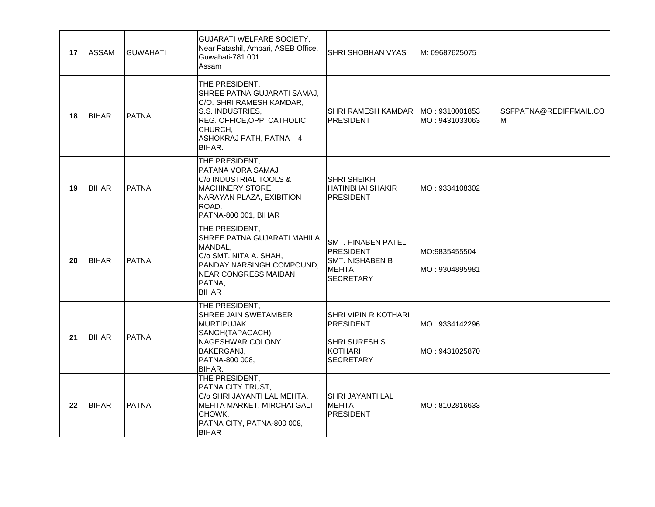| 17 | <b>ASSAM</b> | <b>GUWAHATI</b> | <b>GUJARATI WELFARE SOCIETY,</b><br>Near Fatashil, Ambari, ASEB Office,<br>Guwahati-781 001.<br>Assam                                                                         | <b>SHRI SHOBHAN VYAS</b>                                                                        | M: 09687625075                   |                             |
|----|--------------|-----------------|-------------------------------------------------------------------------------------------------------------------------------------------------------------------------------|-------------------------------------------------------------------------------------------------|----------------------------------|-----------------------------|
| 18 | <b>BIHAR</b> | <b>PATNA</b>    | THE PRESIDENT,<br>SHREE PATNA GUJARATI SAMAJ,<br>C/O. SHRI RAMESH KAMDAR,<br>S.S. INDUSTRIES,<br>REG. OFFICE, OPP. CATHOLIC<br>CHURCH,<br>ASHOKRAJ PATH, PATNA - 4,<br>BIHAR. | SHRI RAMESH KAMDAR   MO : 9310001853<br><b>IPRESIDENT</b>                                       | MO: 9431033063                   | SSFPATNA@REDIFFMAIL.CO<br>M |
| 19 | <b>BIHAR</b> | <b>PATNA</b>    | THE PRESIDENT,<br>PATANA VORA SAMAJ<br>C/o INDUSTRIAL TOOLS &<br><b>MACHINERY STORE,</b><br>NARAYAN PLAZA, EXIBITION<br>ROAD.<br>PATNA-800 001, BIHAR                         | ISHRI SHEIKH<br> HATINBHAI SHAKIR <br><b>PRESIDENT</b>                                          | MO: 9334108302                   |                             |
| 20 | <b>BIHAR</b> | <b>PATNA</b>    | THE PRESIDENT,<br>SHREE PATNA GUJARATI MAHILA<br>MANDAL,<br>C/o SMT. NITA A. SHAH,<br>PANDAY NARSINGH COMPOUND,<br>NEAR CONGRESS MAIDAN,<br>PATNA,<br><b>BIHAR</b>            | SMT. HINABEN PATEL<br><b>IPRESIDENT</b><br> SMT. NISHABEN B<br><b>MEHTA</b><br><b>SECRETARY</b> | MO:9835455504<br>MO: 9304895981  |                             |
| 21 | <b>BIHAR</b> | <b>PATNA</b>    | THE PRESIDENT,<br>SHREE JAIN SWETAMBER<br><b>MURTIPUJAK</b><br>SANGH(TAPAGACH)<br>NAGESHWAR COLONY<br>BAKERGANJ,<br>PATNA-800 008,<br>BIHAR.                                  | ISHRI VIPIN R KOTHARI<br>IPRESIDENT<br> SHRI SURESH S<br>IKOTHARI<br><b>SECRETARY</b>           | MO: 9334142296<br>MO: 9431025870 |                             |
| 22 | <b>BIHAR</b> | <b>PATNA</b>    | THE PRESIDENT,<br>PATNA CITY TRUST,<br>C/o SHRI JAYANTI LAL MEHTA,<br>MEHTA MARKET, MIRCHAI GALI<br>CHOWK,<br>PATNA CITY, PATNA-800 008,<br><b>BIHAR</b>                      | ISHRI JAYANTI LAL<br><b>MEHTA</b><br>PRESIDENT                                                  | MO: 8102816633                   |                             |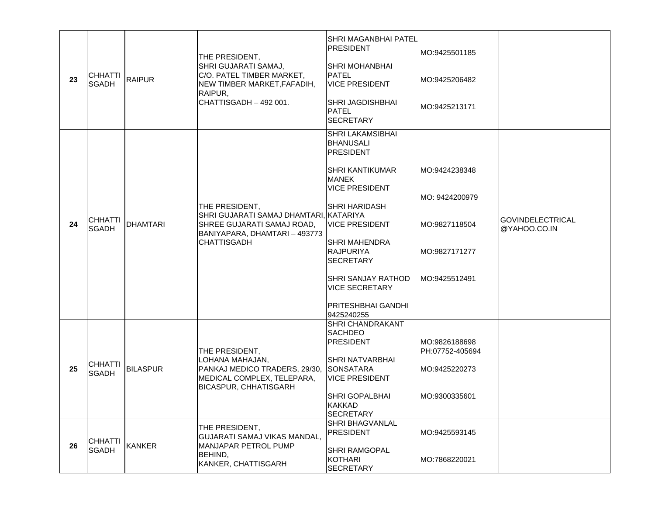| 23 | <b>CHHATTI</b><br><b>SGADH</b> | <b>RAIPUR</b>   | THE PRESIDENT,<br>SHRI GUJARATI SAMAJ,<br>C/O. PATEL TIMBER MARKET,<br>NEW TIMBER MARKET, FAFADIH,<br>RAIPUR,<br>CHATTISGADH - 492 001.       | <b>SHRI MAGANBHAI PATEL</b><br><b>PRESIDENT</b><br><b>SHRI MOHANBHAI</b><br><b>PATEL</b><br><b>VICE PRESIDENT</b><br><b>SHRI JAGDISHBHAI</b><br>PATEL<br><b>SECRETARY</b>                                                                                                                                                 | MO:9425501185<br>MO:9425206482<br>MO:9425213171                                     |                                         |
|----|--------------------------------|-----------------|-----------------------------------------------------------------------------------------------------------------------------------------------|---------------------------------------------------------------------------------------------------------------------------------------------------------------------------------------------------------------------------------------------------------------------------------------------------------------------------|-------------------------------------------------------------------------------------|-----------------------------------------|
| 24 | <b>CHHATTI</b><br><b>SGADH</b> | <b>DHAMTARI</b> | THE PRESIDENT,<br>SHRI GUJARATI SAMAJ DHAMTARI, KATARIYA<br>SHREE GUJARATI SAMAJ ROAD,<br>BANIYAPARA, DHAMTARI - 493773<br><b>CHATTISGADH</b> | <b>SHRI LAKAMSIBHAI</b><br> BHANUSALI<br><b>PRESIDENT</b><br><b>SHRI KANTIKUMAR</b><br>MANEK<br><b>VICE PRESIDENT</b><br><b>SHRI HARIDASH</b><br><b>VICE PRESIDENT</b><br><b>SHRI MAHENDRA</b><br><b>RAJPURIYA</b><br><b>SECRETARY</b><br>SHRI SANJAY RATHOD<br><b>VICE SECRETARY</b><br>PRITESHBHAI GANDHI<br>9425240255 | MO:9424238348<br>MO: 9424200979<br>IMO:9827118504<br>MO:9827171277<br>MO:9425512491 | <b>GOVINDELECTRICAL</b><br>@YAHOO.CO.IN |
| 25 | <b>CHHATTI</b><br><b>SGADH</b> | <b>BILASPUR</b> | THE PRESIDENT,<br>LOHANA MAHAJAN,<br>PANKAJ MEDICO TRADERS, 29/30, SONSATARA<br>MEDICAL COMPLEX, TELEPARA,<br><b>BICASPUR, CHHATISGARH</b>    | <b>SHRI CHANDRAKANT</b><br><b>SACHDEO</b><br><b>PRESIDENT</b><br>SHRI NATVARBHAI<br><b>VICE PRESIDENT</b><br><b>SHRI GOPALBHAI</b><br><b>KAKKAD</b><br><b>SECRETARY</b>                                                                                                                                                   | MO:9826188698<br>PH:07752-405694<br>MO:9425220273<br>MO:9300335601                  |                                         |
| 26 | <b>CHHATTI</b><br><b>SGADH</b> | <b>KANKER</b>   | THE PRESIDENT,<br>GUJARATI SAMAJ VIKAS MANDAL,<br>MANJAPAR PETROL PUMP<br>BEHIND,<br>KANKER, CHATTISGARH                                      | SHRI BHAGVANLAL<br><b>PRESIDENT</b><br><b>SHRI RAMGOPAL</b><br>KOTHARI<br><b>SECRETARY</b>                                                                                                                                                                                                                                | MO:9425593145<br>MO:7868220021                                                      |                                         |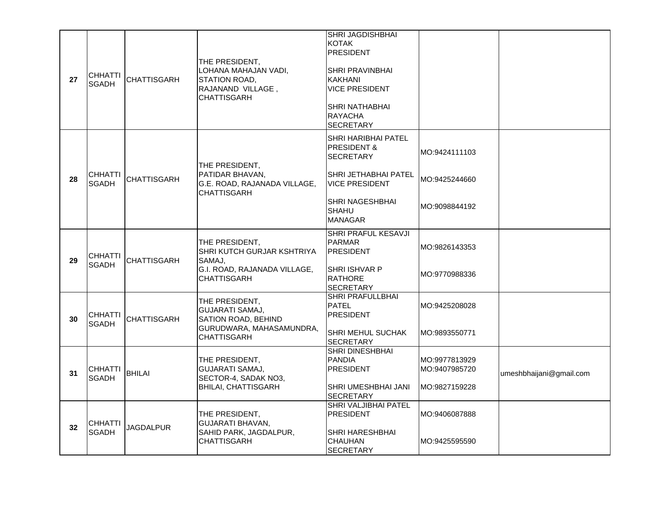| 27 | <b>CHHATTI</b><br><b>SGADH</b> | <b>CHATTISGARH</b> | THE PRESIDENT,<br>LOHANA MAHAJAN VADI.<br>STATION ROAD,<br>RAJANAND VILLAGE,<br><b>CHATTISGARH</b>                | <b>SHRI JAGDISHBHAI</b><br>KOTAK<br><b>PRESIDENT</b><br><b>SHRI PRAVINBHAI</b><br><b>KAKHANI</b><br><b>VICE PRESIDENT</b><br>SHRI NATHABHAI<br><b>RAYACHA</b><br><b>SECRETARY</b>     |                                                 |                         |
|----|--------------------------------|--------------------|-------------------------------------------------------------------------------------------------------------------|---------------------------------------------------------------------------------------------------------------------------------------------------------------------------------------|-------------------------------------------------|-------------------------|
| 28 | <b>CHHATTI</b><br><b>SGADH</b> | <b>CHATTISGARH</b> | THE PRESIDENT,<br>PATIDAR BHAVAN.<br>G.E. ROAD, RAJANADA VILLAGE,<br><b>CHATTISGARH</b>                           | <b>SHRI HARIBHAI PATEL</b><br><b>PRESIDENT &amp;</b><br><b>SECRETARY</b><br><b>SHRI JETHABHAI PATEL</b><br><b>VICE PRESIDENT</b><br>SHRI NAGESHBHAI<br><b>SHAHU</b><br><b>MANAGAR</b> | MO:9424111103<br>MO:9425244660<br>MO:9098844192 |                         |
| 29 | <b>CHHATTI</b><br><b>SGADH</b> | <b>CHATTISGARH</b> | THE PRESIDENT,<br>SHRI KUTCH GURJAR KSHTRIYA<br>SAMAJ,<br>G.I. ROAD, RAJANADA VILLAGE,<br><b>CHATTISGARH</b>      | SHRI PRAFUL KESAVJI<br><b>PARMAR</b><br><b>PRESIDENT</b><br><b>SHRI ISHVAR P</b><br><b>RATHORE</b><br><b>SECRETARY</b>                                                                | MO:9826143353<br>MO:9770988336                  |                         |
| 30 | <b>CHHATTI</b><br><b>SGADH</b> | <b>CHATTISGARH</b> | THE PRESIDENT,<br><b>GUJARATI SAMAJ,</b><br>SATION ROAD, BEHIND<br>GURUDWARA, MAHASAMUNDRA,<br><b>CHATTISGARH</b> | SHRI PRAFULLBHAI<br><b>PATEL</b><br><b>PRESIDENT</b><br>SHRI MEHUL SUCHAK<br><b>SECRETARY</b>                                                                                         | MO:9425208028<br>MO:9893550771                  |                         |
| 31 | <b>CHHATTI</b><br><b>SGADH</b> | <b>BHILAI</b>      | THE PRESIDENT,<br>GUJARATI SAMAJ.<br>SECTOR-4, SADAK NO3,<br>BHILAI, CHATTISGARH                                  | <b>SHRI DINESHBHAI</b><br><b>PANDIA</b><br><b>PRESIDENT</b><br>SHRI UMESHBHAI JANI<br><b>SECRETARY</b>                                                                                | MO:9977813929<br>MO:9407985720<br>MO:9827159228 | umeshbhaijani@gmail.com |
| 32 | <b>CHHATTI</b><br><b>SGADH</b> | JAGDALPUR          | THE PRESIDENT,<br>GUJARATI BHAVAN.<br>SAHID PARK, JAGDALPUR,<br><b>CHATTISGARH</b>                                | SHRI VALJIBHAI PATEL<br><b>PRESIDENT</b><br><b>SHRI HARESHBHAI</b><br><b>CHAUHAN</b><br><b>SECRETARY</b>                                                                              | MO:9406087888<br>MO:9425595590                  |                         |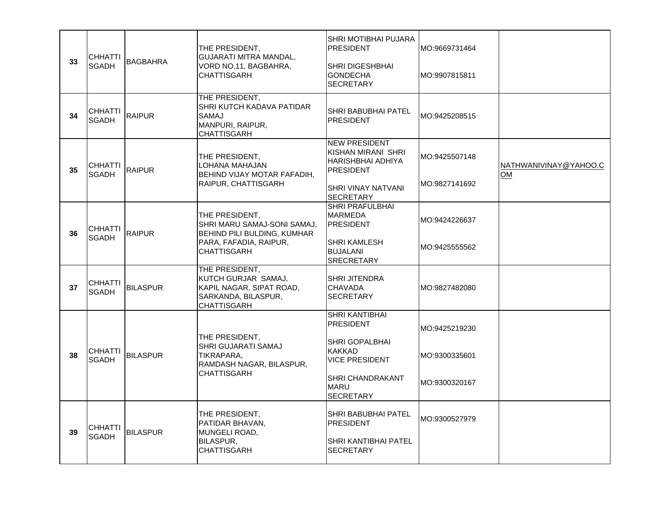| 33 | <b>CHHATTI</b><br><b>SGADH</b> | <b>BAGBAHRA</b> | THE PRESIDENT,<br>GUJARATI MITRA MANDAL,<br>VORD NO.11, BAGBAHRA,<br><b>CHATTISGARH</b>                                      | SHRI MOTIBHAI PUJARA<br><b>PRESIDENT</b><br><b>SHRI DIGESHBHAI</b><br><b>GONDECHA</b><br><b>SECRETARY</b>                                                    | MO:9669731464<br>MO:9907815811                  |                             |
|----|--------------------------------|-----------------|------------------------------------------------------------------------------------------------------------------------------|--------------------------------------------------------------------------------------------------------------------------------------------------------------|-------------------------------------------------|-----------------------------|
| 34 | <b>CHHATTI</b><br><b>SGADH</b> | RAIPUR          | THE PRESIDENT,<br>SHRI KUTCH KADAVA PATIDAR<br><b>SAMAJ</b><br>MANPURI, RAIPUR,<br><b>CHATTISGARH</b>                        | SHRI BABUBHAI PATEL<br><b>IPRESIDENT</b>                                                                                                                     | MO:9425208515                                   |                             |
| 35 | <b>CHHATTI</b><br><b>SGADH</b> | <b>RAIPUR</b>   | THE PRESIDENT,<br>LOHANA MAHAJAN<br>BEHIND VIJAY MOTAR FAFADIH,<br>RAIPUR, CHATTISGARH                                       | <b>NEW PRESIDENT</b><br>KISHAN MIRANI SHRI<br>IHARISHBHAI ADHIYA<br><b>IPRESIDENT</b><br>SHRI VINAY NATVANI<br><b>SECRETARY</b>                              | MO:9425507148<br>MO:9827141692                  | NATHWANIVINAY@YAHOO.C<br>OM |
| 36 | <b>CHHATTI</b><br><b>SGADH</b> | RAIPUR          | THE PRESIDENT,<br>SHRI MARU SAMAJ-SONI SAMAJ,<br>BEHIND PILI BULDING, KUMHAR<br>PARA, FAFADIA, RAIPUR,<br><b>CHATTISGARH</b> | SHRI PRAFULBHAI<br>MARMEDA<br><b>IPRESIDENT</b><br><b>SHRI KAMLESH</b><br><b>BUJALANI</b><br><b>SRECRETARY</b>                                               | MO:9424226637<br>MO:9425555562                  |                             |
| 37 | <b>CHHATTI</b><br><b>SGADH</b> | <b>BILASPUR</b> | THE PRESIDENT,<br>KUTCH GURJAR SAMAJ,<br>KAPIL NAGAR, SIPAT ROAD,<br>SARKANDA, BILASPUR,<br>CHATTISGARH                      | <b>SHRI JITENDRA</b><br><b>CHAVADA</b><br><b>SECRETARY</b>                                                                                                   | MO:9827482080                                   |                             |
| 38 | CHHATTI<br><b>SGADH</b>        | <b>BILASPUR</b> | THE PRESIDENT,<br>SHRI GUJARATI SAMAJ<br>TIKRAPARA,<br>RAMDASH NAGAR, BILASPUR,<br><b>CHATTISGARH</b>                        | SHRI KANTIBHAI<br><b>PRESIDENT</b><br><b>SHRI GOPALBHAI</b><br><b>KAKKAD</b><br><b>VICE PRESIDENT</b><br>SHRI CHANDRAKANT<br><b>MARU</b><br><b>SECRETARY</b> | MO:9425219230<br>MO:9300335601<br>MO:9300320167 |                             |
| 39 | CHHATTI<br><b>SGADH</b>        | <b>BILASPUR</b> | THE PRESIDENT,<br>PATIDAR BHAVAN,<br>MUNGELI ROAD,<br>BILASPUR,<br><b>CHATTISGARH</b>                                        | SHRI BABUBHAI PATEL<br><b>IPRESIDENT</b><br>SHRI KANTIBHAI PATEL<br><b>SECRETARY</b>                                                                         | MO:9300527979                                   |                             |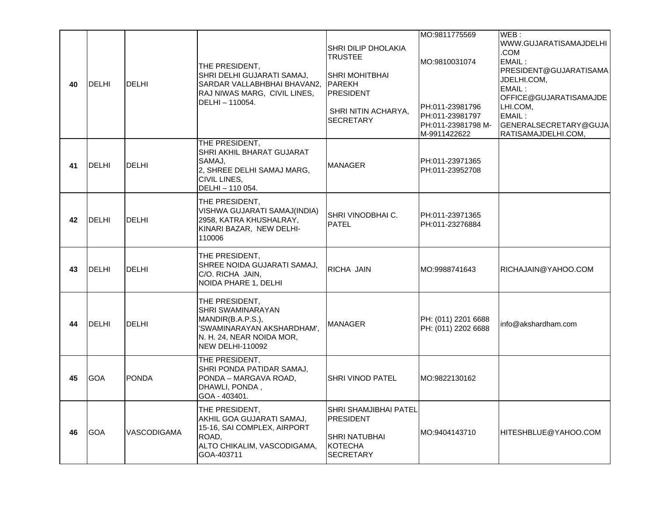| 40 | DELHI         | <b>DELHI</b>       | THE PRESIDENT,<br>SHRI DELHI GUJARATI SAMAJ,<br>SARDAR VALLABHBHAI BHAVAN2,<br>RAJ NIWAS MARG, CIVIL LINES,<br>DELHI-110054.                          | SHRI DILIP DHOLAKIA<br><b>ITRUSTEE</b><br> SHRI MOHITBHAI<br>PAREKH<br><b>PRESIDENT</b><br>SHRI NITIN ACHARYA,<br><b>SECRETARY</b> | MO:9811775569<br>MO:9810031074<br>PH:011-23981796<br>PH:011-23981797<br>PH:011-23981798 M-<br>M-9911422622 | WEB:<br>WWW.GUJARATISAMAJDELHI<br>.COM<br>EMAIL:<br>PRESIDENT@GUJARATISAMA<br>JDELHI.COM,<br>EMAIL:<br>OFFICE@GUJARATISAMAJDE<br>LHI.COM,<br>EMAIL:<br>GENERALSECRETARY@GUJA<br>RATISAMAJDELHI.COM, |
|----|---------------|--------------------|-------------------------------------------------------------------------------------------------------------------------------------------------------|------------------------------------------------------------------------------------------------------------------------------------|------------------------------------------------------------------------------------------------------------|-----------------------------------------------------------------------------------------------------------------------------------------------------------------------------------------------------|
| 41 | <b>IDELHI</b> | DELHI              | THE PRESIDENT,<br>SHRI AKHIL BHARAT GUJARAT<br>SAMAJ,<br>2, SHREE DELHI SAMAJ MARG,<br>CIVIL LINES,<br>DELHI - 110 054.                               | <b>MANAGER</b>                                                                                                                     | PH:011-23971365<br>PH:011-23952708                                                                         |                                                                                                                                                                                                     |
| 42 | DELHI         | <b>DELHI</b>       | THE PRESIDENT,<br>VISHWA GUJARATI SAMAJ(INDIA)<br>2958, KATRA KHUSHALRAY,<br>KINARI BAZAR, NEW DELHI-<br>110006                                       | <b>SHRI VINODBHAI C.</b><br><b>PATEL</b>                                                                                           | PH:011-23971365<br>PH:011-23276884                                                                         |                                                                                                                                                                                                     |
| 43 | <b>IDELHI</b> | DELHI              | THE PRESIDENT,<br>SHREE NOIDA GUJARATI SAMAJ,<br>C/O. RICHA JAIN,<br>NOIDA PHARE 1, DELHI                                                             | RICHA JAIN                                                                                                                         | MO:9988741643                                                                                              | RICHAJAIN@YAHOO.COM                                                                                                                                                                                 |
| 44 | DELHI         | <b>DELHI</b>       | THE PRESIDENT,<br><b>SHRI SWAMINARAYAN</b><br>MANDIR(B.A.P.S.),<br>'SWAMINARAYAN AKSHARDHAM',<br>N. H. 24, NEAR NOIDA MOR,<br><b>NEW DELHI-110092</b> | <b>MANAGER</b>                                                                                                                     | PH: (011) 2201 6688<br>PH: (011) 2202 6688                                                                 | info@akshardham.com                                                                                                                                                                                 |
| 45 | <b>GOA</b>    | <b>PONDA</b>       | THE PRESIDENT,<br>SHRI PONDA PATIDAR SAMAJ,<br>PONDA - MARGAVA ROAD,<br>DHAWLI, PONDA,<br>GOA - 403401.                                               | <b>SHRI VINOD PATEL</b>                                                                                                            | MO:9822130162                                                                                              |                                                                                                                                                                                                     |
| 46 | <b>GOA</b>    | <b>VASCODIGAMA</b> | THE PRESIDENT,<br>AKHIL GOA GUJARATI SAMAJ,<br>15-16, SAI COMPLEX, AIRPORT<br>ROAD,<br>ALTO CHIKALIM, VASCODIGAMA,<br>GOA-403711                      | SHRI SHAMJIBHAI PATEL<br><b>PRESIDENT</b><br> SHRI NATUBHAI<br>KOTECHA<br><b>SECRETARY</b>                                         | MO:9404143710                                                                                              | HITESHBLUE@YAHOO.COM                                                                                                                                                                                |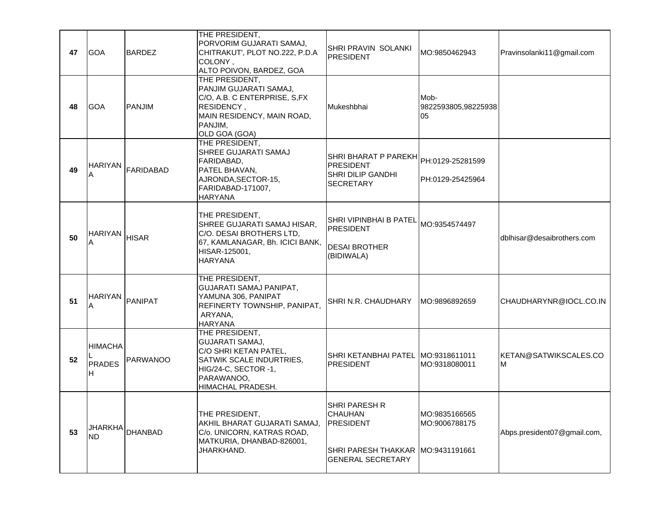| 47 | <b>GOA</b>                    | <b>BARDEZ</b>  | THE PRESIDENT,<br>PORVORIM GUJARATI SAMAJ,<br>CHITRAKUT', PLOT NO.222, P.D.A<br>COLONY,<br>ALTO POIVON, BARDEZ, GOA                               | SHRI PRAVIN SOLANKI<br><b>PRESIDENT</b>                                                                                 | MO:9850462943                     | Pravinsolanki11@gmail.com   |
|----|-------------------------------|----------------|---------------------------------------------------------------------------------------------------------------------------------------------------|-------------------------------------------------------------------------------------------------------------------------|-----------------------------------|-----------------------------|
| 48 | <b>GOA</b>                    | <b>PANJIM</b>  | THE PRESIDENT,<br>PANJIM GUJARATI SAMAJ,<br>C/O, A.B. C ENTERPRISE, S,FX<br>RESIDENCY,<br>MAIN RESIDENCY, MAIN ROAD,<br>PANJIM,<br>OLD GOA (GOA)  | Mukeshbhai                                                                                                              | Mob-<br>9822593805,98225938<br>05 |                             |
| 49 | <b>HARIYAN</b>                | FARIDABAD      | THE PRESIDENT,<br>SHREE GUJARATI SAMAJ<br>FARIDABAD,<br>PATEL BHAVAN,<br>AJRONDA, SECTOR-15,<br>FARIDABAD-171007,<br><b>HARYANA</b>               | SHRI BHARAT P PAREKH PH:0129-25281599<br>PRESIDENT<br><b>SHRI DILIP GANDHI</b><br>SECRETARY                             | PH:0129-25425964                  |                             |
| 50 | <b>HARIYAN</b>                | <b>HISAR</b>   | THE PRESIDENT,<br>SHREE GUJARATI SAMAJ HISAR,<br>C/O. DESAI BROTHERS LTD,<br>67, KAMLANAGAR, Bh. ICICI BANK,<br>HISAR-125001,<br><b>HARYANA</b>   | SHRI VIPINBHAI B PATEL<br><b>PRESIDENT</b><br><b>DESAI BROTHER</b><br>(BIDIWALA)                                        | MO:9354574497                     | dblhisar@desaibrothers.com  |
| 51 | <b>HARIYAN</b><br>A           | PANIPAT        | THE PRESIDENT,<br>GUJARATI SAMAJ PANIPAT,<br>YAMUNA 306, PANIPAT<br>REFINERTY TOWNSHIP, PANIPAT,<br>ARYANA,<br><b>HARYANA</b>                     | SHRI N.R. CHAUDHARY                                                                                                     | MO:9896892659                     | CHAUDHARYNR@IOCL.CO.IN      |
| 52 | <b>HIMACHA</b><br>PRADES<br>H | PARWANOO       | THE PRESIDENT,<br>GUJARATI SAMAJ,<br>C/O SHRI KETAN PATEL,<br>SATWIK SCALE INDURTRIES,<br>HIG/24-C, SECTOR -1,<br>PARAWANOO,<br>HIMACHAL PRADESH. | SHRI KETANBHAI PATEL MO:9318611011<br><b>PRESIDENT</b>                                                                  | MO:9318080011                     | KETAN@SATWIKSCALES.CO<br>M  |
| 53 | <b>JHARKHA</b><br><b>ND</b>   | <b>DHANBAD</b> | THE PRESIDENT,<br>AKHIL BHARAT GUJARATI SAMAJ,<br>C/o. UNICORN, KATRAS ROAD,<br>MATKURIA, DHANBAD-826001,<br>JHARKHAND.                           | <b>SHRI PARESH R</b><br><b>CHAUHAN</b><br><b>PRESIDENT</b><br>ISHRI PARESH THAKKAR IMO:9431191661<br>IGENERAL SECRETARY | MO:9835166565<br>MO:9006788175    | Abps.president07@gmail.com, |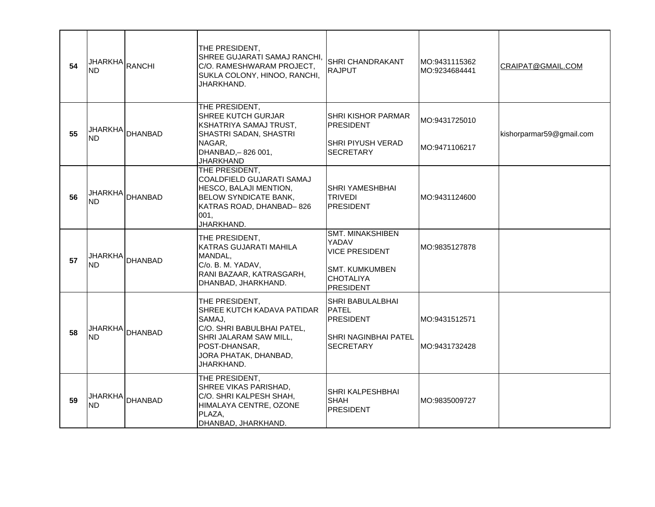| 54 | <b>JHARKHA</b><br><b>ND</b> | RANCHI          | THE PRESIDENT,<br>SHREE GUJARATI SAMAJ RANCHI,<br>C/O. RAMESHWARAM PROJECT,<br>SUKLA COLONY, HINOO, RANCHI,<br>JHARKHAND.                                              | SHRI CHANDRAKANT<br><b>RAJPUT</b>                                                                                          | MO:9431115362<br>MO:9234684441 | CRAIPAT@GMAIL.COM        |
|----|-----------------------------|-----------------|------------------------------------------------------------------------------------------------------------------------------------------------------------------------|----------------------------------------------------------------------------------------------------------------------------|--------------------------------|--------------------------|
| 55 | <b>ND</b>                   | JHARKHA DHANBAD | THE PRESIDENT,<br>SHREE KUTCH GURJAR<br>KSHATRIYA SAMAJ TRUST,<br>SHASTRI SADAN, SHASTRI<br>NAGAR,<br>DHANBAD,-826 001,<br><b>JHARKHAND</b>                            | SHRI KISHOR PARMAR<br><b>PRESIDENT</b><br>SHRI PIYUSH VERAD<br>SECRETARY                                                   | MO:9431725010<br>MO:9471106217 | kishorparmar59@gmail.com |
| 56 | <b>ND</b>                   | JHARKHA DHANBAD | THE PRESIDENT,<br>COALDFIELD GUJARATI SAMAJ<br>HESCO, BALAJI MENTION,<br><b>BELOW SYNDICATE BANK,</b><br>KATRAS ROAD, DHANBAD-826<br>001,<br>JHARKHAND.                | SHRI YAMESHBHAI<br><b>TRIVEDI</b><br><b>PRESIDENT</b>                                                                      | MO:9431124600                  |                          |
| 57 | <b>JHARKHA</b><br><b>ND</b> | <b>DHANBAD</b>  | THE PRESIDENT,<br>KATRAS GUJARATI MAHILA<br>MANDAL,<br>C/o. B. M. YADAV,<br>RANI BAZAAR, KATRASGARH,<br>DHANBAD, JHARKHAND.                                            | <b>SMT. MINAKSHIBEN</b><br>YADAV<br><b>VICE PRESIDENT</b><br><b>SMT. KUMKUMBEN</b><br><b>CHOTALIYA</b><br><b>PRESIDENT</b> | MO:9835127878                  |                          |
| 58 | <b>JHARKHA</b><br><b>ND</b> | DHANBAD         | THE PRESIDENT,<br>SHREE KUTCH KADAVA PATIDAR<br>SAMAJ,<br>C/O. SHRI BABULBHAI PATEL,<br>SHRI JALARAM SAW MILL,<br>POST-DHANSAR,<br>JORA PHATAK, DHANBAD,<br>JHARKHAND. | SHRI BABULALBHAI<br><b>PATEL</b><br>PRESIDENT<br><b>SHRI NAGINBHAI PATEL</b><br><b>SECRETARY</b>                           | MO:9431512571<br>MO:9431732428 |                          |
| 59 | <b>ND</b>                   | JHARKHA DHANBAD | THE PRESIDENT,<br>SHREE VIKAS PARISHAD,<br>C/O. SHRI KALPESH SHAH,<br>HIMALAYA CENTRE, OZONE<br>PLAZA,<br>DHANBAD, JHARKHAND.                                          | SHRI KALPESHBHAI<br><b>SHAH</b><br><b>PRESIDENT</b>                                                                        | MO:9835009727                  |                          |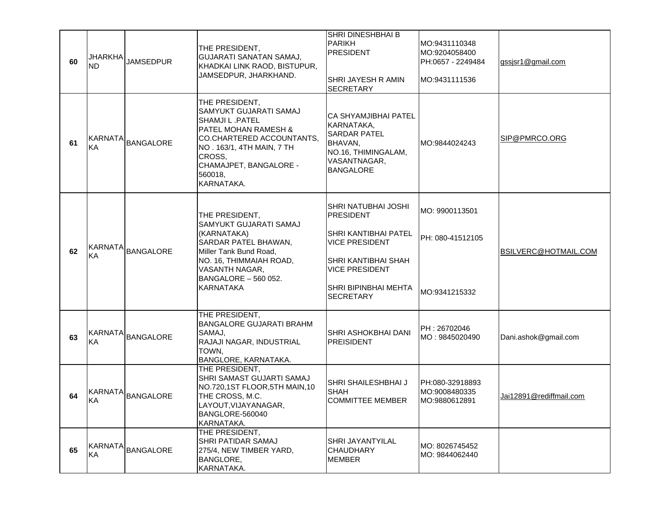| 60 | <b>JHARKHA</b><br><b>ND</b> | <b>JAMSEDPUR</b>  | THE PRESIDENT,<br><b>GUJARATI SANATAN SAMAJ,</b><br>KHADKAI LINK RAOD, BISTUPUR,<br>JAMSEDPUR, JHARKHAND.                                                                                                 | SHRI DINESHBHAI B<br>PARIKH<br><b>PRESIDENT</b><br>SHRI JAYESH R AMIN<br><b>SECRETARY</b>                                                                                                   | MO:9431110348<br>MO:9204058400<br>PH:0657 - 2249484<br>MO:9431111536 | gssjsr1@gmail.com       |
|----|-----------------------------|-------------------|-----------------------------------------------------------------------------------------------------------------------------------------------------------------------------------------------------------|---------------------------------------------------------------------------------------------------------------------------------------------------------------------------------------------|----------------------------------------------------------------------|-------------------------|
| 61 | KA                          | KARNATA BANGALORE | THE PRESIDENT,<br>SAMYUKT GUJARATI SAMAJ<br>SHAMJI L.PATEL<br>PATEL MOHAN RAMESH &<br>CO.CHARTERED ACCOUNTANTS.<br>NO. 163/1, 4TH MAIN, 7 TH<br>CROSS,<br>CHAMAJPET, BANGALORE -<br>560018,<br>KARNATAKA. | <b>CA SHYAMJIBHAI PATEL</b><br> KARNATAKA.<br><b>SARDAR PATEL</b><br>BHAVAN,<br>NO.16, THIMINGALAM,<br>VASANTNAGAR,<br><b>BANGALORE</b>                                                     | MO:9844024243                                                        | SIP@PMRCO.ORG           |
| 62 | <b>KARNATA</b><br>KA        | <b>BANGALORE</b>  | THE PRESIDENT,<br>SAMYUKT GUJARATI SAMAJ<br>(KARNATAKA)<br>SARDAR PATEL BHAWAN,<br>Miller Tank Bund Road,<br>NO. 16, THIMMAIAH ROAD,<br>VASANTH NAGAR,<br>BANGALORE - 560 052.<br>KARNATAKA               | SHRI NATUBHAI JOSHI<br><b>PRESIDENT</b><br><b>SHRI KANTIBHAI PATEL</b><br><b>VICE PRESIDENT</b><br>SHRI KANTIBHAI SHAH<br><b>VICE PRESIDENT</b><br>SHRI BIPINBHAI MEHTA<br><b>SECRETARY</b> | MO: 9900113501<br>PH: 080-41512105<br>MO:9341215332                  | BSILVERC@HOTMAIL.COM    |
| 63 | <b>KARNATA</b><br>KA        | <b>BANGALORE</b>  | THE PRESIDENT,<br><b>BANGALORE GUJARATI BRAHM</b><br>SAMAJ,<br>RAJAJI NAGAR, INDUSTRIAL<br>TOWN,<br>BANGLORE, KARNATAKA.                                                                                  | SHRI ASHOKBHAI DANI<br><b>PREISIDENT</b>                                                                                                                                                    | PH: 26702046<br>MO: 9845020490                                       | Dani.ashok@gmail.com    |
| 64 | <b>KA</b>                   | KARNATA BANGALORE | THE PRESIDENT,<br>SHRI SAMAST GUJARTI SAMAJ<br>NO.720,1ST FLOOR,5TH MAIN,10<br>THE CROSS, M.C.<br>LAYOUT, VIJAYANAGAR,<br>BANGLORE-560040<br>KARNATAKA.                                                   | SHRI SHAILESHBHAI J<br><b>SHAH</b><br><b>COMMITTEE MEMBER</b>                                                                                                                               | PH:080-32918893<br>MO:9008480335<br>MO:9880612891                    | Jai12891@rediffmail.com |
| 65 | KA                          | KARNATA BANGALORE | THE PRESIDENT,<br>SHRI PATIDAR SAMAJ<br>275/4, NEW TIMBER YARD,<br><b>BANGLORE,</b><br>KARNATAKA.                                                                                                         | <b>SHRI JAYANTYILAL</b><br><b>CHAUDHARY</b><br>MEMBER                                                                                                                                       | MO: 8026745452<br>MO: 9844062440                                     |                         |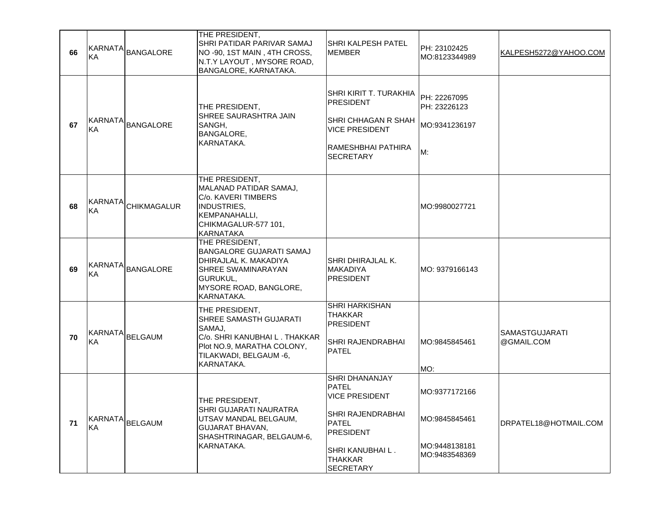| 66 | KA                   | KARNATA BANGALORE   | THE PRESIDENT,<br>SHRI PATIDAR PARIVAR SAMAJ<br>NO-90, 1ST MAIN, 4TH CROSS,<br>N.T.Y LAYOUT, MYSORE ROAD,<br>BANGALORE, KARNATAKA.                          | SHRI KALPESH PATEL<br><b>MEMBER</b>                                                                                                                                               | PH: 23102425<br>MO:8123344989                                    | KALPESH5272@YAHOO.COM               |
|----|----------------------|---------------------|-------------------------------------------------------------------------------------------------------------------------------------------------------------|-----------------------------------------------------------------------------------------------------------------------------------------------------------------------------------|------------------------------------------------------------------|-------------------------------------|
| 67 | KA                   | KARNATA BANGALORE   | THE PRESIDENT,<br>SHREE SAURASHTRA JAIN<br>SANGH.<br><b>BANGALORE,</b><br>KARNATAKA.                                                                        | SHRI KIRIT T. TURAKHIA<br><b>PRESIDENT</b><br>SHRI CHHAGAN R SHAH<br><b>VICE PRESIDENT</b><br>RAMESHBHAI PATHIRA<br><b>SECRETARY</b>                                              | PH: 22267095<br>PH: 23226123<br>MO:9341236197<br>M:              |                                     |
| 68 | KA                   | KARNATA CHIKMAGALUR | THE PRESIDENT,<br>MALANAD PATIDAR SAMAJ,<br>C/o. KAVERI TIMBERS<br>INDUSTRIES,<br>KEMPANAHALLI,<br>CHIKMAGALUR-577 101,<br><b>KARNATAKA</b>                 |                                                                                                                                                                                   | MO:9980027721                                                    |                                     |
| 69 | <b>KARNATA</b><br>KA | <b>BANGALORE</b>    | THE PRESIDENT,<br><b>BANGALORE GUJARATI SAMAJ</b><br>DHIRAJLAL K. MAKADIYA<br>SHREE SWAMINARAYAN<br><b>GURUKUL.</b><br>MYSORE ROAD, BANGLORE,<br>KARNATAKA. | SHRI DHIRAJLAL K.<br>MAKADIYA<br><b>PRESIDENT</b>                                                                                                                                 | IMO: 9379166143                                                  |                                     |
| 70 | KA                   | KARNATA BELGAUM     | THE PRESIDENT,<br>SHREE SAMASTH GUJARATI<br>SAMAJ.<br>C/o. SHRI KANUBHAI L. THAKKAR<br>Plot NO.9, MARATHA COLONY,<br>TILAKWADI, BELGAUM -6,<br>KARNATAKA.   | SHRI HARKISHAN<br>THAKKAR<br><b>PRESIDENT</b><br>SHRI RAJENDRABHAI<br><b>PATEL</b>                                                                                                | MO:9845845461<br>MO:                                             | <b>SAMASTGUJARATI</b><br>@GMAIL.COM |
| 71 | KA                   | KARNATA BELGAUM     | THE PRESIDENT,<br><b>SHRI GUJARATI NAURATRA</b><br>UTSAV MANDAL BELGAUM,<br><b>GUJARAT BHAVAN.</b><br>SHASHTRINAGAR, BELGAUM-6,<br>KARNATAKA.               | <b>SHRI DHANANJAY</b><br><b>PATEL</b><br><b>VICE PRESIDENT</b><br>SHRI RAJENDRABHAI<br><b>PATEL</b><br><b>PRESIDENT</b><br>SHRI KANUBHAI L.<br><b>THAKKAR</b><br><b>SECRETARY</b> | MO:9377172166<br>MO:9845845461<br>MO:9448138181<br>MO:9483548369 | DRPATEL18@HOTMAIL.COM               |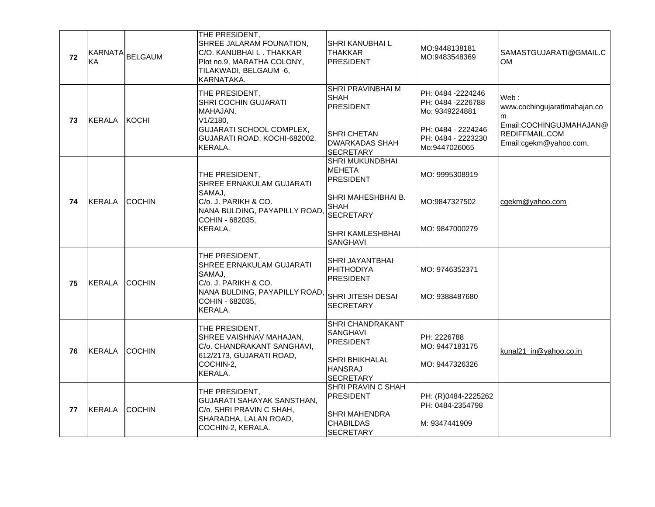| 72 |               | KARNATA BELGAUM | THE PRESIDENT,<br>SHREE JALARAM FOUNATION,<br>C/O. KANUBHAI L. THAKKAR<br>Plot no.9, MARATHA COLONY,<br>TILAKWADI, BELGAUM -6,<br>KARNATAKA. | <b>SHRI KANUBHAI L</b><br>ITHAKKAR<br><b>PRESIDENT</b>                                                                                   | MO:9448138181<br>MO:9483548369                                                                                        | SAMASTGUJARATI@GMAIL.C<br><b>OM</b>                                                                              |
|----|---------------|-----------------|----------------------------------------------------------------------------------------------------------------------------------------------|------------------------------------------------------------------------------------------------------------------------------------------|-----------------------------------------------------------------------------------------------------------------------|------------------------------------------------------------------------------------------------------------------|
| 73 | <b>KERALA</b> | <b>IKOCHI</b>   | THE PRESIDENT,<br><b>SHRI COCHIN GUJARATI</b><br>MAHAJAN.<br>V1/2180,<br>GUJARATI SCHOOL COMPLEX,<br>GUJARATI ROAD, KOCHI-682002,<br>KERALA. | <b>SHRI PRAVINBHAI M</b><br>SHAH<br><b>PRESIDENT</b><br><b>SHRI CHETAN</b><br><b>DWARKADAS SHAH</b><br><b>SECRETARY</b>                  | PH: 0484 -2224246<br>PH: 0484 -2226788<br>Mo: 9349224881<br>PH: 0484 - 2224246<br>PH: 0484 - 2223230<br>Mo:9447026065 | Web:<br>www.cochingujaratimahajan.co<br>m<br>Email:COCHINGUJMAHAJAN@<br>REDIFFMAIL.COM<br>Email:cgekm@yahoo.com, |
| 74 | <b>KERALA</b> | <b>ICOCHIN</b>  | THE PRESIDENT,<br>SHREE ERNAKULAM GUJARATI<br>SAMAJ,<br>C/o. J. PARIKH & CO.<br>NANA BULDING, PAYAPILLY ROAD,<br>COHIN - 682035,<br>KERALA.  | ISHRI MUKUNDBHAI<br>IMEHETA<br>PRESIDENT<br>SHRI MAHESHBHAI B.<br><b>SHAH</b><br><b>SECRETARY</b><br><b>SHRI KAMLESHBHAI</b><br>SANGHAVI | MO: 9995308919<br>MO:9847327502<br>MO: 9847000279                                                                     | cgekm@yahoo.com                                                                                                  |
| 75 | <b>KERALA</b> | <b>COCHIN</b>   | THE PRESIDENT,<br>SHREE ERNAKULAM GUJARATI<br>SAMAJ,<br>C/o. J. PARIKH & CO.<br>NANA BULDING, PAYAPILLY ROAD,<br>COHIN - 682035,<br>KERALA.  | <b>SHRI JAYANTBHAI</b><br><b>PHITHODIYA</b><br><b>IPRESIDENT</b><br>ISHRI JITESH DESAI<br><b>SECRETARY</b>                               | MO: 9746352371<br>MO: 9388487680                                                                                      |                                                                                                                  |
| 76 | KERALA        | <b>COCHIN</b>   | THE PRESIDENT,<br>SHREE VAISHNAV MAHAJAN,<br>C/o. CHANDRAKANT SANGHAVI,<br>612/2173, GUJARATI ROAD,<br>COCHIN-2,<br>KERALA.                  | SHRI CHANDRAKANT<br><b>SANGHAVI</b><br>PRESIDENT<br><b>SHRI BHIKHALAL</b><br><b>HANSRAJ</b><br><b>SECRETARY</b>                          | PH: 2226788<br>MO: 9447183175<br>MO: 9447326326                                                                       | kunal21_in@yahoo.co.in                                                                                           |
| 77 | <b>KERALA</b> | <b>COCHIN</b>   | THE PRESIDENT,<br>GUJARATI SAHAYAK SANSTHAN,<br>C/o. SHRI PRAVIN C SHAH,<br>SHARADHA, LALAN ROAD,<br>COCHIN-2, KERALA.                       | ISHRI PRAVIN C SHAH<br>PRESIDENT<br><b>SHRI MAHENDRA</b><br> CHABILDAS<br>SECRETARY                                                      | PH: (R)0484-2225262<br>PH: 0484-2354798<br>M: 9347441909                                                              |                                                                                                                  |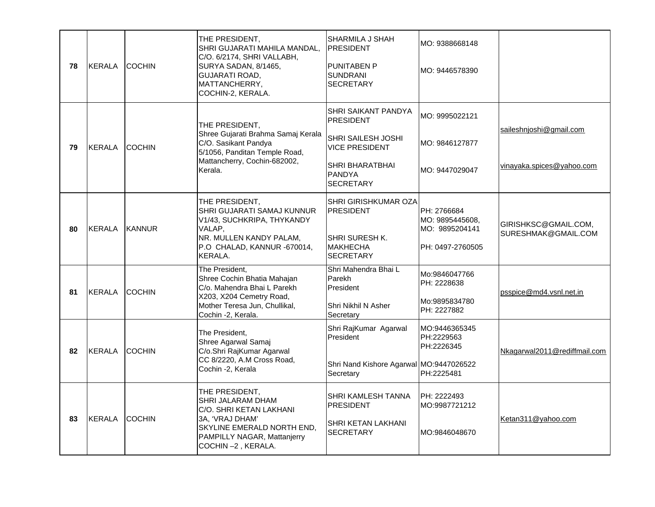| 78 | <b>KERALA</b> | <b>COCHIN</b> | THE PRESIDENT,<br>SHRI GUJARATI MAHILA MANDAL,<br>C/O. 6/2174, SHRI VALLABH,<br>SURYA SADAN, 8/1465,<br>GUJARATI ROAD,<br>MATTANCHERRY,<br>COCHIN-2, KERALA.        | <b>SHARMILA J SHAH</b><br><b>PRESIDENT</b><br><b>PUNITABEN P</b><br><b>SUNDRANI</b><br><b>SECRETARY</b>                                        | MO: 9388668148<br>MO: 9446578390                                     |                                                      |
|----|---------------|---------------|---------------------------------------------------------------------------------------------------------------------------------------------------------------------|------------------------------------------------------------------------------------------------------------------------------------------------|----------------------------------------------------------------------|------------------------------------------------------|
| 79 | <b>KERALA</b> | <b>COCHIN</b> | THE PRESIDENT,<br>Shree Gujarati Brahma Samaj Kerala<br>C/O. Sasikant Pandya<br>5/1056, Panditan Temple Road,<br>Mattancherry, Cochin-682002,<br>Kerala.            | <b>SHRI SAIKANT PANDYA</b><br>PRESIDENT<br>SHRI SAILESH JOSHI<br><b>VICE PRESIDENT</b><br><b>SHRI BHARATBHAI</b><br>PANDYA<br><b>SECRETARY</b> | MO: 9995022121<br>MO: 9846127877<br>MO: 9447029047                   | saileshnjoshi@gmail.com<br>vinayaka.spices@yahoo.com |
| 80 | KERALA        | <b>KANNUR</b> | THE PRESIDENT,<br>SHRI GUJARATI SAMAJ KUNNUR<br>V1/43, SUCHKRIPA, THYKANDY<br>VALAP.<br>NR. MULLEN KANDY PALAM,<br>P.O CHALAD, KANNUR -670014,<br>KERALA.           | SHRI GIRISHKUMAR OZA<br>PRESIDENT<br><b>SHRI SURESH K.</b><br>MAKHECHA<br><b>SECRETARY</b>                                                     | PH: 2766684<br>MO: 9895445608.<br>MO: 9895204141<br>PH: 0497-2760505 | GIRISHKSC@GMAIL.COM,<br>SURESHMAK@GMAIL.COM          |
| 81 | <b>KERALA</b> | <b>COCHIN</b> | The President,<br>Shree Cochin Bhatia Mahajan<br>C/o. Mahendra Bhai L Parekh<br>X203, X204 Cemetry Road,<br>Mother Teresa Jun, Chullikal,<br>Cochin -2, Kerala.     | Shri Mahendra Bhai L<br>Parekh<br>President<br>Shri Nikhil N Asher<br>Secretary                                                                | Mo:9846047766<br>PH: 2228638<br>Mo:9895834780<br>PH: 2227882         | psspice@md4.vsnl.net.in                              |
| 82 | <b>KERALA</b> | <b>COCHIN</b> | The President,<br>Shree Agarwal Samaj<br>C/o.Shri RajKumar Agarwal<br>CC 8/2220, A.M Cross Road,<br>Cochin -2, Kerala                                               | Shri RajKumar Agarwal<br>President<br>Shri Nand Kishore Agarwal MO:9447026522<br>Secretary                                                     | MO:9446365345<br>PH:2229563<br>PH:2226345<br>PH:2225481              | Nkagarwal2011@rediffmail.com                         |
| 83 | <b>KERALA</b> | <b>COCHIN</b> | THE PRESIDENT,<br>SHRI JALARAM DHAM<br>C/O. SHRI KETAN LAKHANI<br>3A, 'VRAJ DHAM'<br>SKYLINE EMERALD NORTH END,<br>PAMPILLY NAGAR, Mattanjerry<br>COCHIN-2, KERALA. | <b>SHRI KAMLESH TANNA</b><br><b>PRESIDENT</b><br>SHRI KETAN LAKHANI<br><b>SECRETARY</b>                                                        | PH: 2222493<br>MO:9987721212<br>MO:9846048670                        | Ketan311@yahoo.com                                   |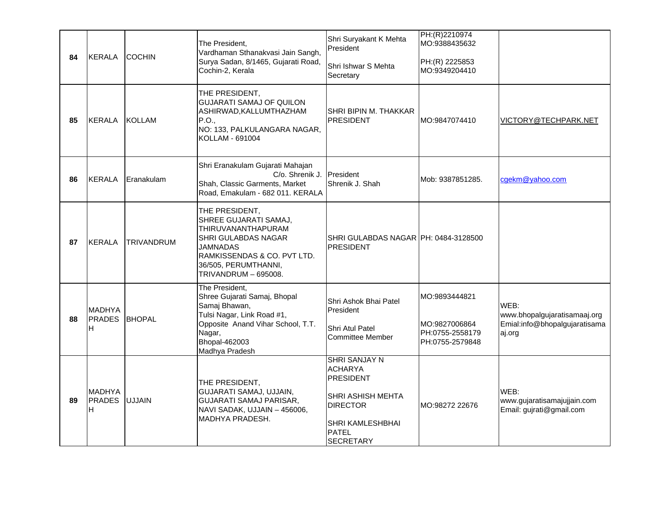| 84 | <b>KERALA</b>                       | <b>COCHIN</b>     | The President.<br>Vardhaman Sthanakvasi Jain Sangh,<br>Surya Sadan, 8/1465, Gujarati Road,<br>Cochin-2, Kerala                                                                                | Shri Suryakant K Mehta<br>President<br>Shri Ishwar S Mehta<br>Secretary                                                                                    | PH:(R)2210974<br>MO:9388435632<br>PH:(R) 2225853<br>MO:9349204410    |                                                                                 |
|----|-------------------------------------|-------------------|-----------------------------------------------------------------------------------------------------------------------------------------------------------------------------------------------|------------------------------------------------------------------------------------------------------------------------------------------------------------|----------------------------------------------------------------------|---------------------------------------------------------------------------------|
| 85 | <b>KERALA</b>                       | <b>KOLLAM</b>     | THE PRESIDENT,<br><b>GUJARATI SAMAJ OF QUILON</b><br>ASHIRWAD, KALLUMTHAZHAM<br>P.O.,<br>NO: 133, PALKULANGARA NAGAR,<br>KOLLAM - 691004                                                      | SHRI BIPIN M. THAKKAR<br><b>PRESIDENT</b>                                                                                                                  | MO:9847074410                                                        | VICTORY@TECHPARK.NET                                                            |
| 86 | <b>KERALA</b>                       | Eranakulam        | Shri Eranakulam Gujarati Mahajan<br>C/o. Shrenik J.<br>Shah, Classic Garments, Market<br>Road, Emakulam - 682 011. KERALA                                                                     | President<br>Shrenik J. Shah                                                                                                                               | Mob: 9387851285.                                                     | cgekm@yahoo.com                                                                 |
| 87 | <b>KERALA</b>                       | <b>TRIVANDRUM</b> | THE PRESIDENT,<br>SHREE GUJARATI SAMAJ,<br>THIRUVANANTHAPURAM<br><b>SHRI GULABDAS NAGAR</b><br>JAMNADAS<br>RAMKISSENDAS & CO. PVT LTD.<br>36/505, PERUMTHANNI,<br><b>TRIVANDRUM - 695008.</b> | SHRI GULABDAS NAGAR PH: 0484-3128500<br><b>PRESIDENT</b>                                                                                                   |                                                                      |                                                                                 |
| 88 | <b>MADHYA</b><br><b>PRADES</b><br>H | <b>BHOPAL</b>     | The President,<br>Shree Gujarati Samaj, Bhopal<br>Samaj Bhawan,<br>Tulsi Nagar, Link Road #1,<br>Opposite Anand Vihar School, T.T.<br>Nagar,<br>Bhopal-462003<br>Madhya Pradesh               | Shri Ashok Bhai Patel<br>President<br>Shri Atul Patel<br><b>Committee Member</b>                                                                           | MO:9893444821<br>MO:9827006864<br>PH:0755-2558179<br>PH:0755-2579848 | WEB:<br>www.bhopalgujaratisamaaj.org<br>Emial:info@bhopalgujaratisama<br>aj.org |
| 89 | <b>MADHYA</b><br><b>PRADES</b><br>H | <b>UJJAIN</b>     | THE PRESIDENT,<br>GUJARATI SAMAJ, UJJAIN,<br>GUJARATI SAMAJ PARISAR,<br>NAVI SADAK, UJJAIN - 456006,<br>MADHYA PRADESH.                                                                       | <b>SHRI SANJAY N</b><br><b>ACHARYA</b><br><b>PRESIDENT</b><br>SHRI ASHISH MEHTA<br><b>DIRECTOR</b><br>SHRI KAMLESHBHAI<br><b>PATEL</b><br><b>SECRETARY</b> | MO:98272 22676                                                       | WEB:<br>www.gujaratisamajujjain.com<br>Email: gujrati@gmail.com                 |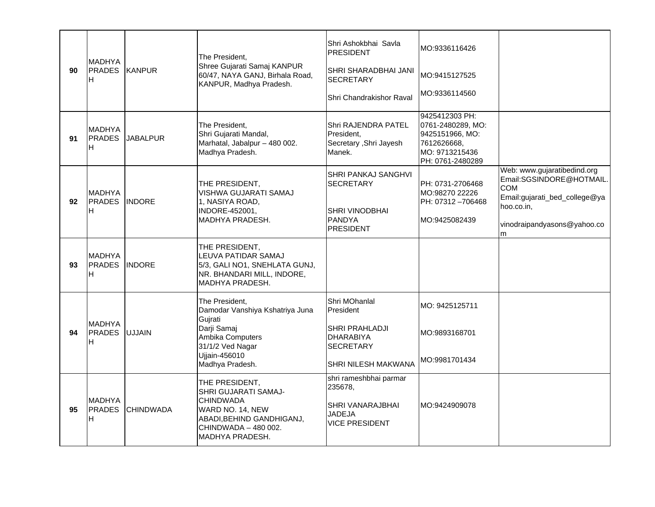| 90 | <b>MADHYA</b><br><b>PRADES</b><br>lН  | <b>KANPUR</b>    | The President.<br>Shree Gujarati Samaj KANPUR<br>60/47, NAYA GANJ, Birhala Road,<br>KANPUR, Madhya Pradesh.                                                   | Shri Ashokbhai Savla<br><b>PRESIDENT</b><br>SHRI SHARADBHAI JANI<br><b>SECRETARY</b><br>Shri Chandrakishor Raval | MO:9336116426<br>MO:9415127525<br>MO:9336114560                                                             |                                                                                                                                                          |
|----|---------------------------------------|------------------|---------------------------------------------------------------------------------------------------------------------------------------------------------------|------------------------------------------------------------------------------------------------------------------|-------------------------------------------------------------------------------------------------------------|----------------------------------------------------------------------------------------------------------------------------------------------------------|
| 91 | <b>MADHYA</b><br><b>PRADES</b><br>IH. | <b>JABALPUR</b>  | The President.<br>Shri Gujarati Mandal,<br>Marhatal, Jabalpur - 480 002.<br>Madhya Pradesh.                                                                   | Shri RAJENDRA PATEL<br>President,<br>Secretary , Shri Jayesh<br>Manek.                                           | 9425412303 PH:<br>0761-2480289, MO:<br>9425151966, MO:<br>7612626668.<br>MO: 9713215436<br>PH: 0761-2480289 |                                                                                                                                                          |
| 92 | <b>MADHYA</b><br><b>PRADES</b><br>lH. | <b>INDORE</b>    | THE PRESIDENT,<br>VISHWA GUJARATI SAMAJ<br>1, NASIYA ROAD,<br>INDORE-452001.<br>MADHYA PRADESH.                                                               | SHRI PANKAJ SANGHVI<br><b>SECRETARY</b><br>SHRI VINODBHAI<br>PANDYA<br><b>PRESIDENT</b>                          | PH: 0731-2706468<br>MO:98270 22226<br>PH: 07312-706468<br>MO:9425082439                                     | Web: www.gujaratibedind.org<br>Email:SGSINDORE@HOTMAIL.<br><b>COM</b><br>Email:gujarati_bed_college@ya<br>hoo.co.in,<br>vinodraipandyasons@yahoo.co<br>m |
| 93 | <b>MADHYA</b><br><b>PRADES</b><br>IH. | <b>INDORE</b>    | THE PRESIDENT,<br>LEUVA PATIDAR SAMAJ<br>5/3, GALI NO1, SNEHLATA GUNJ,<br>NR. BHANDARI MILL, INDORE,<br>MADHYA PRADESH.                                       |                                                                                                                  |                                                                                                             |                                                                                                                                                          |
| 94 | <b>MADHYA</b><br><b>PRADES</b><br>IH. | <b>UJJAIN</b>    | The President.<br>Damodar Vanshiya Kshatriya Juna<br>Gujrati<br>Darji Samaj<br>Ambika Computers<br>31/1/2 Ved Nagar<br>Ujjain-456010<br>Madhya Pradesh.       | Shri MOhanlal<br>President<br>SHRI PRAHLADJI<br><b>DHARABIYA</b><br><b>SECRETARY</b><br>SHRI NILESH MAKWANA      | MO: 9425125711<br>MO:9893168701<br>MO:9981701434                                                            |                                                                                                                                                          |
| 95 | IMADHYA<br><b>PRADES</b><br>IH.       | <b>CHINDWADA</b> | THE PRESIDENT,<br><b>SHRI GUJARATI SAMAJ-</b><br><b>CHINDWADA</b><br>WARD NO. 14, NEW<br>ABADI, BEHIND GANDHIGANJ,<br>CHINDWADA - 480 002.<br>MADHYA PRADESH. | shri rameshbhai parmar<br>235678,<br>SHRI VANARAJBHAI<br>JADEJA<br><b>VICE PRESIDENT</b>                         | MO:9424909078                                                                                               |                                                                                                                                                          |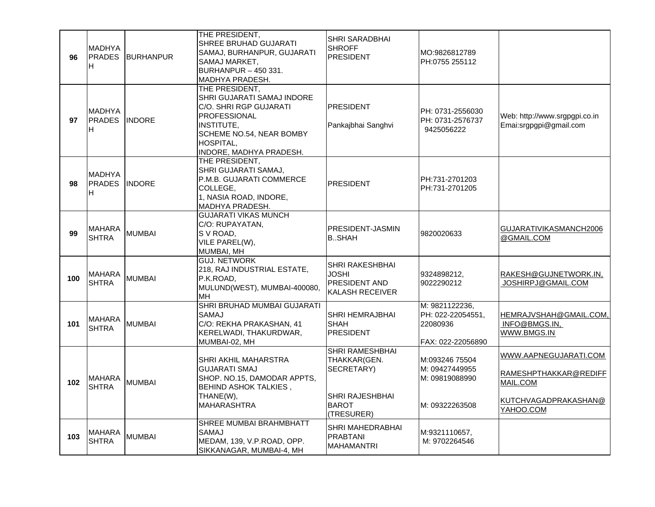| 96  | IMADHYA<br><b>PRADES</b><br>IH.       | BURHANPUR     | THE PRESIDENT,<br>SHREE BRUHAD GUJARATI<br>SAMAJ, BURHANPUR, GUJARATI<br>SAMAJ MARKET,<br>BURHANPUR - 450 331.<br>MADHYA PRADESH.                                               | <b>SHRI SARADBHAI</b><br><b>SHROFF</b><br><b>PRESIDENT</b>                                                   | MO:9826812789<br>PH:0755 255112                                      |                                                                                                 |
|-----|---------------------------------------|---------------|---------------------------------------------------------------------------------------------------------------------------------------------------------------------------------|--------------------------------------------------------------------------------------------------------------|----------------------------------------------------------------------|-------------------------------------------------------------------------------------------------|
| 97  | <b>MADHYA</b><br><b>PRADES</b><br>IH. | <b>INDORE</b> | THE PRESIDENT,<br>SHRI GUJARATI SAMAJ INDORE<br>C/O. SHRI RGP GUJARATI<br><b>PROFESSIONAL</b><br>INSTITUTE,<br>SCHEME NO.54, NEAR BOMBY<br>HOSPITAL,<br>INDORE, MADHYA PRADESH. | <b>PRESIDENT</b><br>Pankajbhai Sanghvi                                                                       | PH: 0731-2556030<br>PH: 0731-2576737<br>9425056222                   | Web: http://www.srgpgpi.co.in<br>Emai:srgpgpi@gmail.com                                         |
| 98  | <b>MADHYA</b><br><b>PRADES</b><br>IH. | <b>INDORE</b> | THE PRESIDENT,<br>SHRI GUJARATI SAMAJ,<br>P.M.B. GUJARATI COMMERCE<br>COLLEGE,<br>1, NASIA ROAD, INDORE,<br>MADHYA PRADESH.                                                     | <b>PRESIDENT</b>                                                                                             | PH:731-2701203<br>PH:731-2701205                                     |                                                                                                 |
| 99  | <b>MAHARA</b><br><b>SHTRA</b>         | <b>MUMBAI</b> | <b>GUJARATI VIKAS MUNCH</b><br>C/O: RUPAYATAN,<br>S V ROAD,<br>VILE PAREL(W),<br>MUMBAI, MH                                                                                     | PRESIDENT-JASMIN<br><b>B.</b> , SHAH                                                                         | 9820020633                                                           | GUJARATIVIKASMANCH2006<br>@GMAIL.COM                                                            |
| 100 | MAHARA<br><b>SHTRA</b>                | <b>MUMBAI</b> | <b>GUJ. NETWORK</b><br>218, RAJ INDUSTRIAL ESTATE,<br>P.K.ROAD,<br>MULUND(WEST), MUMBAI-400080,<br>MH                                                                           | <b>SHRI RAKESHBHAI</b><br>JOSHI<br>PRESIDENT AND<br>KALASH RECEIVER                                          | 9324898212,<br>9022290212                                            | RAKESH@GUJNETWORK.IN,<br>JOSHIRPJ@GMAIL.COM                                                     |
| 101 | MAHARA<br><b>SHTRA</b>                | <b>MUMBAI</b> | SHRI BRUHAD MUMBAI GUJARATI<br>SAMAJ<br>C/O: REKHA PRAKASHAN, 41<br>KERELWADI, THAKURDWAR,<br>MUMBAI-02, MH                                                                     | <b>SHRI HEMRAJBHAI</b><br><b>SHAH</b><br><b>PRESIDENT</b>                                                    | M: 9821122236,<br>PH: 022-22054551,<br>22080936<br>FAX: 022-22056890 | HEMRAJVSHAH@GMAIL.COM,<br>INFO@BMGS.IN,<br>WWW.BMGS.IN                                          |
| 102 | <b>MAHARA</b><br><b>SHTRA</b>         | <b>MUMBAI</b> | SHRI AKHIL MAHARSTRA<br><b>GUJARATI SMAJ</b><br>SHOP. NO.15, DAMODAR APPTS,<br><b>BEHIND ASHOK TALKIES,</b><br>THANE(W),<br><b>MAHARASHTRA</b>                                  | <b>SHRI RAMESHBHAI</b><br>THAKKAR(GEN.<br>SECRETARY)<br><b>SHRI RAJESHBHAI</b><br><b>BAROT</b><br>(TRESURER) | M:093246 75504<br>M: 09427449955<br>M: 09819088990<br>M: 09322263508 | WWW.AAPNEGUJARATI.COM<br>RAMESHPTHAKKAR@REDIFF<br>MAIL.COM<br>KUTCHVAGADPRAKASHAN@<br>YAHOO.COM |
| 103 | MAHARA<br><b>SHTRA</b>                | <b>MUMBAI</b> | SHREE MUMBAI BRAHMBHATT<br><b>SAMAJ</b><br>MEDAM, 139, V.P.ROAD, OPP.<br>SIKKANAGAR, MUMBAI-4, MH                                                                               | SHRI MAHEDRABHAI<br><b>PRABTANI</b><br><b>MAHAMANTRI</b>                                                     | M:9321110657,<br>M: 9702264546                                       |                                                                                                 |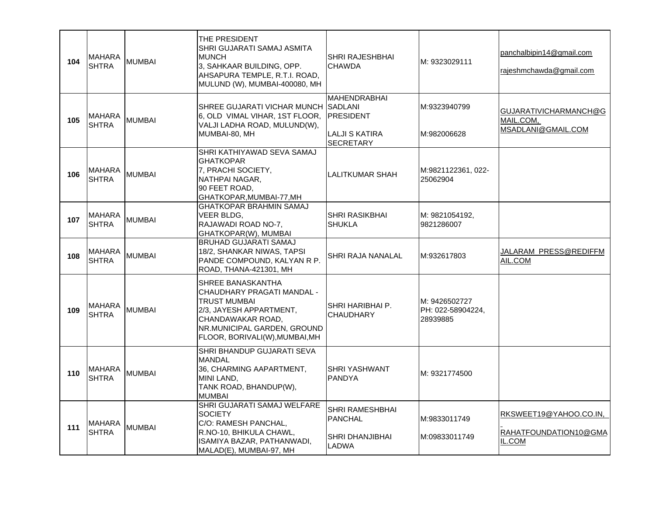| 104 | <b>MAHARA</b><br>SHTRA        | <b>MUMBAI</b> | THE PRESIDENT<br>SHRI GUJARATI SAMAJ ASMITA<br><b>MUNCH</b><br>3, SAHKAAR BUILDING, OPP.<br>AHSAPURA TEMPLE, R.T.I. ROAD,<br>MULUND (W), MUMBAI-400080, MH                       | SHRI RAJESHBHAI<br><b>CHAWDA</b>                                                                | M: 9323029111                                  | panchalbipin14@gmail.com<br>rajeshmchawda@gmail.com              |
|-----|-------------------------------|---------------|----------------------------------------------------------------------------------------------------------------------------------------------------------------------------------|-------------------------------------------------------------------------------------------------|------------------------------------------------|------------------------------------------------------------------|
| 105 | <b>MAHARA</b><br>SHTRA        | <b>MUMBAI</b> | SHREE GUJARATI VICHAR MUNCH<br>6, OLD VIMAL VIHAR, 1ST FLOOR,<br>VALJI LADHA ROAD, MULUND(W),<br>MUMBAI-80, MH                                                                   | <b>MAHENDRABHAI</b><br><b>SADLANI</b><br><b>PRESIDENT</b><br>LALJI S KATIRA<br><b>SECRETARY</b> | M:9323940799<br>M:982006628                    | GUJARATIVICHARMANCH@G<br>MAIL.COM,<br>MSADLANI@GMAIL.COM         |
| 106 | <b>MAHARA</b><br><b>SHTRA</b> | <b>MUMBAI</b> | SHRI KATHIYAWAD SEVA SAMAJ<br><b>GHATKOPAR</b><br>7, PRACHI SOCIETY,<br>NATHPAI NAGAR,<br>90 FEET ROAD,<br>GHATKOPAR, MUMBAI-77, MH                                              | <b>LALITKUMAR SHAH</b>                                                                          | M:9821122361, 022-<br>25062904                 |                                                                  |
| 107 | <b>MAHARA</b><br><b>SHTRA</b> | <b>MUMBAI</b> | <b>GHATKOPAR BRAHMIN SAMAJ</b><br>VEER BLDG,<br>RAJAWADI ROAD NO-7,<br>GHATKOPAR(W), MUMBAI                                                                                      | SHRI RASIKBHAI<br><b>SHUKLA</b>                                                                 | M: 9821054192.<br>9821286007                   |                                                                  |
| 108 | <b>MAHARA</b><br><b>SHTRA</b> | <b>MUMBAI</b> | <b>BRUHAD GUJARATI SAMAJ</b><br>18/2, SHANKAR NIWAS, TAPSI<br>PANDE COMPOUND, KALYAN R P.<br>ROAD, THANA-421301, MH                                                              | SHRI RAJA NANALAL                                                                               | M:932617803                                    | <u> JALARAM_PRESS@REDIFFM</u><br>AIL.COM                         |
| 109 | <b>MAHARA</b><br><b>SHTRA</b> | <b>MUMBAI</b> | SHREE BANASKANTHA<br>CHAUDHARY PRAGATI MANDAL -<br>TRUST MUMBAI<br>2/3, JAYESH APPARTMENT,<br>CHANDAWAKAR ROAD,<br>NR.MUNICIPAL GARDEN, GROUND<br>FLOOR, BORIVALI(W), MUMBAI, MH | SHRI HARIBHAI P.<br><b>CHAUDHARY</b>                                                            | M: 9426502727<br>PH: 022-58904224,<br>28939885 |                                                                  |
| 110 | <b>MAHARA</b><br><b>SHTRA</b> | <b>MUMBAI</b> | SHRI BHANDUP GUJARATI SEVA<br><b>MANDAL</b><br>36, CHARMING AAPARTMENT,<br>MINI LAND,<br>TANK ROAD, BHANDUP(W),<br><b>MUMBAI</b>                                                 | SHRI YASHWANT<br><b>PANDYA</b>                                                                  | M: 9321774500                                  |                                                                  |
| 111 | <b>MAHARA</b><br>SHTRA        | <b>MUMBAI</b> | SHRI GUJARATI SAMAJ WELFARE<br><b>SOCIETY</b><br>C/O: RAMESH PANCHAL,<br>R.NO-10, BHIKULA CHAWL,<br>ISAMIYA BAZAR, PATHANWADI,<br>MALAD(E), MUMBAI-97, MH                        | SHRI RAMESHBHAI<br><b>PANCHAL</b><br>SHRI DHANJIBHAI<br>LADWA                                   | M:9833011749<br>M:09833011749                  | <u>RKSWEET19@YAHOO.CO.IN,</u><br>RAHATFOUNDATION10@GMA<br>IL.COM |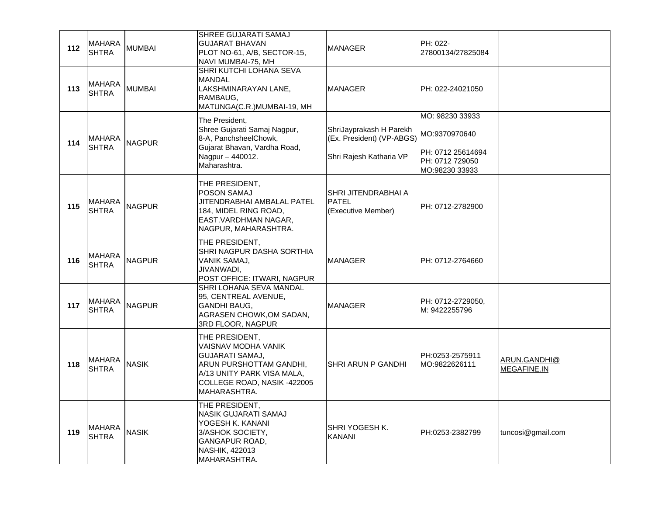| 112 | <b>MAHARA</b><br><b>SHTRA</b> | <b>MUMBAI</b> | SHREE GUJARATI SAMAJ<br><b>GUJARAT BHAVAN</b><br>PLOT NO-61, A/B, SECTOR-15,<br>NAVI MUMBAI-75, MH                                                                      | <b>MANAGER</b>                                                                  | PH: 022-<br>27800134/27825084                                                              |                             |
|-----|-------------------------------|---------------|-------------------------------------------------------------------------------------------------------------------------------------------------------------------------|---------------------------------------------------------------------------------|--------------------------------------------------------------------------------------------|-----------------------------|
| 113 | <b>MAHARA</b><br><b>SHTRA</b> | <b>MUMBAI</b> | SHRI KUTCHI LOHANA SEVA<br><b>MANDAL</b><br>LAKSHMINARAYAN LANE,<br>RAMBAUG,<br>MATUNGA(C.R.)MUMBAI-19, MH                                                              | <b>MANAGER</b>                                                                  | PH: 022-24021050                                                                           |                             |
| 114 | <b>MAHARA</b><br><b>SHTRA</b> | <b>NAGPUR</b> | The President,<br>Shree Gujarati Samaj Nagpur,<br>8-A, PanchsheelChowk,<br>Gujarat Bhavan, Vardha Road,<br>Nagpur - 440012.<br>Maharashtra.                             | ShriJayprakash H Parekh<br>(Ex. President) (VP-ABGS)<br>Shri Rajesh Katharia VP | MO: 98230 33933<br>MO:9370970640<br>PH: 0712 25614694<br>PH: 0712 729050<br>MO:98230 33933 |                             |
| 115 | MAHARA<br><b>SHTRA</b>        | <b>NAGPUR</b> | THE PRESIDENT,<br><b>POSON SAMAJ</b><br>JITENDRABHAI AMBALAL PATEL<br>184, MIDEL RING ROAD,<br>EAST.VARDHMAN NAGAR,<br>NAGPUR, MAHARASHTRA.                             | SHRI JITENDRABHAI A<br><b>PATEL</b><br>(Executive Member)                       | PH: 0712-2782900                                                                           |                             |
| 116 | <b>MAHARA</b><br><b>SHTRA</b> | <b>NAGPUR</b> | THE PRESIDENT,<br>SHRI NAGPUR DASHA SORTHIA<br>VANIK SAMAJ,<br>JIVANWADI,<br>POST OFFICE: ITWARI, NAGPUR                                                                | <b>MANAGER</b>                                                                  | PH: 0712-2764660                                                                           |                             |
| 117 | <b>MAHARA</b><br><b>SHTRA</b> | <b>NAGPUR</b> | SHRI LOHANA SEVA MANDAL<br>95, CENTREAL AVENUE,<br><b>GANDHI BAUG,</b><br>AGRASEN CHOWK, OM SADAN,<br>3RD FLOOR, NAGPUR                                                 | <b>MANAGER</b>                                                                  | PH: 0712-2729050,<br>M: 9422255796                                                         |                             |
| 118 | <b>MAHARA</b><br><b>SHTRA</b> | <b>NASIK</b>  | THE PRESIDENT,<br>VAISNAV MODHA VANIK<br><b>GUJARATI SAMAJ,</b><br>ARUN PURSHOTTAM GANDHI,<br>A/13 UNITY PARK VISA MALA,<br>COLLEGE ROAD, NASIK -422005<br>MAHARASHTRA. | SHRI ARUN P GANDHI                                                              | PH:0253-2575911<br>MO:9822626111                                                           | ARUN.GANDHI@<br>MEGAFINE.IN |
| 119 | <b>MAHARA</b><br><b>SHTRA</b> | <b>NASIK</b>  | THE PRESIDENT,<br>NASIK GUJARATI SAMAJ<br>YOGESH K. KANANI<br>3/ASHOK SOCIETY,<br>GANGAPUR ROAD,<br><b>NASHIK, 422013</b><br>MAHARASHTRA.                               | SHRI YOGESH K.<br><b>KANANI</b>                                                 | PH:0253-2382799                                                                            | tuncosi@gmail.com           |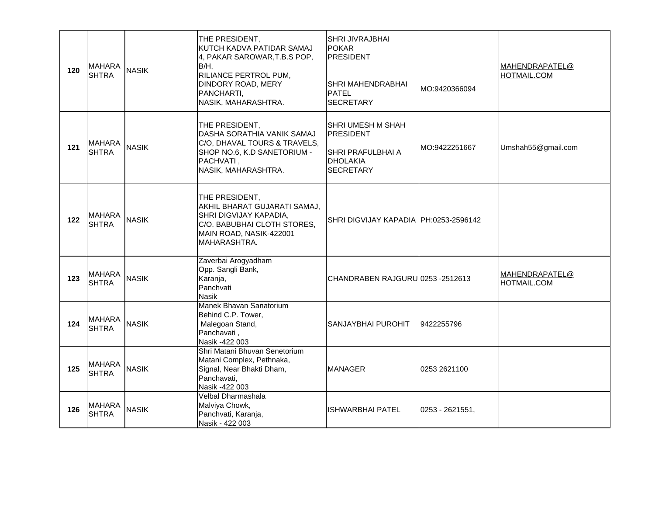| 120 | <b>MAHARA</b><br><b>SHTRA</b> | <b>NASIK</b> | THE PRESIDENT,<br>KUTCH KADVA PATIDAR SAMAJ<br>4, PAKAR SAROWAR, T.B.S POP,<br>B/H,<br>RILIANCE PERTROL PUM,<br>DINDORY ROAD, MERY<br>PANCHARTI,<br>NASIK, MAHARASHTRA. | <b>SHRI JIVRAJBHAI</b><br>POKAR<br><b>PRESIDENT</b><br>SHRI MAHENDRABHAI<br><b>PATEL</b><br><b>SECRETARY</b> | MO:9420366094   | MAHENDRAPATEL@<br>HOTMAIL.COM |
|-----|-------------------------------|--------------|-------------------------------------------------------------------------------------------------------------------------------------------------------------------------|--------------------------------------------------------------------------------------------------------------|-----------------|-------------------------------|
| 121 | <b>MAHARA</b><br><b>SHTRA</b> | <b>NASIK</b> | THE PRESIDENT,<br>DASHA SORATHIA VANIK SAMAJ<br>C/O, DHAVAL TOURS & TRAVELS,<br>SHOP NO.6, K.D SANETORIUM -<br>PACHVATI,<br>NASIK, MAHARASHTRA.                         | <b>SHRI UMESH M SHAH</b><br>IPRESIDENT<br><b>SHRI PRAFULBHAI A</b><br>DHOLAKIA<br><b>SECRETARY</b>           | MO:9422251667   | Umshah55@gmail.com            |
| 122 | <b>MAHARA</b><br><b>SHTRA</b> | <b>NASIK</b> | THE PRESIDENT,<br>AKHIL BHARAT GUJARATI SAMAJ,<br>SHRI DIGVIJAY KAPADIA,<br>C/O. BABUBHAI CLOTH STORES,<br>MAIN ROAD, NASIK-422001<br>MAHARASHTRA.                      | SHRI DIGVIJAY KAPADIA PH:0253-2596142                                                                        |                 |                               |
| 123 | <b>MAHARA</b><br><b>SHTRA</b> | <b>NASIK</b> | Zaverbai Arogyadham<br>Opp. Sangli Bank,<br>Karanja,<br>Panchvati<br><b>Nasik</b>                                                                                       | CHANDRABEN RAJGURU 0253 - 2512613                                                                            |                 | MAHENDRAPATEL@<br>HOTMAIL.COM |
| 124 | <b>MAHARA</b><br><b>SHTRA</b> | <b>NASIK</b> | Manek Bhavan Sanatorium<br>Behind C.P. Tower,<br>Malegoan Stand,<br>Panchavati,<br>Nasik -422 003                                                                       | SANJAYBHAI PUROHIT                                                                                           | 9422255796      |                               |
| 125 | <b>MAHARA</b><br><b>SHTRA</b> | <b>NASIK</b> | Shri Matani Bhuvan Senetorium<br>Matani Complex, Pethnaka,<br>Signal, Near Bhakti Dham,<br>Panchavati,<br>Nasik -422 003                                                | <b>MANAGER</b>                                                                                               | 0253 2621100    |                               |
| 126 | <b>MAHARA</b><br><b>SHTRA</b> | <b>NASIK</b> | Velbal Dharmashala<br>Malviya Chowk,<br>Panchvati, Karanja,<br>Nasik - 422 003                                                                                          | ISHWARBHAI PATEL                                                                                             | 0253 - 2621551, |                               |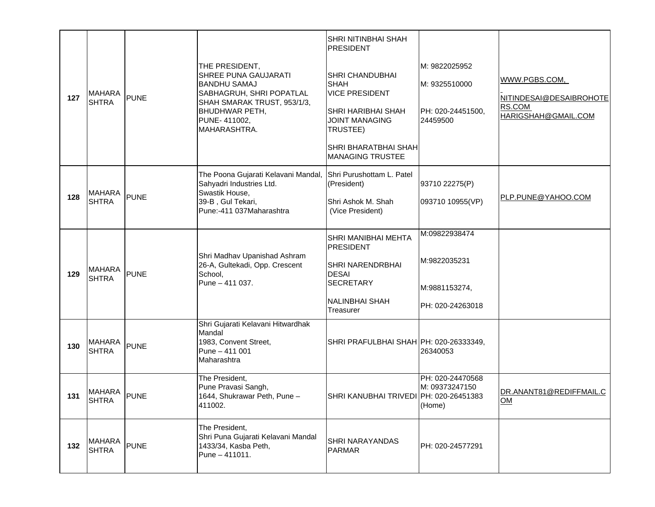|     |                               |             |                                                                                                                                                                            | SHRI NITINBHAI SHAH<br>PRESIDENT                                                                                                                                |                                                                 |                                                                           |
|-----|-------------------------------|-------------|----------------------------------------------------------------------------------------------------------------------------------------------------------------------------|-----------------------------------------------------------------------------------------------------------------------------------------------------------------|-----------------------------------------------------------------|---------------------------------------------------------------------------|
| 127 | <b>MAHARA</b><br><b>SHTRA</b> | <b>PUNE</b> | THE PRESIDENT,<br>SHREE PUNA GAUJARATI<br><b>BANDHU SAMAJ</b><br>SABHAGRUH, SHRI POPATLAL<br>SHAH SMARAK TRUST, 953/1/3,<br>BHUDHWAR PETH,<br>PUNE-411002,<br>MAHARASHTRA. | <b>SHRI CHANDUBHAI</b><br><b>SHAH</b><br><b>VICE PRESIDENT</b><br><b>SHRI HARIBHAI SHAH</b><br><b>JOINT MANAGING</b><br>TRUSTEE)<br><b>SHRI BHARATBHAI SHAH</b> | M: 9822025952<br>M: 9325510000<br>PH: 020-24451500,<br>24459500 | WWW.PGBS.COM,<br>NITINDESAI@DESAIBROHOTE<br>RS.COM<br>HARIGSHAH@GMAIL.COM |
|     |                               |             |                                                                                                                                                                            | <b>MANAGING TRUSTEE</b>                                                                                                                                         |                                                                 |                                                                           |
|     |                               |             | The Poona Gujarati Kelavani Mandal,<br>Sahyadri Industries Ltd.                                                                                                            | Shri Purushottam L. Patel<br>(President)                                                                                                                        | 93710 22275(P)                                                  |                                                                           |
| 128 | <b>MAHARA</b><br><b>SHTRA</b> | <b>PUNE</b> | Swastik House,<br>39-B, Gul Tekari,<br>Pune:-411 037Maharashtra                                                                                                            | Shri Ashok M. Shah<br>(Vice President)                                                                                                                          | 093710 10955(VP)                                                | PLP.PUNE@YAHOO.COM                                                        |
|     |                               |             |                                                                                                                                                                            | SHRI MANIBHAI MEHTA                                                                                                                                             | M:09822938474                                                   |                                                                           |
| 129 | <b>MAHARA</b><br><b>SHTRA</b> | <b>PUNE</b> | Shri Madhav Upanishad Ashram<br>26-A, Gultekadi, Opp. Crescent<br>School,                                                                                                  | PRESIDENT<br>SHRI NARENDRBHAI<br><b>DESAI</b>                                                                                                                   | M:9822035231                                                    |                                                                           |
|     |                               |             | Pune - 411 037.                                                                                                                                                            | <b>SECRETARY</b>                                                                                                                                                | M:9881153274,                                                   |                                                                           |
|     |                               |             |                                                                                                                                                                            | NALINBHAI SHAH<br>Treasurer                                                                                                                                     | PH: 020-24263018                                                |                                                                           |
| 130 | <b>MAHARA</b><br><b>SHTRA</b> | <b>PUNE</b> | Shri Gujarati Kelavani Hitwardhak<br>Mandal<br>1983, Convent Street,<br>Pune - 411 001<br>Maharashtra                                                                      | SHRI PRAFULBHAI SHAH PH: 020-26333349,                                                                                                                          | 26340053                                                        |                                                                           |
| 131 | MAHARA<br><b>SHTRA</b>        | <b>PUNE</b> | The President,<br>Pune Pravasi Sangh,<br>1644, Shukrawar Peth, Pune -<br>411002.                                                                                           | SHRI KANUBHAI TRIVEDI PH: 020-26451383                                                                                                                          | PH: 020-24470568<br>M: 09373247150<br>(Home)                    | DR.ANANT81@REDIFFMAIL.C<br>$\underline{OM}$                               |
| 132 | <b>MAHARA</b><br><b>SHTRA</b> | PUNE        | The President,<br>Shri Puna Gujarati Kelavani Mandal<br>1433/34, Kasba Peth,<br>Pune - 411011.                                                                             | SHRI NARAYANDAS<br>PARMAR                                                                                                                                       | PH: 020-24577291                                                |                                                                           |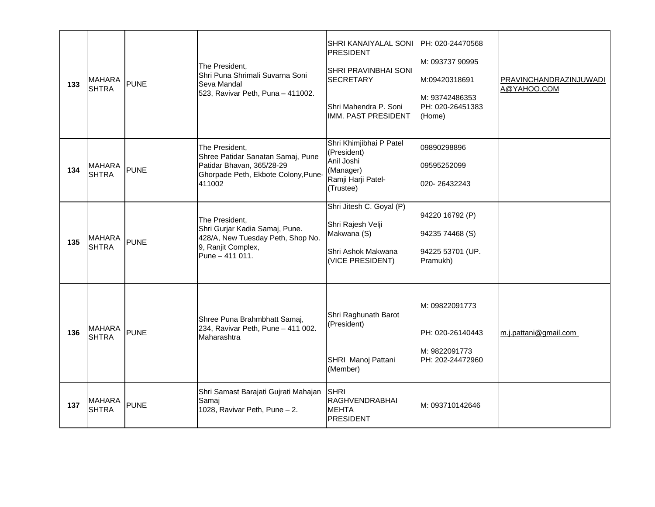| 133 | <b>MAHARA</b><br><b>SHTRA</b> | <b>PUNE</b> | The President.<br>Shri Puna Shrimali Suvarna Soni<br>Seva Mandal<br>523, Ravivar Peth, Puna - 411002.                             | SHRI KANAIYALAL SONI<br>PRESIDENT<br>SHRI PRAVINBHAI SONI<br><b>SECRETARY</b><br>Shri Mahendra P. Soni<br>IMM. PAST PRESIDENT | PH: 020-24470568<br>M: 093737 90995<br>M:09420318691<br>lM: 93742486353<br>PH: 020-26451383<br>(Home) | PRAVINCHANDRAZINJUWADI<br>A@YAHOO.COM |
|-----|-------------------------------|-------------|-----------------------------------------------------------------------------------------------------------------------------------|-------------------------------------------------------------------------------------------------------------------------------|-------------------------------------------------------------------------------------------------------|---------------------------------------|
| 134 | <b>MAHARA</b><br><b>SHTRA</b> | <b>PUNE</b> | The President,<br>Shree Patidar Sanatan Samaj, Pune<br>Patidar Bhavan, 365/28-29<br>Ghorpade Peth, Ekbote Colony, Pune-<br>411002 | Shri Khimjibhai P Patel<br>(President)<br>Anil Joshi<br>(Manager)<br>Ramji Harji Patel-<br>(Trustee)                          | 09890298896<br>09595252099<br>020-26432243                                                            |                                       |
| 135 | <b>MAHARA</b><br><b>SHTRA</b> | <b>PUNE</b> | The President,<br>Shri Gurjar Kadia Samaj, Pune.<br>428/A, New Tuesday Peth, Shop No.<br>9, Ranjit Complex,<br>Pune - 411 011.    | Shri Jitesh C. Goyal (P)<br>Shri Rajesh Velji<br>Makwana (S)<br>Shri Ashok Makwana<br>(VICE PRESIDENT)                        | 94220 16792 (P)<br>94235 74468 (S)<br>94225 53701 (UP.<br>Pramukh)                                    |                                       |
| 136 | <b>MAHARA</b><br><b>SHTRA</b> | <b>PUNE</b> | Shree Puna Brahmbhatt Samaj,<br>234, Ravivar Peth, Pune - 411 002.<br>Maharashtra                                                 | Shri Raghunath Barot<br>(President)<br>SHRI Manoj Pattani<br>(Member)                                                         | M: 09822091773<br>PH: 020-26140443<br>M: 9822091773<br>PH: 202-24472960                               | m.j.pattani@gmail.com                 |
| 137 | <b>MAHARA</b><br><b>SHTRA</b> | <b>PUNE</b> | Shri Samast Barajati Gujrati Mahajan<br>Samaj<br>1028, Ravivar Peth, Pune - 2.                                                    | SHRI<br><b>RAGHVENDRABHAI</b><br><b>MEHTA</b><br>PRESIDENT                                                                    | M: 093710142646                                                                                       |                                       |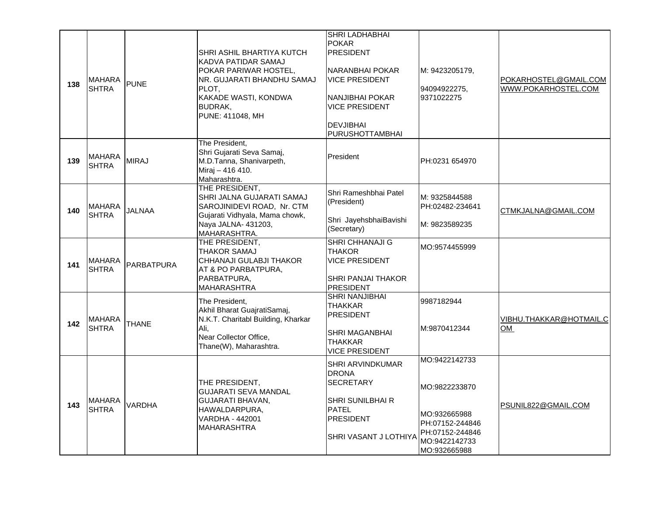| 138 | <b>MAHARA</b><br><b>SHTRA</b> | PUNE          | SHRI ASHIL BHARTIYA KUTCH<br>KADVA PATIDAR SAMAJ<br>POKAR PARIWAR HOSTEL,<br>NR. GUJARATI BHANDHU SAMAJ<br>PLOT.<br>KAKADE WASTI, KONDWA<br>BUDRAK,<br>PUNE: 411048, MH | SHRI LADHABHAI<br><b>POKAR</b><br><b>PRESIDENT</b><br>NARANBHAI POKAR<br><b>VICE PRESIDENT</b><br>NANJIBHAI POKAR<br><b>VICE PRESIDENT</b><br><b>DEVJIBHAI</b><br>PURUSHOTTAMBHAI | M: 9423205179,<br>94094922275,<br>9371022275                                                                          | POKARHOSTEL@GMAIL.COM<br>WWW.POKARHOSTEL.COM |
|-----|-------------------------------|---------------|-------------------------------------------------------------------------------------------------------------------------------------------------------------------------|-----------------------------------------------------------------------------------------------------------------------------------------------------------------------------------|-----------------------------------------------------------------------------------------------------------------------|----------------------------------------------|
| 139 | <b>MAHARA</b><br><b>SHTRA</b> | <b>MIRAJ</b>  | The President,<br>Shri Gujarati Seva Samaj,<br>M.D.Tanna, Shanivarpeth,<br>Miraj - 416 410.<br>Maharashtra.                                                             | President                                                                                                                                                                         | PH:0231 654970                                                                                                        |                                              |
| 140 | <b>MAHARA</b><br>SHTRA        | <b>JALNAA</b> | THE PRESIDENT,<br>SHRI JALNA GUJARATI SAMAJ<br>SAROJINIDEVI ROAD, Nr. CTM<br>Gujarati Vidhyala, Mama chowk,<br>Naya JALNA- 431203,<br>MAHARASHTRA.                      | Shri Rameshbhai Patel<br>(President)<br>Shri JayehsbhaiBavishi<br>(Secretary)                                                                                                     | M: 9325844588<br>PH:02482-234641<br>M: 9823589235                                                                     | CTMKJALNA@GMAIL.COM                          |
| 141 | <b>MAHARA</b><br><b>SHTRA</b> | PARBATPURA    | THE PRESIDENT,<br>THAKOR SAMAJ<br>CHHANAJI GULABJI THAKOR<br>AT & PO PARBATPURA,<br>PARBATPURA,<br><b>MAHARASHTRA</b>                                                   | <b>SHRI CHHANAJI G</b><br><b>THAKOR</b><br><b>VICE PRESIDENT</b><br>SHRI PANJAI THAKOR<br><b>PRESIDENT</b>                                                                        | MO:9574455999                                                                                                         |                                              |
| 142 | <b>MAHARA</b><br><b>SHTRA</b> | <b>THANE</b>  | The President,<br>Akhil Bharat GuajratiSamaj,<br>N.K.T. Charitabl Building, Kharkar<br>Ali,<br>Near Collector Office,<br>Thane(W), Maharashtra.                         | <b>SHRI NANJIBHAI</b><br><b>THAKKAR</b><br><b>PRESIDENT</b><br><b>SHRI MAGANBHAI</b><br><b>THAKKAR</b><br><b>VICE PRESIDENT</b>                                                   | 9987182944<br>M:9870412344                                                                                            | VIBHU.THAKKAR@HOTMAIL.C<br>OM                |
| 143 | <b>MAHARA</b><br><b>SHTRA</b> | <b>VARDHA</b> | THE PRESIDENT,<br><b>GUJARATI SEVA MANDAL</b><br>GUJARATI BHAVAN,<br>HAWALDARPURA,<br>VARDHA - 442001<br><b>MAHARASHTRA</b>                                             | <b>SHRI ARVINDKUMAR</b><br><b>DRONA</b><br><b>SECRETARY</b><br>SHRI SUNILBHAI R<br><b>PATEL</b><br><b>PRESIDENT</b><br>SHRI VASANT J LOTHIYA                                      | MO:9422142733<br>MO:9822233870<br>MO:932665988<br>PH:07152-244846<br>PH:07152-244846<br>MO:9422142733<br>MO:932665988 | PSUNIL822@GMAIL.COM                          |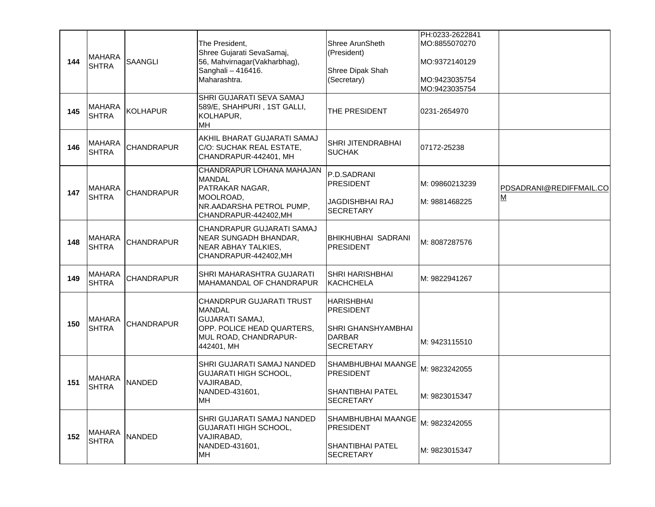| 144 | <b>MAHARA</b><br><b>SHTRA</b> | <b>SAANGLI</b>    | The President,<br>Shree Gujarati SevaSamaj,<br>56, Mahvirnagar(Vakharbhag),<br>Sanghali - 416416.<br>Maharashtra.                        | Shree ArunSheth<br>(President)<br>Shree Dipak Shah<br>(Secretary)                                | PH:0233-2622841<br>MO:8855070270<br>MO:9372140129<br>MO:9423035754<br>MO:9423035754 |                                     |
|-----|-------------------------------|-------------------|------------------------------------------------------------------------------------------------------------------------------------------|--------------------------------------------------------------------------------------------------|-------------------------------------------------------------------------------------|-------------------------------------|
| 145 | <b>MAHARA</b><br><b>SHTRA</b> | KOLHAPUR          | SHRI GUJARATI SEVA SAMAJ<br>589/E, SHAHPURI, 1ST GALLI,<br>KOLHAPUR,<br><b>MH</b>                                                        | THE PRESIDENT                                                                                    | 0231-2654970                                                                        |                                     |
| 146 | <b>MAHARA</b><br><b>SHTRA</b> | <b>CHANDRAPUR</b> | AKHIL BHARAT GUJARATI SAMAJ<br>C/O: SUCHAK REAL ESTATE,<br>CHANDRAPUR-442401, MH                                                         | SHRI JITENDRABHAI<br><b>SUCHAK</b>                                                               | 07172-25238                                                                         |                                     |
| 147 | <b>MAHARA</b><br><b>SHTRA</b> | <b>CHANDRAPUR</b> | CHANDRAPUR LOHANA MAHAJAN<br><b>MANDAL</b><br>PATRAKAR NAGAR,<br>MOOLROAD,<br>NR.AADARSHA PETROL PUMP,<br>CHANDRAPUR-442402, MH          | P.D.SADRANI<br><b>PRESIDENT</b><br><b>JAGDISHBHAI RAJ</b><br><b>SECRETARY</b>                    | M: 09860213239<br>M: 9881468225                                                     | PDSADRANI@REDIFFMAIL.CO<br><u>M</u> |
| 148 | <b>MAHARA</b><br><b>SHTRA</b> | <b>CHANDRAPUR</b> | CHANDRAPUR GUJARATI SAMAJ<br>NEAR SUNGADH BHANDAR,<br>NEAR ABHAY TALKIES,<br>CHANDRAPUR-442402, MH                                       | <b>BHIKHUBHAI SADRANI</b><br><b>PRESIDENT</b>                                                    | M: 8087287576                                                                       |                                     |
| 149 | <b>MAHARA</b><br><b>SHTRA</b> | <b>CHANDRAPUR</b> | SHRI MAHARASHTRA GUJARATI<br>MAHAMANDAL OF CHANDRAPUR                                                                                    | <b>SHRI HARISHBHAI</b><br><b>KACHCHELA</b>                                                       | M: 9822941267                                                                       |                                     |
| 150 | <b>MAHARA</b><br><b>SHTRA</b> | CHANDRAPUR        | CHANDRPUR GUJARATI TRUST<br><b>MANDAL</b><br><b>GUJARATI SAMAJ,</b><br>OPP. POLICE HEAD QUARTERS,<br>MUL ROAD, CHANDRAPUR-<br>442401, MH | <b>HARISHBHAI</b><br><b>PRESIDENT</b><br>SHRI GHANSHYAMBHAI<br><b>DARBAR</b><br><b>SECRETARY</b> | M: 9423115510                                                                       |                                     |
| 151 | <b>MAHARA</b><br>ISHTRA       | <b>NANDED</b>     | SHRI GUJARATI SAMAJ NANDED<br><b>GUJARATI HIGH SCHOOL,</b><br>VAJIRABAD,<br>NANDED-431601,<br>MH                                         | SHAMBHUBHAI MAANGE<br><b>PRESIDENT</b><br><b>SHANTIBHAI PATEL</b><br>SECRETARY                   | M: 9823242055<br>M: 9823015347                                                      |                                     |
| 152 | <b>MAHARA</b><br><b>SHTRA</b> | <b>NANDED</b>     | SHRI GUJARATI SAMAJ NANDED<br><b>GUJARATI HIGH SCHOOL,</b><br>VAJIRABAD,<br>NANDED-431601,<br>MH                                         | SHAMBHUBHAI MAANGE<br><b>PRESIDENT</b><br><b>SHANTIBHAI PATEL</b><br><b>SECRETARY</b>            | M: 9823242055<br>M: 9823015347                                                      |                                     |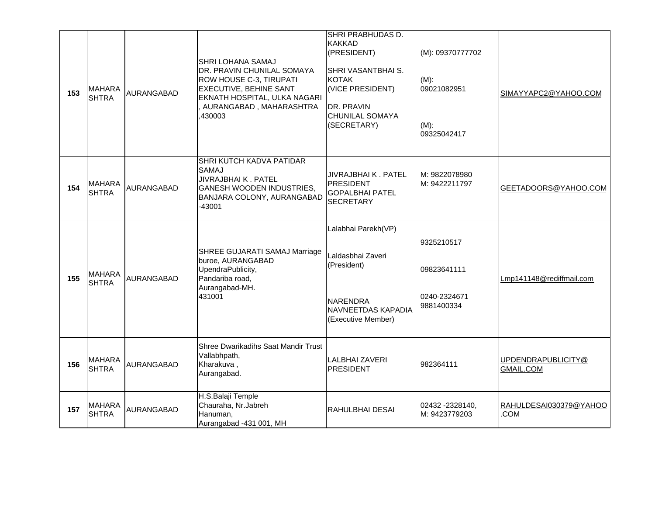| 153 | <b>MAHARA</b><br><b>SHTRA</b> | <b>AURANGABAD</b> | SHRI LOHANA SAMAJ<br>DR. PRAVIN CHUNILAL SOMAYA<br>ROW HOUSE C-3, TIRUPATI<br>EXECUTIVE, BEHINE SANT<br>EKNATH HOSPITAL, ULKA NAGARI<br>, AURANGABAD, MAHARASHTRA<br>430003 | SHRI PRABHUDAS D.<br><b>KAKKAD</b><br>(PRESIDENT)<br>SHRI VASANTBHAI S.<br><b>KOTAK</b><br>(VICE PRESIDENT)<br>DR. PRAVIN<br><b>CHUNILAL SOMAYA</b><br>(SECRETARY) | (M): 09370777702<br>$(M)$ :<br>09021082951<br>$(M)$ :<br>09325042417 | SIMAYYAPC2@YAHOO.COM                   |
|-----|-------------------------------|-------------------|-----------------------------------------------------------------------------------------------------------------------------------------------------------------------------|--------------------------------------------------------------------------------------------------------------------------------------------------------------------|----------------------------------------------------------------------|----------------------------------------|
| 154 | <b>MAHARA</b><br>SHTRA        | <b>AURANGABAD</b> | SHRI KUTCH KADVA PATIDAR<br><b>SAMAJ</b><br>JIVRAJBHAI K. PATEL<br>GANESH WOODEN INDUSTRIES,<br>BANJARA COLONY, AURANGABAD<br>$-43001$                                      | JIVRAJBHAI K. PATEL<br><b>PRESIDENT</b><br><b>GOPALBHAI PATEL</b><br><b>SECRETARY</b>                                                                              | M: 9822078980<br>M: 9422211797                                       | GEETADOORS@YAHOO.COM                   |
| 155 | <b>MAHARA</b><br><b>SHTRA</b> | AURANGABAD        | SHREE GUJARATI SAMAJ Marriage<br>buroe, AURANGABAD<br>UpendraPublicity,<br>Pandariba road,<br>Aurangabad-MH.<br>431001                                                      | Lalabhai Parekh(VP)<br>Laldasbhai Zaveri<br>(President)<br><b>NARENDRA</b><br><b>NAVNEETDAS KAPADIA</b><br>(Executive Member)                                      | 9325210517<br>09823641111<br>0240-2324671<br>9881400334              | Lmp141148@rediffmail.com               |
| 156 | <b>MAHARA</b><br><b>SHTRA</b> | AURANGABAD        | <b>Shree Dwarikadihs Saat Mandir Trust</b><br>Vallabhpath,<br>Kharakuva,<br>Aurangabad.                                                                                     | <b>LALBHAI ZAVERI</b><br><b>PRESIDENT</b>                                                                                                                          | 982364111                                                            | UPDENDRAPUBLICITY@<br><b>GMAIL.COM</b> |
| 157 | MAHARA<br>SHTRA               | AURANGABAD        | H.S.Balaji Temple<br>Chauraha, Nr.Jabreh<br>Hanuman,<br>Aurangabad -431 001, MH                                                                                             | RAHULBHAI DESAI                                                                                                                                                    | 02432 - 2328140,<br>M: 9423779203                                    | RAHULDESAI030379@YAHOO<br>COM.         |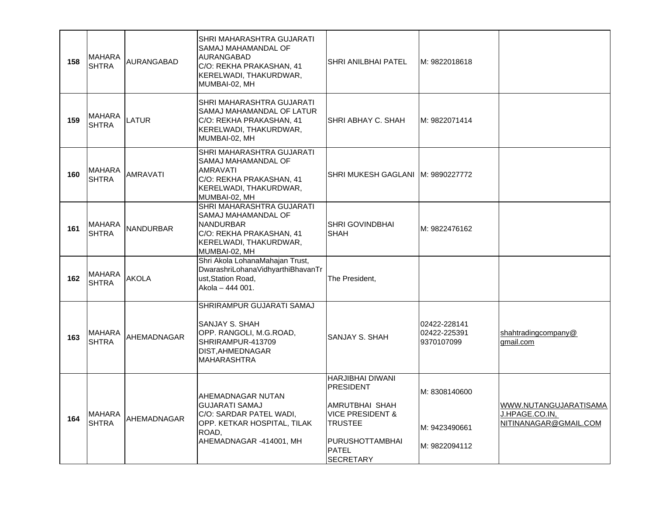| 158 | <b>MAHARA</b><br><b>SHTRA</b> | AURANGABAD       | SHRI MAHARASHTRA GUJARATI<br>SAMAJ MAHAMANDAL OF<br>AURANGABAD<br>C/O: REKHA PRAKASHAN, 41<br>KERELWADI, THAKURDWAR,<br>MUMBAI-02, MH       | <b>SHRI ANILBHAI PATEL</b>                                                                                                                       | M: 9822018618                                   |                                                                  |
|-----|-------------------------------|------------------|---------------------------------------------------------------------------------------------------------------------------------------------|--------------------------------------------------------------------------------------------------------------------------------------------------|-------------------------------------------------|------------------------------------------------------------------|
| 159 | <b>MAHARA</b><br><b>SHTRA</b> | <b>LATUR</b>     | SHRI MAHARASHTRA GUJARATI<br>SAMAJ MAHAMANDAL OF LATUR<br>C/O: REKHA PRAKASHAN, 41<br>KERELWADI, THAKURDWAR,<br>MUMBAI-02, MH               | <b>SHRI ABHAY C. SHAH</b>                                                                                                                        | M: 9822071414                                   |                                                                  |
| 160 | <b>MAHARA</b><br><b>SHTRA</b> | <b>AMRAVATI</b>  | SHRI MAHARASHTRA GUJARATI<br>SAMAJ MAHAMANDAL OF<br><b>AMRAVATI</b><br>C/O: REKHA PRAKASHAN, 41<br>KERELWADI, THAKURDWAR,<br>MUMBAI-02, MH  | SHRI MUKESH GAGLANI   M: 9890227772                                                                                                              |                                                 |                                                                  |
| 161 | <b>MAHARA</b><br><b>SHTRA</b> | <b>NANDURBAR</b> | SHRI MAHARASHTRA GUJARATI<br>SAMAJ MAHAMANDAL OF<br><b>NANDURBAR</b><br>C/O: REKHA PRAKASHAN, 41<br>KERELWADI, THAKURDWAR,<br>MUMBAI-02, MH | ISHRI GOVINDBHAI<br><b>SHAH</b>                                                                                                                  | M: 9822476162                                   |                                                                  |
| 162 | <b>MAHARA</b><br><b>SHTRA</b> | <b>AKOLA</b>     | Shri Akola LohanaMahajan Trust,<br>DwarashriLohanaVidhyarthiBhavanTr<br>ust, Station Road,<br>Akola - 444 001.                              | The President,                                                                                                                                   |                                                 |                                                                  |
| 163 | <b>MAHARA</b><br><b>SHTRA</b> | AHEMADNAGAR      | SHRIRAMPUR GUJARATI SAMAJ<br>SANJAY S. SHAH<br>OPP. RANGOLI, M.G.ROAD,<br>SHRIRAMPUR-413709<br>DIST, AHMEDNAGAR<br><b>MAHARASHTRA</b>       | ISANJAY S. SHAH                                                                                                                                  | 02422-228141<br>02422-225391<br>9370107099      | shahtradingcompany@<br>gmail.com                                 |
| 164 | <b>MAHARA</b><br><b>SHTRA</b> | AHEMADNAGAR      | AHEMADNAGAR NUTAN<br><b>GUJARATI SAMAJ</b><br>C/O: SARDAR PATEL WADI,<br>OPP. KETKAR HOSPITAL, TILAK<br>ROAD,<br>AHEMADNAGAR -414001, MH    | HARJIBHAI DIWANI<br>PRESIDENT<br>AMRUTBHAI SHAH<br><b>VICE PRESIDENT &amp;</b><br><b>TRUSTEE</b><br>PURUSHOTTAMBHAI<br><b>PATEL</b><br>SECRETARY | M: 8308140600<br>M: 9423490661<br>M: 9822094112 | WWW.NUTANGUJARATISAMA<br>J.HPAGE.CO.IN,<br>NITINANAGAR@GMAIL.COM |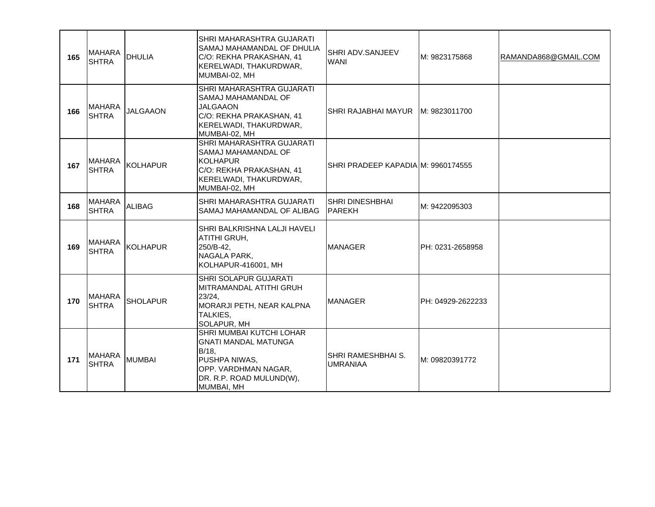| 165 | <b>MAHARA</b><br><b>SHTRA</b> | DHULIA          | SHRI MAHARASHTRA GUJARATI<br>SAMAJ MAHAMANDAL OF DHULIA<br>C/O: REKHA PRAKASHAN, 41<br>KERELWADI, THAKURDWAR,<br>MUMBAI-02, MH                         | SHRI ADV.SANJEEV<br><b>WANI</b>         | M: 9823175868     | RAMANDA868@GMAIL.COM |
|-----|-------------------------------|-----------------|--------------------------------------------------------------------------------------------------------------------------------------------------------|-----------------------------------------|-------------------|----------------------|
| 166 | <b>MAHARA</b><br><b>SHTRA</b> | <b>JALGAAON</b> | SHRI MAHARASHTRA GUJARATI<br>SAMAJ MAHAMANDAL OF<br><b>JALGAAON</b><br>C/O: REKHA PRAKASHAN, 41<br>KERELWADI, THAKURDWAR,<br>MUMBAI-02, MH             | SHRI RAJABHAI MAYUR   M: 9823011700     |                   |                      |
| 167 | <b>MAHARA</b><br><b>SHTRA</b> | KOLHAPUR        | SHRI MAHARASHTRA GUJARATI<br>ISAMAJ MAHAMANDAL OF<br><b>KOLHAPUR</b><br>C/O: REKHA PRAKASHAN, 41<br>KERELWADI, THAKURDWAR,<br>MUMBAI-02, MH            | SHRI PRADEEP KAPADIA M: 9960174555      |                   |                      |
| 168 | <b>MAHARA</b><br><b>SHTRA</b> | <b>ALIBAG</b>   | SHRI MAHARASHTRA GUJARATI<br>SAMAJ MAHAMANDAL OF ALIBAG                                                                                                | <b>SHRI DINESHBHAI</b><br><b>PAREKH</b> | M: 9422095303     |                      |
| 169 | <b>MAHARA</b><br><b>SHTRA</b> | KOLHAPUR        | <b>SHRI BALKRISHNA LALJI HAVELI</b><br>ATITHI GRUH,<br>250/B-42,<br>NAGALA PARK,<br>KOLHAPUR-416001, MH                                                | <b>MANAGER</b>                          | PH: 0231-2658958  |                      |
| 170 | <b>MAHARA</b><br><b>SHTRA</b> | <b>SHOLAPUR</b> | SHRI SOLAPUR GUJARATI<br>MITRAMANDAL ATITHI GRUH<br>23/24,<br>MORARJI PETH, NEAR KALPNA<br>TALKIES,<br>SOLAPUR, MH                                     | <b>MANAGER</b>                          | PH: 04929-2622233 |                      |
| 171 | <b>MAHARA</b><br><b>SHTRA</b> | <b>MUMBAI</b>   | SHRI MUMBAI KUTCHI LOHAR<br><b>GNATI MANDAL MATUNGA</b><br>$B/18$ ,<br>PUSHPA NIWAS.<br>OPP. VARDHMAN NAGAR,<br>DR. R.P. ROAD MULUND(W),<br>MUMBAI, MH | SHRI RAMESHBHAI S.<br><b>UMRANIAA</b>   | M: 09820391772    |                      |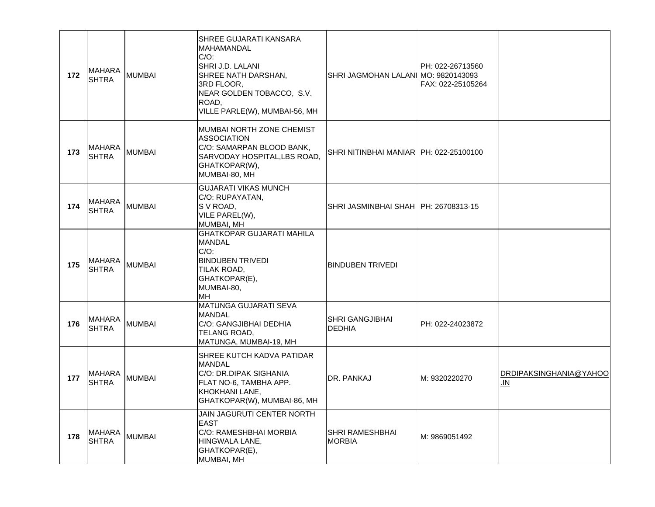| 172 | <b>MAHARA</b><br><b>SHTRA</b> | <b>MUMBAI</b> | SHREE GUJARATI KANSARA<br>MAHAMANDAL<br>$C/O$ :<br>SHRI J.D. LALANI<br>SHREE NATH DARSHAN,<br>3RD FLOOR,<br>NEAR GOLDEN TOBACCO, S.V.<br>ROAD,<br>VILLE PARLE(W), MUMBAI-56, MH | SHRI JAGMOHAN LALANI MO: 9820143093      | PH: 022-26713560<br>FAX: 022-25105264 |                               |
|-----|-------------------------------|---------------|---------------------------------------------------------------------------------------------------------------------------------------------------------------------------------|------------------------------------------|---------------------------------------|-------------------------------|
| 173 | <b>MAHARA</b><br><b>SHTRA</b> | <b>MUMBAI</b> | MUMBAI NORTH ZONE CHEMIST<br><b>ASSOCIATION</b><br>C/O: SAMARPAN BLOOD BANK,<br>SARVODAY HOSPITAL, LBS ROAD,<br>GHATKOPAR(W),<br>MUMBAI-80, MH                                  | SHRI NITINBHAI MANIAR   PH: 022-25100100 |                                       |                               |
| 174 | <b>MAHARA</b><br><b>SHTRA</b> | <b>MUMBAI</b> | <b>GUJARATI VIKAS MUNCH</b><br>C/O: RUPAYATAN,<br>S V ROAD,<br>VILE PAREL(W),<br>MUMBAI, MH                                                                                     | SHRI JASMINBHAI SHAH   PH: 26708313-15   |                                       |                               |
| 175 | <b>MAHARA</b><br><b>SHTRA</b> | <b>MUMBAI</b> | <b>GHATKOPAR GUJARATI MAHILA</b><br><b>MANDAL</b><br>$C/O$ :<br><b>BINDUBEN TRIVEDI</b><br>TILAK ROAD,<br>GHATKOPAR(E),<br>MUMBAI-80,<br>MH                                     | <b>BINDUBEN TRIVEDI</b>                  |                                       |                               |
| 176 | <b>MAHARA</b><br><b>SHTRA</b> | <b>MUMBAI</b> | MATUNGA GUJARATI SEVA<br><b>MANDAL</b><br>C/O: GANGJIBHAI DEDHIA<br>TELANG ROAD,<br>MATUNGA, MUMBAI-19, MH                                                                      | <b>SHRI GANGJIBHAI</b><br><b>DEDHIA</b>  | PH: 022-24023872                      |                               |
| 177 | <b>MAHARA</b><br><b>SHTRA</b> | <b>MUMBAI</b> | SHREE KUTCH KADVA PATIDAR<br><b>MANDAL</b><br>C/O: DR.DIPAK SIGHANIA<br>FLAT NO-6, TAMBHA APP.<br>KHOKHANI LANE,<br>GHATKOPAR(W), MUMBAI-86, MH                                 | DR. PANKAJ                               | M: 9320220270                         | DRDIPAKSINGHANIA@YAHOO<br>.IN |
| 178 | <b>MAHARA</b><br><b>SHTRA</b> | <b>MUMBAI</b> | JAIN JAGURUTI CENTER NORTH<br>EAST<br>C/O: RAMESHBHAI MORBIA<br>HINGWALA LANE,<br>GHATKOPAR(E),<br>MUMBAI, MH                                                                   | SHRI RAMESHBHAI<br><b>MORBIA</b>         | M: 9869051492                         |                               |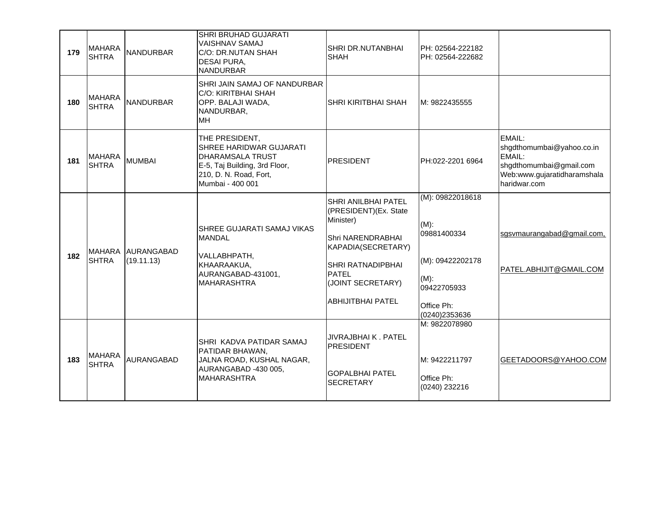| 179 | <b>MAHARA</b><br><b>SHTRA</b> | <b>NANDURBAR</b>                | SHRI BRUHAD GUJARATI<br>VAISHNAV SAMAJ<br>C/O: DR.NUTAN SHAH<br>DESAI PURA,<br><b>NANDURBAR</b>                                                     | SHRI DR.NUTANBHAI<br><b>SHAH</b>                                                                                                                                                           | PH: 02564-222182<br>PH: 02564-222682                                                                                    |                                                                                                                         |
|-----|-------------------------------|---------------------------------|-----------------------------------------------------------------------------------------------------------------------------------------------------|--------------------------------------------------------------------------------------------------------------------------------------------------------------------------------------------|-------------------------------------------------------------------------------------------------------------------------|-------------------------------------------------------------------------------------------------------------------------|
| 180 | <b>MAHARA</b><br><b>SHTRA</b> | <b>NANDURBAR</b>                | SHRI JAIN SAMAJ OF NANDURBAR<br>C/O: KIRITBHAI SHAH<br>OPP. BALAJI WADA,<br>NANDURBAR,<br><b>MH</b>                                                 | SHRI KIRITBHAI SHAH                                                                                                                                                                        | M: 9822435555                                                                                                           |                                                                                                                         |
| 181 | <b>MAHARA</b><br><b>SHTRA</b> | <b>MUMBAI</b>                   | THE PRESIDENT,<br>SHREE HARIDWAR GUJARATI<br><b>DHARAMSALA TRUST</b><br>E-5, Taj Building, 3rd Floor,<br>210, D. N. Road, Fort,<br>Mumbai - 400 001 | <b>PRESIDENT</b>                                                                                                                                                                           | PH:022-2201 6964                                                                                                        | EMAIL:<br>shgdthomumbai@yahoo.co.in<br>EMAIL:<br>shgdthomumbai@gmail.com<br>Web:www.gujaratidharamshala<br>haridwar.com |
| 182 | <b>MAHARA</b><br><b>SHTRA</b> | <b>AURANGABAD</b><br>(19.11.13) | SHREE GUJARATI SAMAJ VIKAS<br><b>MANDAL</b><br>VALLABHPATH,<br>KHAARAAKUA,<br>AURANGABAD-431001,<br><b>MAHARASHTRA</b>                              | SHRI ANILBHAI PATEL<br>(PRESIDENT)(Ex. State<br>Minister)<br>Shri NARENDRABHAI<br>KAPADIA(SECRETARY)<br>SHRI RATNADIPBHAI<br><b>PATEL</b><br>(JOINT SECRETARY)<br><b>ABHIJITBHAI PATEL</b> | (M): 09822018618<br>$(M)$ :<br>09881400334<br>(M): 09422202178<br>$(M)$ :<br>09422705933<br>Office Ph:<br>(0240)2353636 | sgsvmaurangabad@gmail.com,<br>PATEL.ABHIJIT@GMAIL.COM                                                                   |
| 183 | <b>MAHARA</b><br><b>SHTRA</b> | AURANGABAD                      | SHRI KADVA PATIDAR SAMAJ<br>PATIDAR BHAWAN,<br>JALNA ROAD, KUSHAL NAGAR,<br>AURANGABAD -430 005,<br><b>MAHARASHTRA</b>                              | JIVRAJBHAI K. PATEL<br><b>PRESIDENT</b><br><b>GOPALBHAI PATEL</b><br><b>SECRETARY</b>                                                                                                      | M: 9822078980<br>M: 9422211797<br>Office Ph:<br>(0240) 232216                                                           | GEETADOORS@YAHOO.COM                                                                                                    |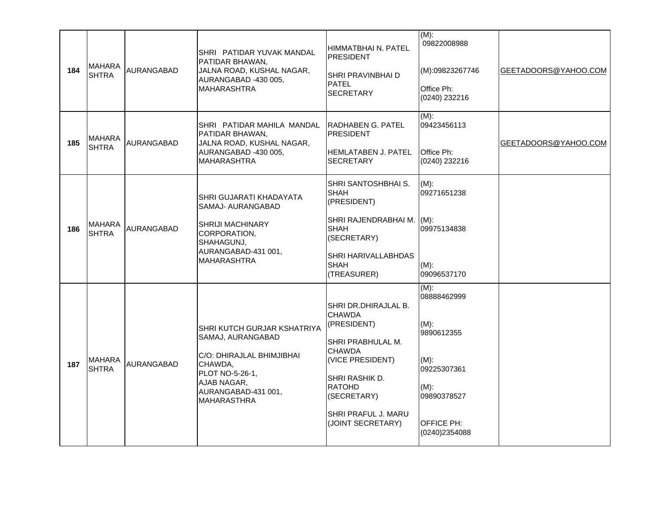| 184 | MAHARA<br><b>SHTRA</b>        | AURANGABAD | SHRI PATIDAR YUVAK MANDAL<br>PATIDAR BHAWAN,<br>JALNA ROAD, KUSHAL NAGAR,<br>AURANGABAD -430 005,<br><b>MAHARASHTRA</b>                                                 | HIMMATBHAI N. PATEL<br><b>PRESIDENT</b><br>SHRI PRAVINBHAI D<br><b>PATEL</b><br><b>SECRETARY</b>                                                                                                              | $(M)$ :<br>09822008988<br>(M):09823267746<br>Office Ph:<br>(0240) 232216                                                           | GEETADOORS@YAHOO.COM |
|-----|-------------------------------|------------|-------------------------------------------------------------------------------------------------------------------------------------------------------------------------|---------------------------------------------------------------------------------------------------------------------------------------------------------------------------------------------------------------|------------------------------------------------------------------------------------------------------------------------------------|----------------------|
| 185 | <b>MAHARA</b><br><b>SHTRA</b> | AURANGABAD | SHRI PATIDAR MAHILA MANDAL<br>PATIDAR BHAWAN.<br>JALNA ROAD, KUSHAL NAGAR,<br>AURANGABAD -430 005,<br><b>MAHARASHTRA</b>                                                | IRADHABEN G. PATEL<br><b>PRESIDENT</b><br><b>HEMLATABEN J. PATEL</b><br><b>SECRETARY</b>                                                                                                                      | $(M)$ :<br>09423456113<br>Office Ph:<br>(0240) 232216                                                                              | GEETADOORS@YAHOO.COM |
| 186 | <b>MAHARA</b><br><b>SHTRA</b> | AURANGABAD | SHRI GUJARATI KHADAYATA<br>SAMAJ- AURANGABAD<br><b>SHRIJI MACHINARY</b><br>CORPORATION.<br>SHAHAGUNJ,<br>AURANGABAD-431 001,<br><b>MAHARASHTRA</b>                      | SHRI SANTOSHBHAI S.<br><b>SHAH</b><br>(PRESIDENT)<br>SHRI RAJENDRABHAI M. (M):<br><b>SHAH</b><br>(SECRETARY)<br>SHRI HARIVALLABHDAS<br><b>SHAH</b><br>(TREASURER)                                             | $(M)$ :<br>09271651238<br>09975134838<br>$(M)$ :<br>09096537170                                                                    |                      |
| 187 | <b>MAHARA</b><br><b>SHTRA</b> | AURANGABAD | SHRI KUTCH GURJAR KSHATRIYA<br>SAMAJ, AURANGABAD<br>C/O: DHIRAJLAL BHIMJIBHAI<br>CHAWDA,<br>PLOT NO-5-26-1,<br>AJAB NAGAR,<br>AURANGABAD-431 001,<br><b>MAHARASTHRA</b> | SHRI DR. DHIRAJLAL B.<br><b>CHAWDA</b><br>(PRESIDENT)<br>SHRI PRABHULAL M.<br><b>CHAWDA</b><br>(VICE PRESIDENT)<br>SHRI RASHIK D.<br><b>RATOHD</b><br>(SECRETARY)<br>SHRI PRAFUL J. MARU<br>(JOINT SECRETARY) | $(M)$ :<br>08888462999<br>$(M)$ :<br>9890612355<br>$(M)$ :<br>09225307361<br>$(M)$ :<br>09890378527<br>OFFICE PH:<br>(0240)2354088 |                      |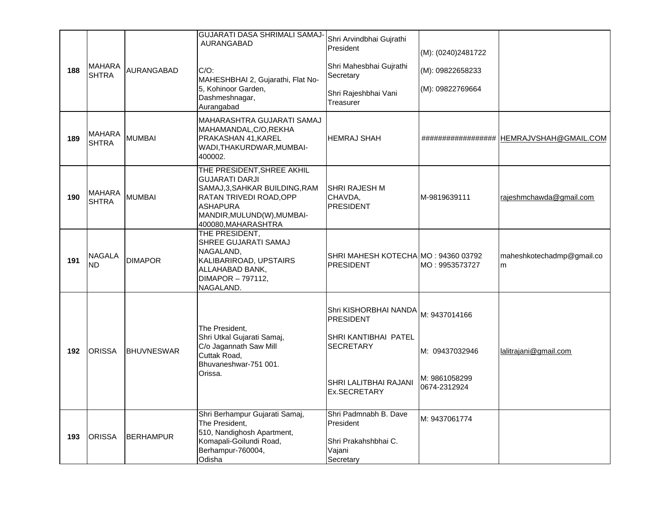| 188 | <b>MAHARA</b><br><b>SHTRA</b> | <b>AURANGABAD</b> | GUJARATI DASA SHRIMALI SAMAJ-<br>AURANGABAD<br>$C/O$ :<br>MAHESHBHAI 2, Gujarathi, Flat No-<br>5, Kohinoor Garden,<br>Dashmeshnagar,<br>Aurangabad                                      | Shri Arvindbhai Gujrathi<br>President<br>Shri Mahesbhai Gujrathi<br>Secretary<br>Shri Rajeshbhai Vani<br>Treasurer                                                   | (M): (0240)2481722<br>(M): 09822658233<br>(M): 09822769664 |                                             |
|-----|-------------------------------|-------------------|-----------------------------------------------------------------------------------------------------------------------------------------------------------------------------------------|----------------------------------------------------------------------------------------------------------------------------------------------------------------------|------------------------------------------------------------|---------------------------------------------|
| 189 | <b>MAHARA</b><br><b>SHTRA</b> | <b>MUMBAI</b>     | MAHARASHTRA GUJARATI SAMAJ<br>MAHAMANDAL, C/O, REKHA<br>PRAKASHAN 41, KAREL<br>WADI, THAKURDWAR, MUMBAI-<br>400002.                                                                     | <b>HEMRAJ SHAH</b>                                                                                                                                                   |                                                            | ###################   HEMRAJVSHAH@GMAIL.COM |
| 190 | <b>MAHARA</b><br><b>SHTRA</b> | <b>MUMBAI</b>     | THE PRESIDENT, SHREE AKHIL<br><b>GUJARATI DARJI</b><br>SAMAJ,3, SAHKAR BUILDING, RAM<br>RATAN TRIVEDI ROAD, OPP<br><b>ASHAPURA</b><br>MANDIR, MULUND(W), MUMBAI-<br>400080, MAHARASHTRA | SHRI RAJESH M<br>CHAVDA,<br><b>PRESIDENT</b>                                                                                                                         | M-9819639111                                               | rajeshmchawda@gmail.com                     |
| 191 | <b>NAGALA</b><br><b>ND</b>    | <b>DIMAPOR</b>    | THE PRESIDENT,<br>SHREE GUJARATI SAMAJ<br>NAGALAND,<br>KALIBARIROAD, UPSTAIRS<br>ALLAHABAD BANK,<br>DIMAPOR - 797112,<br>NAGALAND.                                                      | SHRI MAHESH KOTECHA MO: 94360 03792<br>PRESIDENT                                                                                                                     | MO: 9953573727                                             | maheshkotechadmp@gmail.co<br>m              |
| 192 | <b>ORISSA</b>                 | <b>BHUVNESWAR</b> | The President,<br>Shri Utkal Gujarati Samaj,<br>C/o Jagannath Saw Mill<br>Cuttak Road,<br>Bhuvaneshwar-751 001.<br>Orissa.                                                              | Shri KISHORBHAI NANDA $\vert_{\mathsf{M}\colon 9437014166}$<br><b>PRESIDENT</b><br>SHRI KANTIBHAI PATEL<br><b>SECRETARY</b><br>SHRI LALITBHAI RAJANI<br>Ex.SECRETARY | M: 09437032946<br>M: 9861058299<br>0674-2312924            | lalitrajani@gmail.com                       |
| 193 | <b>ORISSA</b>                 | <b>BERHAMPUR</b>  | Shri Berhampur Gujarati Samaj,<br>The President,<br>510, Nandighosh Apartment,<br>Komapali-Goilundi Road,<br>Berhampur-760004,<br>Odisha                                                | Shri Padmnabh B. Dave<br>President<br>Shri Prakahshbhai C.<br>Vajani<br>Secretary                                                                                    | M: 9437061774                                              |                                             |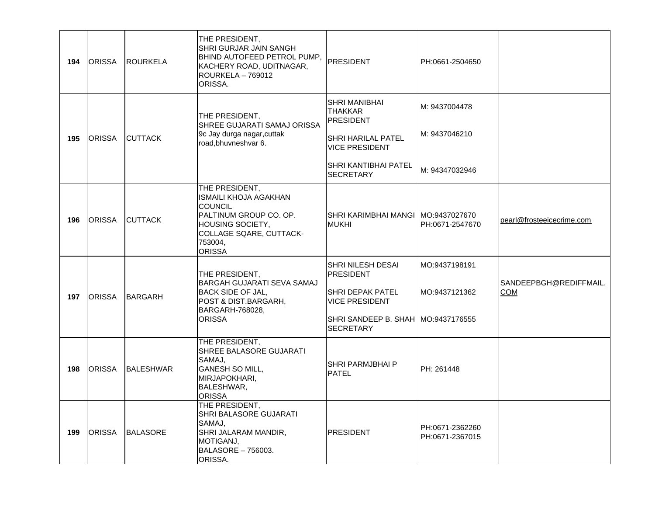| 194 | <b>ORISSA</b> | <b>ROURKELA</b>  | THE PRESIDENT,<br>SHRI GURJAR JAIN SANGH<br>BHIND AUTOFEED PETROL PUMP, PRESIDENT<br>KACHERY ROAD, UDITNAGAR,<br><b>ROURKELA - 769012</b><br>ORISSA.                  |                                                                                                                                                              | PH:0661-2504650                                  |                                      |
|-----|---------------|------------------|-----------------------------------------------------------------------------------------------------------------------------------------------------------------------|--------------------------------------------------------------------------------------------------------------------------------------------------------------|--------------------------------------------------|--------------------------------------|
| 195 | <b>ORISSA</b> | <b>CUTTACK</b>   | THE PRESIDENT,<br>SHREE GUJARATI SAMAJ ORISSA<br>9c Jay durga nagar, cuttak<br>road, bhuvneshvar 6.                                                                   | SHRI MANIBHAI<br><b>THAKKAR</b><br><b>PRESIDENT</b><br><b>SHRI HARILAL PATEL</b><br><b>VICE PRESIDENT</b><br><b>SHRI KANTIBHAI PATEL</b><br><b>SECRETARY</b> | M: 9437004478<br>M: 9437046210<br>M: 94347032946 |                                      |
| 196 | <b>ORISSA</b> | <b>CUTTACK</b>   | THE PRESIDENT,<br><b>ISMAILI KHOJA AGAKHAN</b><br><b>COUNCIL</b><br>PALTINUM GROUP CO. OP.<br>HOUSING SOCIETY,<br>COLLAGE SQARE, CUTTACK-<br>753004,<br><b>ORISSA</b> | ISHRI KARIMBHAI MANGI IMO:9437027670<br><b>MUKHI</b>                                                                                                         | PH:0671-2547670                                  | pearl@frosteeicecrime.com            |
| 197 | <b>ORISSA</b> | BARGARH          | THE PRESIDENT,<br>BARGAH GUJARATI SEVA SAMAJ<br><b>BACK SIDE OF JAL,</b><br>POST & DIST.BARGARH,<br>BARGARH-768028,<br><b>ORISSA</b>                                  | <b>SHRI NILESH DESAI</b><br>PRESIDENT<br>SHRI DEPAK PATEL<br><b>VICE PRESIDENT</b><br>SHRI SANDEEP B. SHAH MO:9437176555<br><b>SECRETARY</b>                 | MO:9437198191<br>MO:9437121362                   | SANDEEPBGH@REDIFFMAIL.<br><b>COM</b> |
| 198 | <b>ORISSA</b> | <b>BALESHWAR</b> | THE PRESIDENT,<br>SHREE BALASORE GUJARATI<br>SAMAJ,<br><b>GANESH SO MILL,</b><br>MIRJAPOKHARI,<br>BALESHWAR,<br><b>ORISSA</b>                                         | <b>SHRI PARMJBHAI P</b><br><b>PATEL</b>                                                                                                                      | PH: 261448                                       |                                      |
| 199 | <b>ORISSA</b> | <b>BALASORE</b>  | THE PRESIDENT,<br>SHRI BALASORE GUJARATI<br>SAMAJ,<br>SHRI JALARAM MANDIR,<br>MOTIGANJ,<br>BALASORE - 756003.<br>ORISSA.                                              | PRESIDENT                                                                                                                                                    | PH:0671-2362260<br>PH:0671-2367015               |                                      |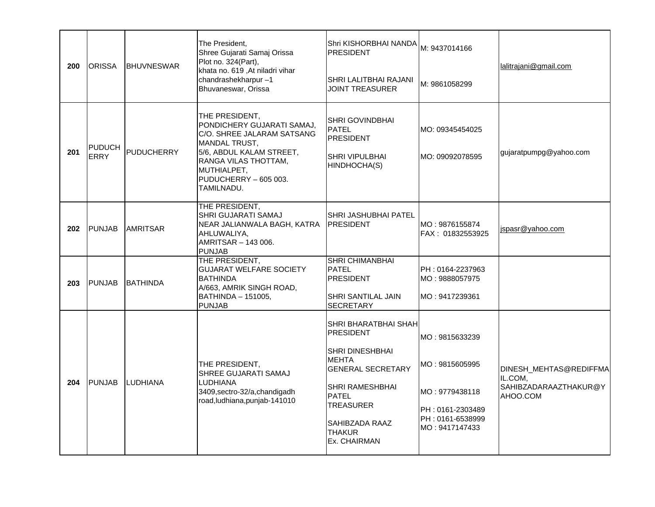| 200 | <b>ORISSA</b>                | <b>BHUVNESWAR</b> | The President,<br>Shree Gujarati Samaj Orissa<br>Plot no. 324(Part),<br>khata no. 619, At niladri vihar<br>chandrashekharpur-1<br>Bhuvaneswar, Orissa                                                 | Shri KISHORBHAI NANDA   M: 9437014166<br><b>PRESIDENT</b><br>SHRI LALITBHAI RAJANI<br><b>JOINT TREASURER</b>                                                                                                      | M: 9861058299                                                                                                | lalitrajani@gmail.com                                                  |
|-----|------------------------------|-------------------|-------------------------------------------------------------------------------------------------------------------------------------------------------------------------------------------------------|-------------------------------------------------------------------------------------------------------------------------------------------------------------------------------------------------------------------|--------------------------------------------------------------------------------------------------------------|------------------------------------------------------------------------|
| 201 | <b>PUDUCH</b><br><b>ERRY</b> | PUDUCHERRY        | THE PRESIDENT,<br>PONDICHERY GUJARATI SAMAJ,<br>C/O. SHREE JALARAM SATSANG<br>MANDAL TRUST,<br>5/6, ABDUL KALAM STREET,<br>RANGA VILAS THOTTAM,<br>MUTHIALPET,<br>PUDUCHERRY - 605 003.<br>TAMILNADU. | <b>SHRI GOVINDBHAI</b><br>PATEL<br><b>PRESIDENT</b><br>SHRI VIPULBHAI<br>HINDHOCHA(S)                                                                                                                             | MO: 09345454025<br>MO: 09092078595                                                                           | gujaratpumpg@yahoo.com                                                 |
| 202 | PUNJAB                       | <b>AMRITSAR</b>   | THE PRESIDENT,<br><b>SHRI GUJARATI SAMAJ</b><br>NEAR JALIANWALA BAGH, KATRA<br>AHLUWALIYA,<br>AMRITSAR - 143 006.<br>PUNJAB                                                                           | <b>SHRI JASHUBHAI PATEL</b><br><b>PRESIDENT</b>                                                                                                                                                                   | IMO : 9876155874<br>FAX: 01832553925                                                                         | jspasr@yahoo.com                                                       |
| 203 | <b>PUNJAB</b>                | <b>BATHINDA</b>   | THE PRESIDENT,<br><b>GUJARAT WELFARE SOCIETY</b><br><b>BATHINDA</b><br>A/663, AMRIK SINGH ROAD,<br>BATHINDA - 151005,<br>PUNJAB                                                                       | <b>SHRI CHIMANBHAI</b><br>PATEL<br><b>PRESIDENT</b><br>SHRI SANTILAL JAIN<br><b>SECRETARY</b>                                                                                                                     | PH: 0164-2237963<br>MO: 9888057975<br>MO: 9417239361                                                         |                                                                        |
| 204 | <b>PUNJAB</b>                | <b>LUDHIANA</b>   | THE PRESIDENT,<br><b>SHREE GUJARATI SAMAJ</b><br>LUDHIANA<br>3409, sectro-32/a, chandigadh<br>road, ludhiana, punjab-141010                                                                           | SHRI BHARATBHAI SHAH<br><b>PRESIDENT</b><br>SHRI DINESHBHAI<br><b>MEHTA</b><br><b>GENERAL SECRETARY</b><br>SHRI RAMESHBHAI<br>PATEL<br><b>TREASURER</b><br>SAHIBZADA RAAZ<br><b>THAKUR</b><br><b>Ex. CHAIRMAN</b> | MO: 9815633239<br>MO: 9815605995<br>MO: 9779438118<br>PH: 0161-2303489<br>PH: 0161-6538999<br>MO: 9417147433 | DINESH_MEHTAS@REDIFFMA<br>IL.COM,<br>SAHIBZADARAAZTHAKUR@Y<br>AHOO.COM |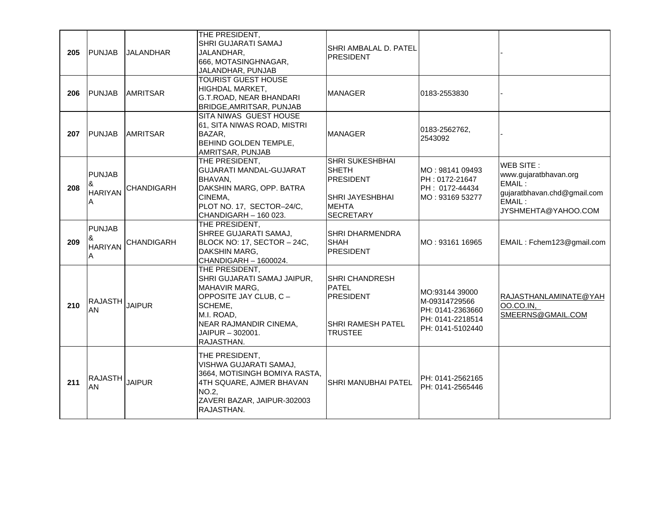| 205 | <b>PUNJAB</b>                             | <b>JALANDHAR</b>  | THE PRESIDENT,<br>SHRI GUJARATI SAMAJ<br>JALANDHAR.<br>666, MOTASINGHNAGAR,<br>JALANDHAR, PUNJAB                                                                                     | SHRI AMBALAL D. PATEL<br><b>PRESIDENT</b>                                                                         |                                                                                             |                                                                                                              |
|-----|-------------------------------------------|-------------------|--------------------------------------------------------------------------------------------------------------------------------------------------------------------------------------|-------------------------------------------------------------------------------------------------------------------|---------------------------------------------------------------------------------------------|--------------------------------------------------------------------------------------------------------------|
| 206 | <b>PUNJAB</b>                             | <b>AMRITSAR</b>   | <b>TOURIST GUEST HOUSE</b><br>HIGHDAL MARKET,<br>G.T.ROAD, NEAR BHANDARI<br>BRIDGE, AMRITSAR, PUNJAB                                                                                 | <b>MANAGER</b>                                                                                                    | 0183-2553830                                                                                |                                                                                                              |
| 207 | <b>PUNJAB</b>                             | <b>AMRITSAR</b>   | SITA NIWAS GUEST HOUSE<br>61, SITA NIWAS ROAD, MISTRI<br>BAZAR,<br><b>BEHIND GOLDEN TEMPLE,</b><br>AMRITSAR, PUNJAB                                                                  | <b>MANAGER</b>                                                                                                    | 0183-2562762,<br>2543092                                                                    |                                                                                                              |
| 208 | <b>PUNJAB</b><br>&<br><b>HARIYAN</b><br>Α | <b>CHANDIGARH</b> | THE PRESIDENT,<br><b>GUJARATI MANDAL-GUJARAT</b><br>BHAVAN,<br>DAKSHIN MARG, OPP. BATRA<br>CINEMA,<br>PLOT NO. 17, SECTOR-24/C,<br>CHANDIGARH - 160 023.                             | <b>SHRI SUKESHBHAI</b><br><b>SHETH</b><br><b>PRESIDENT</b><br>SHRI JAYESHBHAI<br><b>MEHTA</b><br><b>SECRETARY</b> | MO: 98141 09493<br>PH: 0172-21647<br>PH: 0172-44434<br>MO: 93169 53277                      | WEB SITE:<br>www.gujaratbhavan.org<br>EMAIL:<br>gujaratbhavan.chd@gmail.com<br>EMAIL:<br>JYSHMEHTA@YAHOO.COM |
| 209 | <b>PUNJAB</b><br>&<br><b>HARIYAN</b><br>A | <b>CHANDIGARH</b> | THE PRESIDENT,<br>SHREE GUJARATI SAMAJ,<br>BLOCK NO: 17, SECTOR - 24C,<br>DAKSHIN MARG,<br>CHANDIGARH - 1600024.                                                                     | <b>SHRI DHARMENDRA</b><br><b>SHAH</b><br><b>PRESIDENT</b>                                                         | MO: 93161 16965                                                                             | EMAIL: Fchem123@gmail.com                                                                                    |
| 210 | <b>RAJASTH</b><br>AN                      | <b>JAIPUR</b>     | THE PRESIDENT,<br>SHRI GUJARATI SAMAJ JAIPUR,<br><b>MAHAVIR MARG,</b><br>OPPOSITE JAY CLUB, C -<br>SCHEME,<br>M.I. ROAD.<br>NEAR RAJMANDIR CINEMA,<br>JAIPUR - 302001.<br>RAJASTHAN. | SHRI CHANDRESH<br><b>PATEL</b><br><b>PRESIDENT</b><br>SHRI RAMESH PATEL<br><b>TRUSTEE</b>                         | MO:93144 39000<br>M-09314729566<br>PH: 0141-2363660<br>PH: 0141-2218514<br>PH: 0141-5102440 | RAJASTHANLAMINATE@YAH<br>00.CO.IN,<br>SMEERNS@GMAIL.COM                                                      |
| 211 | RAJASTH<br>AN                             | <b>JAIPUR</b>     | THE PRESIDENT,<br>VISHWA GUJARATI SAMAJ,<br>3664, MOTISINGH BOMIYA RASTA,<br>4TH SQUARE, AJMER BHAVAN<br>NO.2,<br>ZAVERI BAZAR, JAIPUR-302003<br>RAJASTHAN.                          | SHRI MANUBHAI PATEL                                                                                               | PH: 0141-2562165<br>PH: 0141-2565446                                                        |                                                                                                              |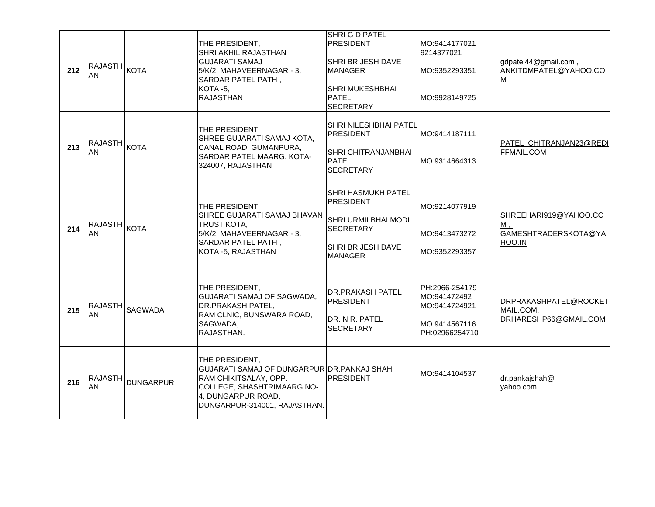| 212 | RAJASTH  <sub>KOTA</sub><br>AN |                  | THE PRESIDENT.<br>SHRI AKHIL RAJASTHAN<br><b>GUJARATI SAMAJ</b><br>5/K/2, MAHAVEERNAGAR - 3,<br>SARDAR PATEL PATH,<br><b>KOTA -5,</b><br><b>RAJASTHAN</b>                  | SHRI G D PATEL<br><b>PRESIDENT</b><br>SHRI BRIJESH DAVE<br>MANAGER<br>SHRI MUKESHBHAI<br><b>PATEL</b><br><b>SECRETARY</b> | MO:9414177021<br>9214377021<br>MO:9352293351<br>MO:9928149725                      | gdpatel44@gmail.com,<br>ANKITDMPATEL@YAHOO.CO<br>M            |
|-----|--------------------------------|------------------|----------------------------------------------------------------------------------------------------------------------------------------------------------------------------|---------------------------------------------------------------------------------------------------------------------------|------------------------------------------------------------------------------------|---------------------------------------------------------------|
| 213 | <b>RAJASTH</b> KOTA<br>AN      |                  | THE PRESIDENT<br>SHREE GUJARATI SAMAJ KOTA,<br>CANAL ROAD, GUMANPURA,<br>SARDAR PATEL MAARG, KOTA-<br>324007, RAJASTHAN                                                    | SHRI NILESHBHAI PATEL<br><b>PRESIDENT</b><br>SHRI CHITRANJANBHAI<br><b>PATEL</b><br><b>SECRETARY</b>                      | MO:9414187111<br>MO:9314664313                                                     | PATEL_CHITRANJAN23@REDI<br>FFMAIL.COM                         |
| 214 | IRAJASTH <sub>KOTA</sub><br>AN |                  | THE PRESIDENT<br>SHREE GUJARATI SAMAJ BHAVAN<br><b>TRUST KOTA,</b><br>5/K/2, MAHAVEERNAGAR - 3,<br>SARDAR PATEL PATH,<br>KOTA -5, RAJASTHAN                                | SHRI HASMUKH PATEL<br><b>PRESIDENT</b><br>SHRI URMILBHAI MODI<br><b>SECRETARY</b><br>SHRI BRIJESH DAVE<br><b>MANAGER</b>  | MO:9214077919<br>MO:9413473272<br>MO:9352293357                                    | SHREEHARI919@YAHOO.CO<br>M,<br>GAMESHTRADERSKOTA@YA<br>HOO.IN |
| 215 | <b>RAJASTH</b><br>AN           | <b>SAGWADA</b>   | THE PRESIDENT,<br>GUJARATI SAMAJ OF SAGWADA,<br>DR.PRAKASH PATEL,<br>RAM CLNIC, BUNSWARA ROAD,<br>SAGWADA,<br>RAJASTHAN.                                                   | DR.PRAKASH PATEL<br><b>PRESIDENT</b><br>DR. N R. PATEL<br><b>SECRETARY</b>                                                | PH:2966-254179<br>MO:941472492<br>MO:9414724921<br>MO:9414567116<br>PH:02966254710 | DRPRAKASHPATEL@ROCKET<br>MAIL.COM,<br>DRHARESHP66@GMAIL.COM   |
| 216 | <b>RAJASTH</b><br>ΑN           | <b>DUNGARPUR</b> | THE PRESIDENT,<br>GUJARATI SAMAJ OF DUNGARPUR DR. PANKAJ SHAH<br>RAM CHIKITSALAY, OPP.<br>COLLEGE, SHASHTRIMAARG NO-<br>4, DUNGARPUR ROAD,<br>DUNGARPUR-314001, RAJASTHAN. | <b>PRESIDENT</b>                                                                                                          | MO:9414104537                                                                      | dr.pankajshah@<br>yahoo.com                                   |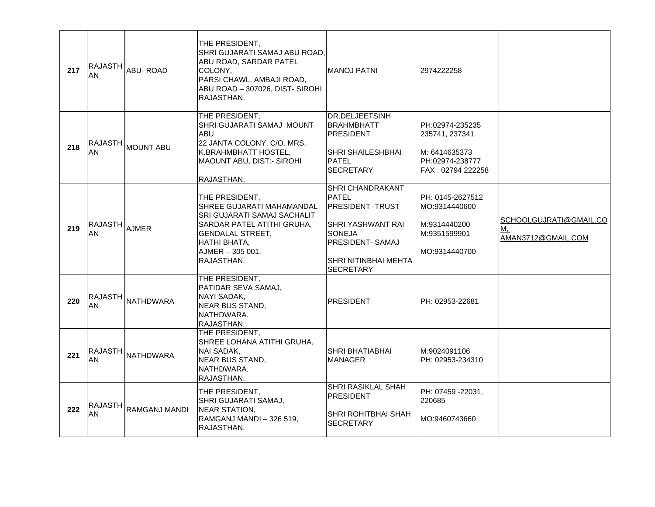| 217 | <b>RAJASTH</b><br>AN | <b>ABU-ROAD</b>                                    | THE PRESIDENT,<br>SHRI GUJARATI SAMAJ ABU ROAD.<br>ABU ROAD, SARDAR PATEL<br>COLONY,<br>PARSI CHAWL, AMBAJI ROAD,<br>ABU ROAD - 307026, DIST- SIROHI<br>RAJASTHAN.                  | IMANOJ PATNI                                                                                                                                                                           | 2974222258                                                                                 |                                                    |
|-----|----------------------|----------------------------------------------------|-------------------------------------------------------------------------------------------------------------------------------------------------------------------------------------|----------------------------------------------------------------------------------------------------------------------------------------------------------------------------------------|--------------------------------------------------------------------------------------------|----------------------------------------------------|
| 218 | AN                   | RAJASTH MOUNT ABU                                  | THE PRESIDENT,<br>SHRI GUJARATI SAMAJ MOUNT<br>ABU<br>22 JANTA COLONY, C/O. MRS.<br>K.BRAHMBHATT HOSTEL,<br>MAOUNT ABU, DIST:- SIROHI<br>RAJASTHAN.                                 | <b>DR.DELJEETSINH</b><br><b>BRAHMBHATT</b><br><b>PRESIDENT</b><br><b>SHRI SHAILESHBHAI</b><br>IPATEL<br><b>SECRETARY</b>                                                               | PH:02974-235235<br>235741, 237341<br>M: 6414635373<br>PH:02974-238777<br>FAX: 02794 222258 |                                                    |
| 219 | <b>RAJASTH</b><br>AN | <b>AJMER</b>                                       | THE PRESIDENT,<br>SHREE GUJARATI MAHAMANDAL<br>SRI GUJARATI SAMAJ SACHALIT<br>SARDAR PATEL ATITHI GRUHA,<br><b>GENDALAL STREET,</b><br>HATHI BHATA,<br>AJMER-305 001.<br>RAJASTHAN. | <b>SHRI CHANDRAKANT</b><br><b>PATEL</b><br><b>PRESIDENT-TRUST</b><br><b>SHRI YASHWANT RAI</b><br><b>SONEJA</b><br><b>PRESIDENT- SAMAJ</b><br> SHRI NITINBHAI MEHTA<br><b>SECRETARY</b> | PH: 0145-2627512<br>MO:9314440600<br>M:9314440200<br>M:9351599901<br>MO:9314440700         | SCHOOLGUJRATI@GMAIL.CO<br>M,<br>AMAN3712@GMAIL.COM |
| 220 | <b>RAJASTH</b><br>AN | <b>NATHDWARA</b>                                   | THE PRESIDENT,<br>PATIDAR SEVA SAMAJ,<br>NAYI SADAK,<br>NEAR BUS STAND.<br>NATHDWARA.<br>RAJASTHAN.                                                                                 | IPRESIDENT                                                                                                                                                                             | PH: 02953-22681                                                                            |                                                    |
| 221 | <b>RAJASTH</b><br>AN | <b>NATHDWARA</b>                                   | THE PRESIDENT,<br>SHREE LOHANA ATITHI GRUHA,<br>NAI SADAK,<br><b>NEAR BUS STAND,</b><br>NATHDWARA.<br>RAJASTHAN.                                                                    | <b>SHRI BHATIABHAI</b><br><b>MANAGER</b>                                                                                                                                               | M:9024091106<br>PH: 02953-234310                                                           |                                                    |
| 222 | AN                   | $ \mathsf{RAJASTH}\big _\mathsf{RAMGANJ \; MANDI}$ | THE PRESIDENT,<br>SHRI GUJARATI SAMAJ,<br><b>NEAR STATION,</b><br>RAMGANJ MANDI - 326 519,<br>RAJASTHAN.                                                                            | <b>SHRI RASIKLAL SHAH</b><br><b>PRESIDENT</b><br> SHRI ROHITBHAI SHAH<br><b>SECRETARY</b>                                                                                              | PH: 07459 -22031,<br>220685<br>MO:9460743660                                               |                                                    |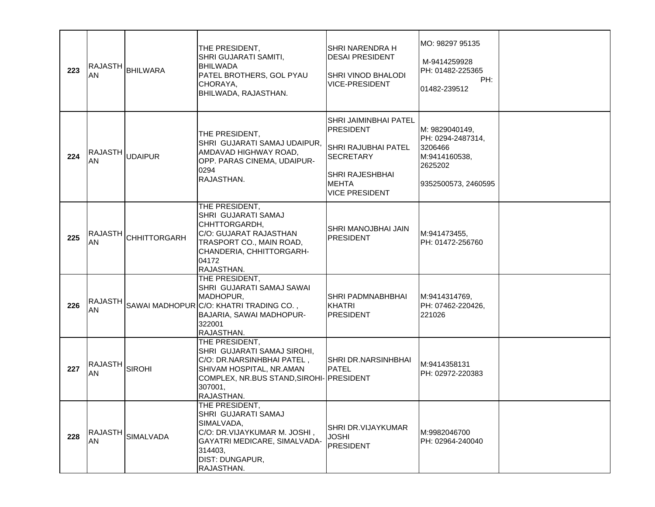| 223 | <b>RAJASTH</b><br><b>AN</b> | BHILWARA            | THE PRESIDENT,<br>SHRI GUJARATI SAMITI,<br><b>BHILWADA</b><br>PATEL BROTHERS, GOL PYAU<br>CHORAYA,<br>BHILWADA, RAJASTHAN.                                                   | SHRI NARENDRA H<br><b>DESAI PRESIDENT</b><br><b>SHRI VINOD BHALODI</b><br><b>VICE-PRESIDENT</b>                                                         | MO: 98297 95135<br>M-9414259928<br>PH: 01482-225365<br>PH:<br>01482-239512                         |  |
|-----|-----------------------------|---------------------|------------------------------------------------------------------------------------------------------------------------------------------------------------------------------|---------------------------------------------------------------------------------------------------------------------------------------------------------|----------------------------------------------------------------------------------------------------|--|
| 224 | RAJASTH UDAIPUR<br>AN       |                     | THE PRESIDENT,<br>SHRI GUJARATI SAMAJ UDAIPUR,<br>AMDAVAD HIGHWAY ROAD,<br>OPP. PARAS CINEMA, UDAIPUR-<br>0294<br>RAJASTHAN.                                                 | <b>SHRI JAIMINBHAI PATEL</b><br>PRESIDENT<br>SHRI RAJUBHAI PATEL<br><b>SECRETARY</b><br><b>SHRI RAJESHBHAI</b><br><b>MEHTA</b><br><b>VICE PRESIDENT</b> | M: 9829040149.<br>PH: 0294-2487314,<br>3206466<br>M:9414160538,<br>2625202<br> 9352500573, 2460595 |  |
| 225 | <b>RAJASTH</b><br>AN        | <b>CHHITTORGARH</b> | THE PRESIDENT,<br>SHRI GUJARATI SAMAJ<br>CHHTTORGARDH,<br>C/O: GUJARAT RAJASTHAN<br>TRASPORT CO., MAIN ROAD,<br>CHANDERIA, CHHITTORGARH-<br>04172<br>RAJASTHAN.              | <b>SHRI MANOJBHAI JAIN</b><br><b>PRESIDENT</b>                                                                                                          | M:941473455,<br>PH: 01472-256760                                                                   |  |
| 226 | <b>RAJASTH</b><br>AN        |                     | THE PRESIDENT,<br>SHRI GUJARATI SAMAJ SAWAI<br>MADHOPUR,<br>SAWAI MADHOPUR C/O: KHATRI TRADING CO.,<br>BAJARIA, SAWAI MADHOPUR-<br>322001<br>RAJASTHAN.                      | SHRI PADMNABHBHAI<br><b>KHATRI</b><br>PRESIDENT                                                                                                         | M:9414314769,<br>PH: 07462-220426,<br>221026                                                       |  |
| 227 | <b>RAJASTH</b><br>AN        | <b>SIROHI</b>       | THE PRESIDENT,<br>SHRI GUJARATI SAMAJ SIROHI,<br>C/O: DR.NARSINHBHAI PATEL,<br>SHIVAM HOSPITAL, NR.AMAN<br>COMPLEX, NR.BUS STAND, SIROHI- PRESIDENT<br>307001,<br>RAJASTHAN. | SHRI DR.NARSINHBHAI<br><b>PATEL</b>                                                                                                                     | M:9414358131<br>PH: 02972-220383                                                                   |  |
| 228 | <b>RAJASTH</b><br>AN        | <b>SIMALVADA</b>    | THE PRESIDENT,<br>SHRI GUJARATI SAMAJ<br>SIMALVADA,<br>C/O: DR.VIJAYKUMAR M. JOSHI,<br>GAYATRI MEDICARE, SIMALVADA-<br>314403,<br><b>DIST: DUNGAPUR,</b><br>RAJASTHAN.       | <b>SHRI DR.VIJAYKUMAR</b><br><b>JOSHI</b><br><b>PRESIDENT</b>                                                                                           | M:9982046700<br>PH: 02964-240040                                                                   |  |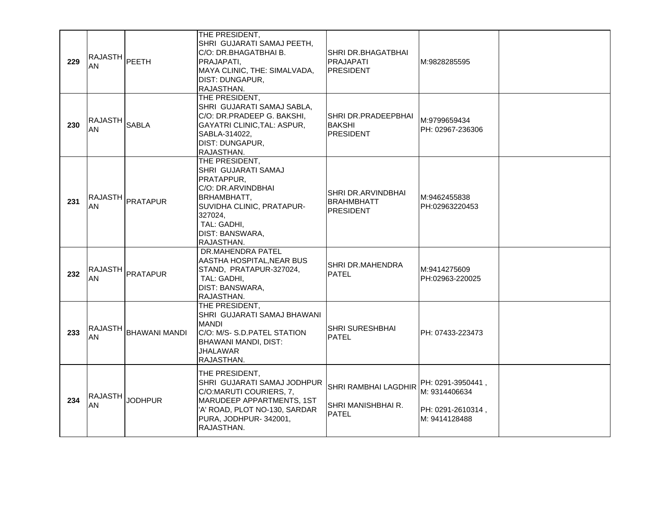| 229 | RAJASTH PEETH<br>AN            |                       | THE PRESIDENT,<br>SHRI GUJARATI SAMAJ PEETH,<br>C/O: DR.BHAGATBHAI B.<br>PRAJAPATI,<br>MAYA CLINIC, THE: SIMALVADA,<br>DIST: DUNGAPUR,<br>RAJASTHAN.                             | SHRI DR.BHAGATBHAI<br>PRAJAPATI<br><b>PRESIDENT</b>         | M:9828285595                                                             |  |
|-----|--------------------------------|-----------------------|----------------------------------------------------------------------------------------------------------------------------------------------------------------------------------|-------------------------------------------------------------|--------------------------------------------------------------------------|--|
| 230 | RAJASTH <sub>SABLA</sub><br>AN |                       | THE PRESIDENT,<br>SHRI GUJARATI SAMAJ SABLA,<br>C/O: DR.PRADEEP G. BAKSHI,<br>GAYATRI CLINIC, TAL: ASPUR,<br>SABLA-314022,<br>DIST: DUNGAPUR,<br>RAJASTHAN.                      | SHRI DR.PRADEEPBHAI<br><b>BAKSHI</b><br><b>PRESIDENT</b>    | M:9799659434<br>PH: 02967-236306                                         |  |
| 231 |                                | RAJASTH <br> PRATAPUR | THE PRESIDENT,<br>SHRI GUJARATI SAMAJ<br>PRATAPPUR,<br>C/O: DR.ARVINDBHAI<br>BRHAMBHATT,<br>SUVIDHA CLINIC, PRATAPUR-<br>327024,<br>TAL: GADHI,<br>DIST: BANSWARA,<br>RAJASTHAN. | SHRI DR.ARVINDBHAI<br><b>BRAHMBHATT</b><br><b>PRESIDENT</b> | M:9462455838<br>PH:02963220453                                           |  |
| 232 | <b>RAJASTH</b><br><b>AN</b>    | PRATAPUR              | DR.MAHENDRA PATEL<br>AASTHA HOSPITAL, NEAR BUS<br>STAND, PRATAPUR-327024,<br>TAL: GADHI,<br>DIST: BANSWARA,<br>RAJASTHAN.                                                        | SHRI DR.MAHENDRA<br><b>PATEL</b>                            | M:9414275609<br>PH:02963-220025                                          |  |
| 233 | <b>RAJASTH</b><br>AN           | <b>BHAWANI MANDI</b>  | THE PRESIDENT,<br>SHRI GUJARATI SAMAJ BHAWANI<br><b>MANDI</b><br>C/O: M/S- S.D.PATEL STATION<br><b>BHAWANI MANDI, DIST:</b><br>JHALAWAR<br>RAJASTHAN.                            | SHRI SURESHBHAI<br><b>PATEL</b>                             | PH: 07433-223473                                                         |  |
| 234 | <b>RAJASTH</b><br>AN           | <b>JODHPUR</b>        | THE PRESIDENT,<br>SHRI GUJARATI SAMAJ JODHPUR<br>C/O:MARUTI COURIERS, 7,<br>MARUDEEP APPARTMENTS, 1ST<br>'A' ROAD, PLOT NO-130, SARDAR<br>PURA, JODHPUR-342001,<br>RAJASTHAN.    | SHRI RAMBHAI LAGDHIR<br>SHRI MANISHBHAI R.<br><b>PATEL</b>  | PH: 0291-3950441,<br>M: 9314406634<br>PH: 0291-2610314,<br>M: 9414128488 |  |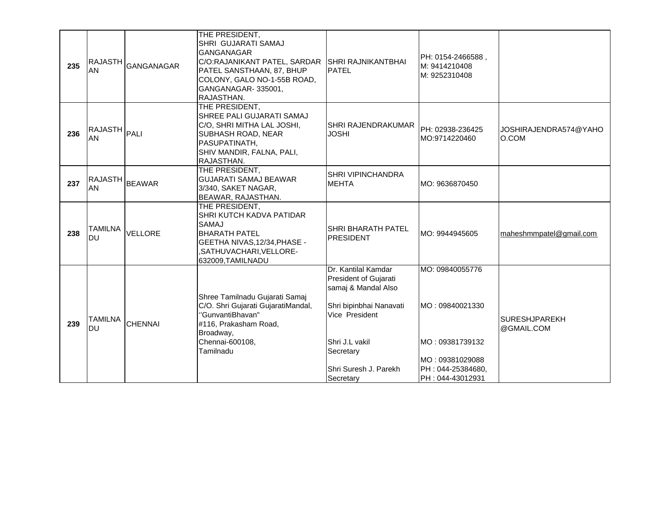| 235 | <b>RAJASTH</b><br>AN        | GANGANAGAR     | THE PRESIDENT,<br>SHRI GUJARATI SAMAJ<br><b>GANGANAGAR</b><br>C/O:RAJANIKANT PATEL, SARDAR<br>PATEL SANSTHAAN, 87, BHUP<br>COLONY, GALO NO-1-55B ROAD,<br>GANGANAGAR-335001,<br>RAJASTHAN. | SHRI RAJNIKANTBHAI<br><b>PATEL</b>                                                                                                                                                    | PH: 0154-2466588,<br>M: 9414210408<br>M: 9252310408                                                                |                                    |
|-----|-----------------------------|----------------|--------------------------------------------------------------------------------------------------------------------------------------------------------------------------------------------|---------------------------------------------------------------------------------------------------------------------------------------------------------------------------------------|--------------------------------------------------------------------------------------------------------------------|------------------------------------|
| 236 | RAJASTH PALI<br>AN          |                | THE PRESIDENT,<br>SHREE PALI GUJARATI SAMAJ<br>C/O, SHRI MITHA LAL JOSHI,<br><b>SUBHASH ROAD, NEAR</b><br>PASUPATINATH,<br>SHIV MANDIR, FALNA, PALI,<br>RAJASTHAN.                         | SHRI RAJENDRAKUMAR<br><b>JOSHI</b>                                                                                                                                                    | PH: 02938-236425<br>MO:9714220460                                                                                  | JOSHIRAJENDRA574@YAHO<br>O.COM     |
| 237 | RAJASTH BEAWAR<br>AN        |                | THE PRESIDENT,<br><b>GUJARATI SAMAJ BEAWAR</b><br>3/340, SAKET NAGAR,<br>BEAWAR, RAJASTHAN.                                                                                                | SHRI VIPINCHANDRA<br><b>MEHTA</b>                                                                                                                                                     | MO: 9636870450                                                                                                     |                                    |
| 238 | <b>TAMILNA</b><br><b>DU</b> | VELLORE        | THE PRESIDENT,<br>SHRI KUTCH KADVA PATIDAR<br><b>SAMAJ</b><br><b>BHARATH PATEL</b><br>GEETHA NIVAS, 12/34, PHASE -<br>,SATHUVACHARI,VELLORE-<br>632009, TAMILNADU                          | <b>SHRI BHARATH PATEL</b><br><b>PRESIDENT</b>                                                                                                                                         | MO: 9944945605                                                                                                     | maheshmmpatel@gmail.com            |
| 239 | <b>TAMILNA</b><br><b>DU</b> | <b>CHENNAI</b> | Shree Tamilnadu Gujarati Samaj<br>C/O. Shri Gujarati GujaratiMandal,<br>"GunvantiBhavan"<br>#116, Prakasham Road,<br>Broadway,<br>Chennai-600108,<br>Tamilnadu                             | Dr. Kantilal Kamdar<br>President of Gujarati<br>samaj & Mandal Also<br>Shri bipinbhai Nanavati<br>Vice President<br>Shri J.L vakil<br>Secretary<br>Shri Suresh J. Parekh<br>Secretary | MO: 09840055776<br>MO: 09840021330<br>MO: 09381739132<br>MO: 09381029088<br>PH : 044-25384680,<br>PH: 044-43012931 | <b>SURESHJPAREKH</b><br>@GMAIL.COM |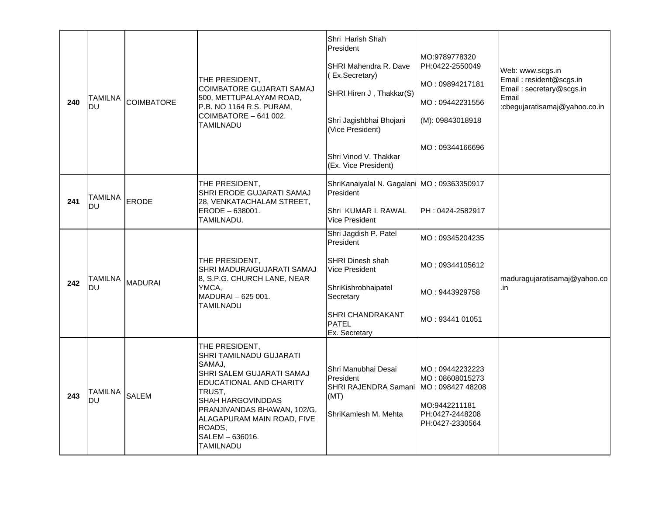| 240 | TAMILNA<br>DU               | <b>COIMBATORE</b> | THE PRESIDENT,<br><b>COIMBATORE GUJARATI SAMAJ</b><br>500, METTUPALAYAM ROAD,<br>P.B. NO 1164 R.S. PURAM,<br>COIMBATORE - 641 002.<br>TAMILNADU                                                                                                   | Shri Harish Shah<br>President<br>SHRI Mahendra R. Dave<br>(Ex.Secretary)<br>SHRI Hiren J, Thakkar(S)<br>Shri Jagishbhai Bhojani<br>(Vice President)<br>Shri Vinod V. Thakkar<br>(Ex. Vice President) | MO:9789778320<br>PH:0422-2550049<br>MO: 09894217181<br>MO: 09442231556<br>(M): 09843018918<br>MO: 09344166696 | Web: www.scgs.in<br>Email: resident@scgs.in<br>Email: secretary@scgs.in<br>Email<br>:cbegujaratisamaj@yahoo.co.in |
|-----|-----------------------------|-------------------|---------------------------------------------------------------------------------------------------------------------------------------------------------------------------------------------------------------------------------------------------|------------------------------------------------------------------------------------------------------------------------------------------------------------------------------------------------------|---------------------------------------------------------------------------------------------------------------|-------------------------------------------------------------------------------------------------------------------|
| 241 | <b>TAMILNA</b><br><b>DU</b> | <b>ERODE</b>      | THE PRESIDENT,<br>SHRI ERODE GUJARATI SAMAJ<br>28, VENKATACHALAM STREET,<br>ERODE - 638001.<br>TAMILNADU.                                                                                                                                         | ShriKanaiyalal N. Gagalani MO: 09363350917<br>President<br>Shri KUMAR I. RAWAL<br><b>Vice President</b>                                                                                              | PH: 0424-2582917                                                                                              |                                                                                                                   |
| 242 | TAMILNA<br><b>DU</b>        | <b>MADURAI</b>    | THE PRESIDENT,<br>SHRI MADURAIGUJARATI SAMAJ<br>8, S.P.G. CHURCH LANE, NEAR<br>YMCA,<br>MADURAI - 625 001.<br>TAMILNADU                                                                                                                           | Shri Jagdish P. Patel<br>President<br><b>SHRI Dinesh shah</b><br>Vice President<br>ShriKishrobhaipatel<br>Secretary<br><b>SHRI CHANDRAKANT</b><br><b>PATEL</b><br>Ex. Secretary                      | MO: 09345204235<br>MO: 09344105612<br>MO: 9443929758<br>MO: 93441 01051                                       | maduragujaratisamaj@yahoo.co<br>.in                                                                               |
| 243 | TAMILNA<br><b>DU</b>        | <b>SALEM</b>      | THE PRESIDENT,<br>SHRI TAMILNADU GUJARATI<br>SAMAJ.<br>SHRI SALEM GUJARATI SAMAJ<br>EDUCATIONAL AND CHARITY<br>TRUST.<br>SHAH HARGOVINDDAS<br>PRANJIVANDAS BHAWAN, 102/G,<br>ALAGAPURAM MAIN ROAD, FIVE<br>ROADS,<br>SALEM - 636016.<br>TAMILNADU | Shri Manubhai Desai<br>President<br>SHRI RAJENDRA Samani<br>(MT)<br>ShriKamlesh M. Mehta                                                                                                             | MO: 09442232223<br>MO: 08608015273<br>MO: 098427 48208<br>MO:9442211181<br>PH:0427-2448208<br>PH:0427-2330564 |                                                                                                                   |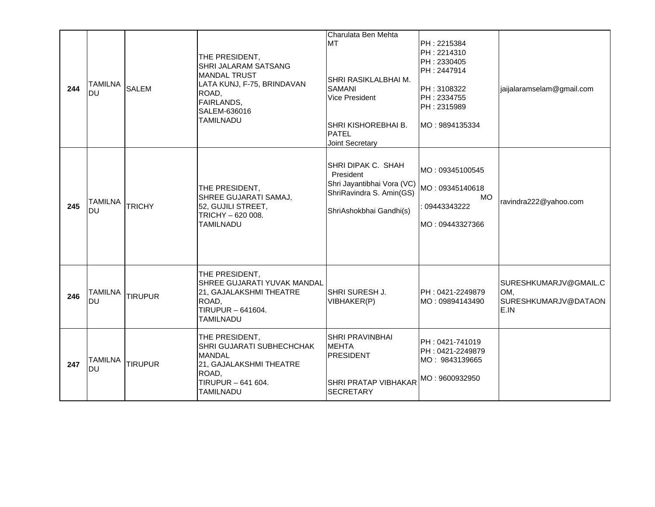| 244 | <b>TAMILNA</b><br><b>DU</b> | <b>SALEM</b>   | THE PRESIDENT,<br>SHRI JALARAM SATSANG<br><b>MANDAL TRUST</b><br>LATA KUNJ, F-75, BRINDAVAN<br>ROAD,<br>FAIRLANDS,<br>SALEM-636016<br>TAMILNADU | Charulata Ben Mehta<br><b>MT</b><br>SHRI RASIKLALBHAI M.<br><b>SAMANI</b><br><b>Vice President</b><br>SHRI KISHOREBHAI B.<br><b>PATEL</b><br>Joint Secretary | PH: 2215384<br>PH: 2214310<br>PH: 2330405<br>PH: 2447914<br>PH: 3108322<br>PH: 2334755<br>PH: 2315989<br>IMO: 9894135334 | jaijalaramselam@gmail.com                                    |
|-----|-----------------------------|----------------|-------------------------------------------------------------------------------------------------------------------------------------------------|--------------------------------------------------------------------------------------------------------------------------------------------------------------|--------------------------------------------------------------------------------------------------------------------------|--------------------------------------------------------------|
| 245 | <b>TAMILNA</b><br>DU        | <b>TRICHY</b>  | THE PRESIDENT,<br>SHREE GUJARATI SAMAJ,<br>52, GUJILI STREET,<br>TRICHY - 620 008.<br><b>TAMILNADU</b>                                          | SHRI DIPAK C. SHAH<br>President<br>Shri Jayantibhai Vora (VC)<br>ShriRavindra S. Amin(GS)<br>ShriAshokbhai Gandhi(s)                                         | MO: 09345100545<br>MO: 09345140618<br>MO<br>09443343222<br>MO : 09443327366                                              | ravindra222@yahoo.com                                        |
| 246 | <b>TAMILNA</b><br>DU        | <b>TIRUPUR</b> | THE PRESIDENT,<br>SHREE GUJARATI YUVAK MANDAL<br>21, GAJALAKSHMI THEATRE<br>ROAD,<br>TIRUPUR - 641604.<br><b>TAMILNADU</b>                      | SHRI SURESH J.<br>VIBHAKER(P)                                                                                                                                | PH: 0421-2249879<br>MO : 09894143490                                                                                     | SURESHKUMARJV@GMAIL.C<br>OM,<br>SURESHKUMARJV@DATAON<br>E.IN |
| 247 | <b>TAMILNA</b><br>DU        | <b>TIRUPUR</b> | THE PRESIDENT,<br>SHRI GUJARATI SUBHECHCHAK<br><b>MANDAL</b><br>21, GAJALAKSHMI THEATRE<br>ROAD,<br>TIRUPUR - 641 604.<br><b>TAMILNADU</b>      | SHRI PRAVINBHAI<br><b>MEHTA</b><br><b>PRESIDENT</b><br><b>SHRI PRATAP VIBHAKAR</b><br><b>SECRETARY</b>                                                       | PH: 0421-741019<br>PH: 0421-2249879<br>MO: 9843139665<br>MO: 9600932950                                                  |                                                              |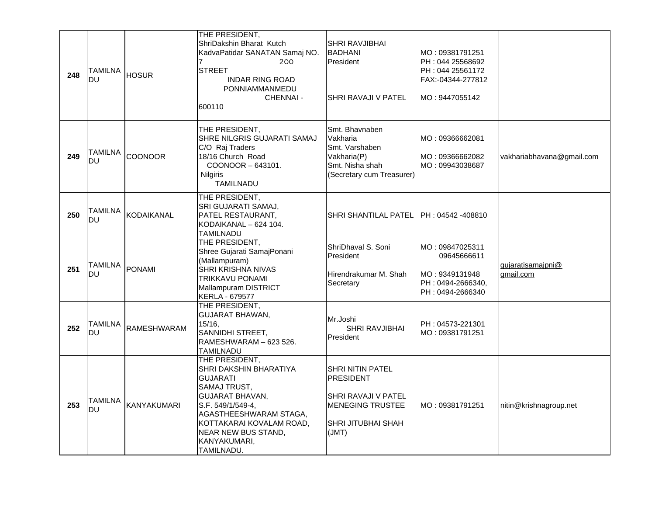| 248 | <b>TAMILNA</b><br><b>DU</b> | <b>HOSUR</b>       | THE PRESIDENT,<br>ShriDakshin Bharat Kutch<br>KadvaPatidar SANATAN Samaj NO.<br>200<br><b>STREET</b><br><b>INDAR RING ROAD</b><br>PONNIAMMANMEDU<br><b>CHENNAI -</b><br>600110                                                               | <b>SHRI RAVJIBHAI</b><br><b>BADHANI</b><br>President<br>SHRI RAVAJI V PATEL                                           | MO: 09381791251<br>PH: 044 25568692<br>PH: 044 25561172<br>FAX:-04344-277812<br>MO: 9447055142 |                                |
|-----|-----------------------------|--------------------|----------------------------------------------------------------------------------------------------------------------------------------------------------------------------------------------------------------------------------------------|-----------------------------------------------------------------------------------------------------------------------|------------------------------------------------------------------------------------------------|--------------------------------|
| 249 | <b>TAMILNA</b><br><b>DU</b> | <b>COONOOR</b>     | THE PRESIDENT,<br>SHRE NILGRIS GUJARATI SAMAJ<br>C/O Raj Traders<br>18/16 Church Road<br>COONOOR-643101.<br><b>Nilgiris</b><br>TAMILNADU                                                                                                     | Smt. Bhavnaben<br>Vakharia<br>Smt. Varshaben<br>Vakharia(P)<br>Smt. Nisha shah<br>(Secretary cum Treasurer)           | MO: 09366662081<br>MO: 09366662082<br>MO: 09943038687                                          | vakhariabhavana@gmail.com      |
| 250 | <b>TAMILNA</b><br><b>DU</b> | KODAIKANAL         | THE PRESIDENT,<br>SRI GUJARATI SAMAJ,<br>PATEL RESTAURANT,<br>KODAIKANAL - 624 104.<br>TAMILNADU                                                                                                                                             | SHRI SHANTILAL PATEL   PH : 04542 -408810                                                                             |                                                                                                |                                |
| 251 | <b>TAMILNA</b><br><b>DU</b> | <b>PONAMI</b>      | THE PRESIDENT,<br>Shree Gujarati SamajPonani<br>(Mallampuram)<br>SHRI KRISHNA NIVAS<br>TRIKKAVU PONAMI<br>Mallampuram DISTRICT<br>KERLA - 679577                                                                                             | ShriDhaval S. Soni<br>President<br>Hirendrakumar M. Shah<br>Secretary                                                 | MO: 09847025311<br>09645666611<br>MO: 9349131948<br>PH: 0494-2666340,<br>PH: 0494-2666340      | gujaratisamajpni@<br>gmail.com |
| 252 | <b>TAMILNA</b><br><b>DU</b> | RAMESHWARAM        | THE PRESIDENT,<br>GUJARAT BHAWAN,<br>15/16.<br>SANNIDHI STREET,<br>RAMESHWARAM - 623 526.<br><b>TAMILNADU</b>                                                                                                                                | Mr.Joshi<br><b>SHRI RAVJIBHAI</b><br>President                                                                        | PH: 04573-221301<br>MO: 09381791251                                                            |                                |
| 253 | <b>TAMILNA</b><br>DU        | <b>KANYAKUMARI</b> | THE PRESIDENT,<br>SHRI DAKSHIN BHARATIYA<br><b>GUJARATI</b><br>SAMAJ TRUST,<br><b>GUJARAT BHAVAN,</b><br>S.F. 549/1/549-4,<br>AGASTHEESHWARAM STAGA.<br>KOTTAKARAI KOVALAM ROAD,<br><b>NEAR NEW BUS STAND,</b><br>KANYAKUMARI,<br>TAMILNADU. | <b>SHRI NITIN PATEL</b><br>PRESIDENT<br>SHRI RAVAJI V PATEL<br><b>MENEGING TRUSTEE</b><br>SHRI JITUBHAI SHAH<br>(JMT) | MO: 09381791251                                                                                | nitin@krishnagroup.net         |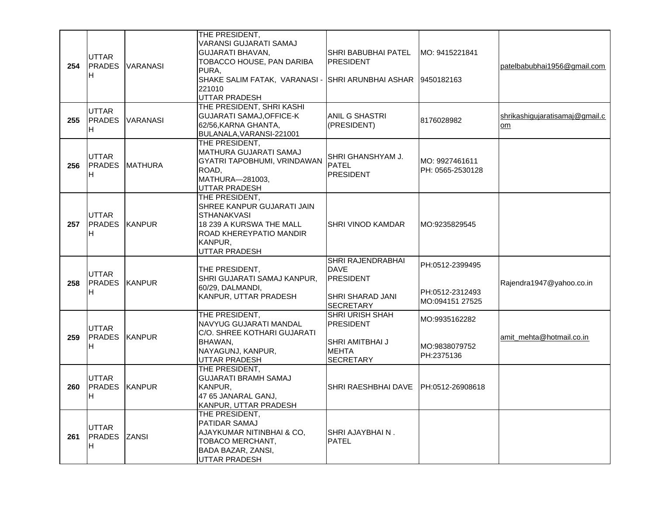| 254 | <b>UTTAR</b><br><b>PRADES</b><br>IH.        | <b>VARANASI</b>       | THE PRESIDENT,<br>VARANSI GUJARATI SAMAJ<br><b>GUJARATI BHAVAN,</b><br>TOBACCO HOUSE, PAN DARIBA<br>PURA,<br>SHAKE SALIM FATAK, VARANASI -<br>221010<br>UTTAR PRADESH | SHRI BABUBHAI PATEL<br><b>PRESIDENT</b><br>SHRI ARUNBHAI ASHAR                               | MO: 9415221841<br>19450182163                         | patelbabubhai1956@gmail.com          |
|-----|---------------------------------------------|-----------------------|-----------------------------------------------------------------------------------------------------------------------------------------------------------------------|----------------------------------------------------------------------------------------------|-------------------------------------------------------|--------------------------------------|
| 255 | <b>UTTAR</b><br><b>PRADES</b><br>IH.        | <b>VARANASI</b>       | THE PRESIDENT, SHRI KASHI<br><b>GUJARATI SAMAJ, OFFICE-K</b><br>62/56, KARNA GHANTA,<br>BULANALA, VARANSI-221001                                                      | ANIL G SHASTRI<br>(PRESIDENT)                                                                | 8176028982                                            | shrikashigujaratisamaj@gmail.c<br>om |
| 256 | <b>UTTAR</b><br>IH.                         | <b>PRADES MATHURA</b> | THE PRESIDENT,<br><b>MATHURA GUJARATI SAMAJ</b><br>GYATRI TAPOBHUMI, VRINDAWAN<br>ROAD,<br>MATHURA-281003,<br>UTTAR PRADESH                                           | SHRI GHANSHYAM J.<br>PATEL<br><b>PRESIDENT</b>                                               | MO: 9927461611<br>PH: 0565-2530128                    |                                      |
| 257 | <b>IUTTAR</b><br><b>PRADES KANPUR</b><br>H. |                       | THE PRESIDENT,<br>SHREE KANPUR GUJARATI JAIN<br><b>STHANAKVASI</b><br>18 239 A KURSWA THE MALL<br>ROAD KHEREYPATIO MANDIR<br>KANPUR,<br>UTTAR PRADESH                 | SHRI VINOD KAMDAR                                                                            | MO:9235829545                                         |                                      |
| 258 | <b>IUTTAR</b><br><b>PRADES</b><br>IH.       | <b>KANPUR</b>         | THE PRESIDENT,<br>SHRI GUJARATI SAMAJ KANPUR,<br>60/29, DALMANDI,<br>KANPUR, UTTAR PRADESH                                                                            | SHRI RAJENDRABHAI<br><b>DAVE</b><br><b>PRESIDENT</b><br>SHRI SHARAD JANI<br><b>SECRETARY</b> | PH:0512-2399495<br>PH:0512-2312493<br>MO:094151 27525 | Rajendra1947@yahoo.co.in             |
| 259 | <b>UTTAR</b><br><b>PRADES</b><br>IH.        | <b>KANPUR</b>         | THE PRESIDENT,<br>NAVYUG GUJARATI MANDAL<br>C/O. SHREE KOTHARI GUJARATI<br>BHAWAN,<br>NAYAGUNJ, KANPUR,<br>UTTAR PRADESH                                              | SHRI URISH SHAH<br><b>PRESIDENT</b><br>SHRI AMITBHAI J<br><b>MEHTA</b><br><b>SECRETARY</b>   | MO:9935162282<br>MO:9838079752<br>PH:2375136          | amit_mehta@hotmail.co.in             |
| 260 | <b>UTTAR</b><br><b>PRADES</b><br>Iн.        | <b>KANPUR</b>         | THE PRESIDENT,<br><b>GUJARATI BRAMH SAMAJ</b><br>KANPUR,<br>47 65 JANARAL GANJ,<br>KANPUR, UTTAR PRADESH                                                              | SHRI RAESHBHAI DAVE                                                                          | PH:0512-26908618                                      |                                      |
| 261 | UTTAR<br><b>PRADES</b> ZANSI<br>IH.         |                       | THE PRESIDENT,<br><b>PATIDAR SAMAJ</b><br>AJAYKUMAR NITINBHAI & CO,<br>TOBACO MERCHANT,<br>BADA BAZAR, ZANSI,<br>UTTAR PRADESH                                        | SHRI AJAYBHAI N.<br><b>PATEL</b>                                                             |                                                       |                                      |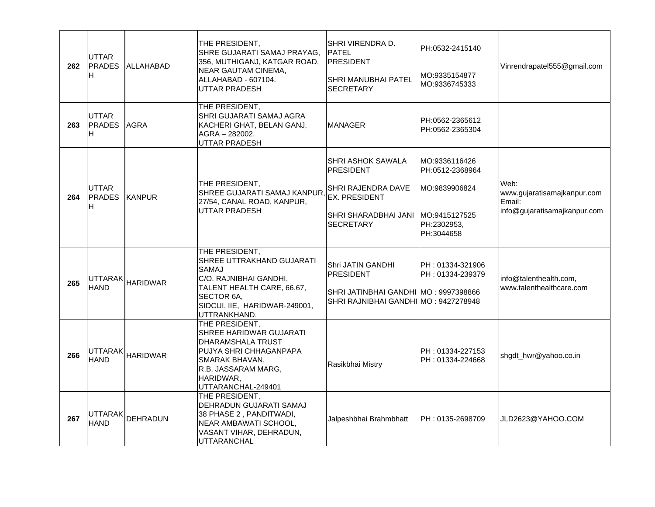| 262 | UTTAR<br><b>PRADES</b><br>H          | ALLAHABAD        | THE PRESIDENT,<br>SHRE GUJARATI SAMAJ PRAYAG,<br>356, MUTHIGANJ, KATGAR ROAD,<br>NEAR GAUTAM CINEMA,<br>ALLAHABAD - 607104.<br>UTTAR PRADESH                                | SHRI VIRENDRA D.<br><b>PATEL</b><br><b>PRESIDENT</b><br>SHRI MANUBHAI PATEL<br><b>SECRETARY</b>                          | PH:0532-2415140<br>MO:9335154877<br>MO:9336745333                                               | Vinrendrapatel555@gmail.com                                                   |
|-----|--------------------------------------|------------------|-----------------------------------------------------------------------------------------------------------------------------------------------------------------------------|--------------------------------------------------------------------------------------------------------------------------|-------------------------------------------------------------------------------------------------|-------------------------------------------------------------------------------|
| 263 | <b>UTTAR</b><br><b>PRADES</b><br>Iн. | <b>AGRA</b>      | THE PRESIDENT,<br>SHRI GUJARATI SAMAJ AGRA<br>KACHERI GHAT, BELAN GANJ,<br>AGRA - 282002.<br><b>UTTAR PRADESH</b>                                                           | <b>MANAGER</b>                                                                                                           | PH:0562-2365612<br>PH:0562-2365304                                                              |                                                                               |
| 264 | <b>UTTAR</b><br><b>PRADES</b><br>H.  | <b>KANPUR</b>    | THE PRESIDENT,<br>SHREE GUJARATI SAMAJ KANPUR<br>27/54, CANAL ROAD, KANPUR,<br><b>UTTAR PRADESH</b>                                                                         | SHRI ASHOK SAWALA<br><b>PRESIDENT</b><br>SHRI RAJENDRA DAVE<br>EX. PRESIDENT<br>SHRI SHARADBHAI JANI<br><b>SECRETARY</b> | MO:9336116426<br>PH:0512-2368964<br>MO:9839906824<br>MO:9415127525<br>PH:2302953,<br>PH:3044658 | Web:<br>www.gujaratisamajkanpur.com<br>Email:<br>info@gujaratisamajkanpur.com |
| 265 | <b>HAND</b>                          | UTTARAK HARIDWAR | THE PRESIDENT,<br>SHREE UTTRAKHAND GUJARATI<br>SAMAJ<br>C/O. RAJNIBHAI GANDHI,<br>TALENT HEALTH CARE, 66,67,<br>SECTOR 6A.<br>SIDCUI, IIE, HARIDWAR-249001,<br>UTTRANKHAND. | Shri JATIN GANDHI<br><b>PRESIDENT</b><br>SHRI JATINBHAI GANDHI MO: 9997398866<br>SHRI RAJNIBHAI GANDHI MO: 9427278948    | PH: 01334-321906<br>PH: 01334-239379                                                            | info@talenthealth.com.<br>www.talenthealthcare.com                            |
| 266 | UTTARAK<br><b>HAND</b>               | <b>HARIDWAR</b>  | THE PRESIDENT,<br>SHREE HARIDWAR GUJARATI<br>DHARAMSHALA TRUST<br>PUJYA SHRI CHHAGANPAPA<br>SMARAK BHAVAN,<br>R.B. JASSARAM MARG,<br>HARIDWAR,<br>UTTARANCHAL-249401        | Rasikbhai Mistry                                                                                                         | PH: 01334-227153<br>PH: 01334-224668                                                            | shgdt_hwr@yahoo.co.in                                                         |
| 267 | <b>HAND</b>                          | UTTARAK DEHRADUN | THE PRESIDENT,<br>DEHRADUN GUJARATI SAMAJ<br>38 PHASE 2, PANDITWADI,<br>NEAR AMBAWATI SCHOOL,<br>VASANT VIHAR, DEHRADUN,<br><b>UTTARANCHAL</b>                              | Jalpeshbhai Brahmbhatt                                                                                                   | PH: 0135-2698709                                                                                | JLD2623@YAHOO.COM                                                             |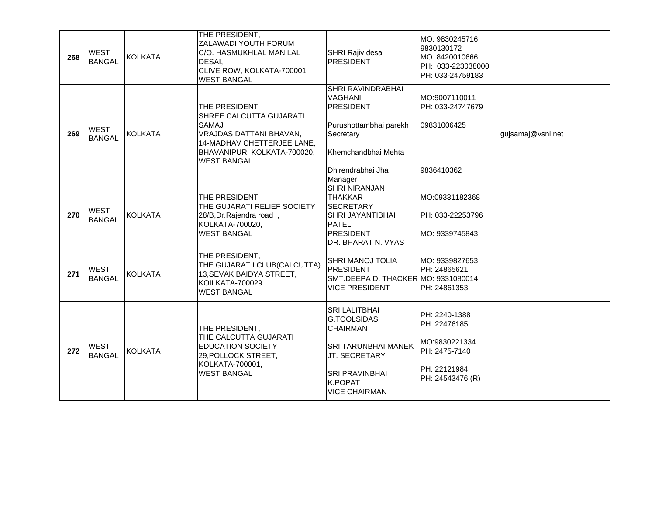| 268 | <b>WEST</b><br><b>BANGAL</b> | <b>KOLKATA</b> | THE PRESIDENT,<br>ZALAWADI YOUTH FORUM<br>C/O. HASMUKHLAL MANILAL<br>DESAI,<br>CLIVE ROW, KOLKATA-700001<br><b>WEST BANGAL</b>                                         | SHRI Rajiv desai<br><b>PRESIDENT</b>                                                                                                                       | MO: 9830245716,<br>9830130172<br>MO: 8420010666<br>PH: 033-223038000<br>PH: 033-24759183            |                   |
|-----|------------------------------|----------------|------------------------------------------------------------------------------------------------------------------------------------------------------------------------|------------------------------------------------------------------------------------------------------------------------------------------------------------|-----------------------------------------------------------------------------------------------------|-------------------|
| 269 | <b>WEST</b><br><b>BANGAL</b> | <b>KOLKATA</b> | THE PRESIDENT<br>SHREE CALCUTTA GUJARATI<br><b>SAMAJ</b><br>VRAJDAS DATTANI BHAVAN,<br>14-MADHAV CHETTERJEE LANE,<br>BHAVANIPUR, KOLKATA-700020,<br><b>WEST BANGAL</b> | SHRI RAVINDRABHAI<br><b>VAGHANI</b><br><b>PRESIDENT</b><br>Purushottambhai parekh<br>Secretary<br>Khemchandbhai Mehta<br>Dhirendrabhai Jha<br>Manager      | MO:9007110011<br>PH: 033-24747679<br>09831006425<br>9836410362                                      | gujsamaj@vsnl.net |
| 270 | <b>WEST</b><br><b>BANGAL</b> | <b>KOLKATA</b> | THE PRESIDENT<br>THE GUJARATI RELIEF SOCIETY<br>28/B, Dr. Rajendra road,<br>KOLKATA-700020,<br><b>WEST BANGAL</b>                                                      | <b>SHRI NIRANJAN</b><br><b>THAKKAR</b><br><b>SECRETARY</b><br>SHRI JAYANTIBHAI<br><b>PATEL</b><br><b>PRESIDENT</b><br>DR. BHARAT N. VYAS                   | MO:09331182368<br>PH: 033-22253796<br>MO: 9339745843                                                |                   |
| 271 | <b>WEST</b><br><b>BANGAL</b> | <b>KOLKATA</b> | THE PRESIDENT,<br>THE GUJARAT I CLUB(CALCUTTA)<br>13, SEVAK BAIDYA STREET,<br><b>KOILKATA-700029</b><br><b>WEST BANGAL</b>                                             | SHRI MANOJ TOLIA<br><b>PRESIDENT</b><br>SMT.DEEPA D. THACKER MO: 9331080014<br><b>VICE PRESIDENT</b>                                                       | MO: 9339827653<br>PH: 24865621<br>PH: 24861353                                                      |                   |
| 272 | <b>WEST</b><br><b>BANGAL</b> | <b>KOLKATA</b> | THE PRESIDENT,<br>THE CALCUTTA GUJARATI<br><b>EDUCATION SOCIETY</b><br>29, POLLOCK STREET,<br>KOLKATA-700001,<br><b>WEST BANGAL</b>                                    | <b>SRI LALITBHAI</b><br>G.TOOLSIDAS<br><b>CHAIRMAN</b><br>SRI TARUNBHAI MANEK<br>JT. SECRETARY<br><b>SRI PRAVINBHAI</b><br>K.POPAT<br><b>VICE CHAIRMAN</b> | PH: 2240-1388<br>PH: 22476185<br>MO:9830221334<br>PH: 2475-7140<br>PH: 22121984<br>PH: 24543476 (R) |                   |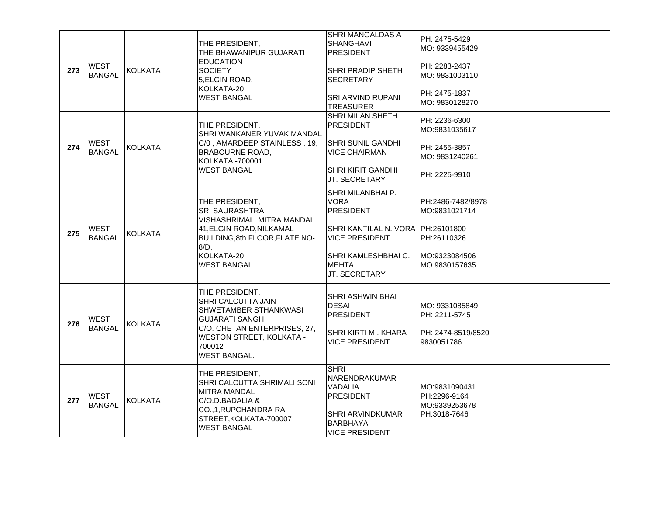| 273 | <b>WEST</b><br><b>BANGAL</b> | KOLKATA        | THE PRESIDENT,<br>THE BHAWANIPUR GUJARATI<br><b>EDUCATION</b><br><b>SOCIETY</b><br>5.ELGIN ROAD.<br>KOLKATA-20<br>WEST BANGAL                                             | SHRI MANGALDAS A<br><b>SHANGHAVI</b><br><b>PRESIDENT</b><br><b>SHRI PRADIP SHETH</b><br><b>SECRETARY</b><br><b>SRI ARVIND RUPANI</b> | PH: 2475-5429<br>MO: 9339455429<br>PH: 2283-2437<br>IMO: 9831003110<br>PH: 2475-1837 |  |
|-----|------------------------------|----------------|---------------------------------------------------------------------------------------------------------------------------------------------------------------------------|--------------------------------------------------------------------------------------------------------------------------------------|--------------------------------------------------------------------------------------|--|
|     |                              |                |                                                                                                                                                                           | <b>TREASURER</b>                                                                                                                     | MO: 9830128270                                                                       |  |
|     |                              |                | THE PRESIDENT,<br>SHRI WANKANER YUVAK MANDAL                                                                                                                              | SHRI MILAN SHETH<br><b>PRESIDENT</b>                                                                                                 | PH: 2236-6300<br>MO:9831035617                                                       |  |
| 274 | <b>WEST</b><br><b>BANGAL</b> | KOLKATA        | C/0, AMARDEEP STAINLESS, 19,<br>BRABOURNE ROAD,<br>KOLKATA -700001                                                                                                        | ISHRI SUNIL GANDHI<br><b>VICE CHAIRMAN</b>                                                                                           | PH: 2455-3857<br>MO: 9831240261                                                      |  |
|     |                              |                | <b>WEST BANGAL</b>                                                                                                                                                        | <b>SHRI KIRIT GANDHI</b><br>JT. SECRETARY                                                                                            | PH: 2225-9910                                                                        |  |
|     | <b>WEST</b><br><b>BANGAL</b> | KOLKATA        | THE PRESIDENT,<br>SRI SAURASHTRA<br>VISHASHRIMALI MITRA MANDAL<br>41.ELGIN ROAD.NILKAMAL<br>BUILDING, 8th FLOOR, FLATE NO-<br>$8/D$ ,<br>KOLKATA-20<br><b>WEST BANGAL</b> | SHRI MILANBHAI P.<br>VORA<br><b>PRESIDENT</b><br>SHRI KANTILAL N. VORA PH:26101800                                                   | PH:2486-7482/8978<br>MO:9831021714                                                   |  |
| 275 |                              |                |                                                                                                                                                                           | <b>VICE PRESIDENT</b><br>SHRI KAMLESHBHAI C.<br><b>MEHTA</b><br>JT. SECRETARY                                                        | PH:26110326<br>MO:9323084506<br>MO:9830157635                                        |  |
| 276 | <b>WEST</b><br><b>BANGAL</b> | KOLKATA        | THE PRESIDENT,<br>SHRI CALCUTTA JAIN<br>SHWETAMBER STHANKWASI<br><b>GUJARATI SANGH</b><br>C/O. CHETAN ENTERPRISES, 27,                                                    | SHRI ASHWIN BHAI<br><b>DESAI</b><br><b>PRESIDENT</b><br>SHRI KIRTI M. KHARA                                                          | MO: 9331085849<br>PH: 2211-5745<br>PH: 2474-8519/8520                                |  |
|     |                              |                | <b>WESTON STREET, KOLKATA -</b><br>700012<br><b>WEST BANGAL.</b>                                                                                                          | VICE PRESIDENT                                                                                                                       | 9830051786                                                                           |  |
| 277 | <b>WEST</b><br><b>BANGAL</b> | <b>KOLKATA</b> | THE PRESIDENT,<br>SHRI CALCUTTA SHRIMALI SONI<br>MITRA MANDAL<br>C/O.D.BADALIA &<br>CO., 1, RUPCHANDRA RAI<br>STREET, KOLKATA-700007<br><b>WEST BANGAL</b>                | <b>SHRI</b><br>NARENDRAKUMAR<br>VADALIA<br><b>PRESIDENT</b><br>SHRI ARVINDKUMAR<br><b>BARBHAYA</b><br><b>VICE PRESIDENT</b>          | MO:9831090431<br>PH:2296-9164<br>MO:9339253678<br>PH:3018-7646                       |  |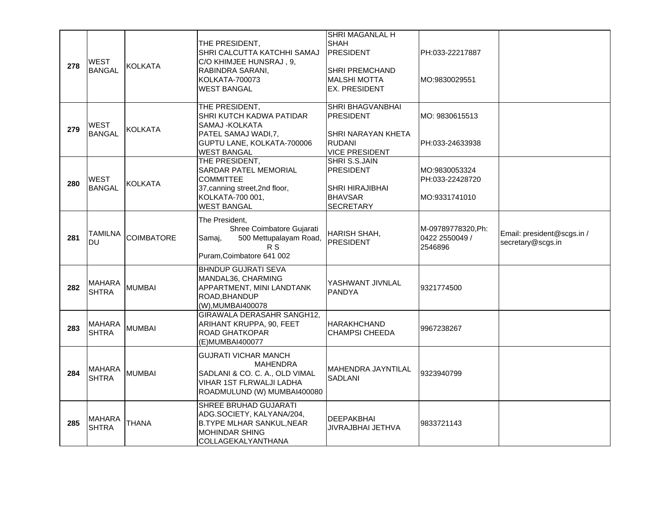|     |                               |                   |                                                                                                                                             | SHRI MAGANLAL H                                                                                      |                                                   |                                                 |
|-----|-------------------------------|-------------------|---------------------------------------------------------------------------------------------------------------------------------------------|------------------------------------------------------------------------------------------------------|---------------------------------------------------|-------------------------------------------------|
| 278 | WEST<br><b>BANGAL</b>         | <b>KOLKATA</b>    | THE PRESIDENT,<br>SHRI CALCUTTA KATCHHI SAMAJ<br>C/O KHIMJEE HUNSRAJ, 9,<br>RABINDRA SARANI,<br>KOLKATA-700073<br><b>WEST BANGAL</b>        | <b>SHAH</b><br><b>PRESIDENT</b><br>SHRI PREMCHAND<br><b>MALSHI MOTTA</b><br>EX. PRESIDENT            | PH:033-22217887<br>MO:9830029551                  |                                                 |
| 279 | <b>WEST</b><br><b>BANGAL</b>  | <b>KOLKATA</b>    | THE PRESIDENT,<br>SHRI KUTCH KADWA PATIDAR<br>SAMAJ - KOLKATA<br>PATEL SAMAJ WADI, 7,<br>GUPTU LANE, KOLKATA-700006<br><b>WEST BANGAL</b>   | SHRI BHAGVANBHAI<br><b>PRESIDENT</b><br>SHRI NARAYAN KHETA<br><b>RUDANI</b><br><b>VICE PRESIDENT</b> | MO: 9830615513<br>PH:033-24633938                 |                                                 |
| 280 | <b>WEST</b><br><b>BANGAL</b>  | <b>KOLKATA</b>    | THE PRESIDENT,<br>SARDAR PATEL MEMORIAL<br><b>COMMITTEE</b><br>37, canning street, 2nd floor,<br>KOLKATA-700 001,<br><b>WEST BANGAL</b>     | SHRI S.S.JAIN<br><b>PRESIDENT</b><br>SHRI HIRAJIBHAI<br><b>BHAVSAR</b><br><b>SECRETARY</b>           | MO:9830053324<br>PH:033-22428720<br>MO:9331741010 |                                                 |
| 281 | <b>TAMILNA</b><br><b>DU</b>   | <b>COIMBATORE</b> | The President,<br>Shree Coimbatore Gujarati<br>500 Mettupalayam Road,<br>Samaj,<br>R S<br>Puram, Coimbatore 641 002                         | HARISH SHAH,<br><b>PRESIDENT</b>                                                                     | M-09789778320, Ph:<br>0422 2550049 /<br>2546896   | Email: president@scgs.in /<br>secretary@scgs.in |
| 282 | <b>MAHARA</b><br><b>SHTRA</b> | <b>MUMBAI</b>     | <b>BHNDUP GUJRATI SEVA</b><br>MANDAL36, CHARMING<br>APPARTMENT, MINI LANDTANK<br>ROAD, BHANDUP<br>(W), MUMBAI400078                         | YASHWANT JIVNLAL<br><b>PANDYA</b>                                                                    | 9321774500                                        |                                                 |
| 283 | <b>MAHARA</b><br><b>SHTRA</b> | <b>MUMBAI</b>     | GIRAWALA DERASAHR SANGH12,<br>ARIHANT KRUPPA, 90, FEET<br>ROAD GHATKOPAR<br>(E)MUMBAI400077                                                 | <b>HARAKHCHAND</b><br><b>CHAMPSI CHEEDA</b>                                                          | 9967238267                                        |                                                 |
| 284 | <b>MAHARA</b><br><b>SHTRA</b> | <b>MUMBAI</b>     | <b>GUJRATI VICHAR MANCH</b><br>MAHENDRA<br>SADLANI & CO. C. A., OLD VIMAL<br><b>VIHAR 1ST FLRWALJI LADHA</b><br>ROADMULUND (W) MUMBAI400080 | MAHENDRA JAYNTILAL<br><b>SADLANI</b>                                                                 | 9323940799                                        |                                                 |
| 285 | <b>MAHARA</b><br><b>SHTRA</b> | <b>THANA</b>      | SHREE BRUHAD GUJARATI<br>ADG.SOCIETY, KALYANA/204,<br><b>B.TYPE MLHAR SANKUL, NEAR</b><br><b>MOHINDAR SHING</b><br>COLLAGEKALYANTHANA       | <b>DEEPAKBHAI</b><br>JIVRAJBHAI JETHVA                                                               | 9833721143                                        |                                                 |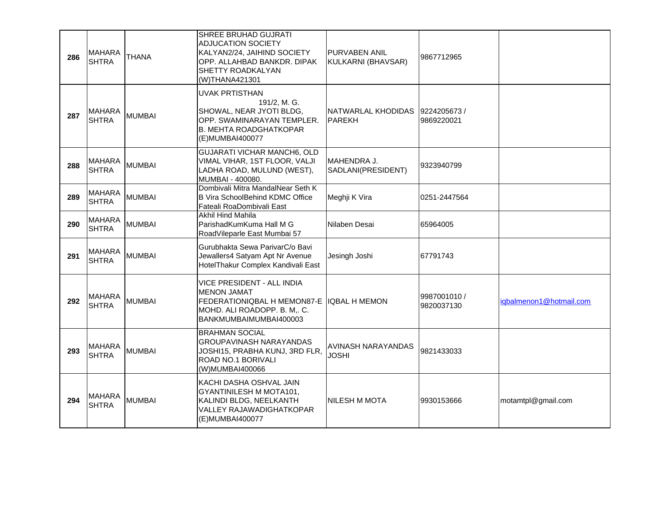| 286 | IMAHARA<br><b>SHTRA</b>       | <b>THANA</b>  | SHREE BRUHAD GUJRATI<br><b>ADJUCATION SOCIETY</b><br>KALYAN2/24, JAIHIND SOCIETY<br>OPP. ALLAHBAD BANKDR. DIPAK<br>SHETTY ROADKALYAN<br>(W)THANA421301 | PURVABEN ANIL<br>KULKARNI (BHAVSAR) | 9867712965                 |                         |
|-----|-------------------------------|---------------|--------------------------------------------------------------------------------------------------------------------------------------------------------|-------------------------------------|----------------------------|-------------------------|
| 287 | MAHARA<br><b>SHTRA</b>        | <b>MUMBAI</b> | <b>UVAK PRTISTHAN</b><br>191/2, M. G.<br>SHOWAL, NEAR JYOTI BLDG,<br>OPP. SWAMINARAYAN TEMPLER.<br><b>B. MEHTA ROADGHATKOPAR</b><br>(E) MUMBAI400077   | NATWARLAL KHODIDAS<br><b>PAREKH</b> | 9224205673 /<br>9869220021 |                         |
| 288 | <b>MAHARA</b><br><b>SHTRA</b> | <b>MUMBAI</b> | <b>GUJARATI VICHAR MANCH6, OLD</b><br>VIMAL VIHAR, 1ST FLOOR, VALJI<br>LADHA ROAD, MULUND (WEST),<br>MUMBAI - 400080.                                  | MAHENDRA J.<br>SADLANI(PRESIDENT)   | 9323940799                 |                         |
| 289 | <b>MAHARA</b><br><b>SHTRA</b> | <b>MUMBAI</b> | Dombivali Mitra MandalNear Seth K<br><b>B Vira SchoolBehind KDMC Office</b><br>Fateali RoaDombivali East                                               | Meghji K Vira                       | 0251-2447564               |                         |
| 290 | <b>MAHARA</b><br>SHTRA        | <b>MUMBAI</b> | Akhil Hind Mahila<br>ParishadKumKuma Hall M G<br>RoadVileparle East Mumbai 57                                                                          | Nilaben Desai                       | 65964005                   |                         |
| 291 | <b>MAHARA</b><br>SHTRA        | <b>MUMBAI</b> | Gurubhakta Sewa ParivarC/o Bavi<br>Jewallers4 Satyam Apt Nr Avenue<br>HotelThakur Complex Kandivali East                                               | Jesingh Joshi                       | 67791743                   |                         |
| 292 | <b>MAHARA</b><br><b>SHTRA</b> | <b>MUMBAI</b> | VICE PRESIDENT - ALL INDIA<br><b>MENON JAMAT</b><br>FEDERATIONIQBAL H MEMON87-E<br>MOHD. ALI ROADOPP. B. M., C.<br>BANKMUMBAIMUMBAI400003              | <b>IQBAL H MEMON</b>                | 9987001010 /<br>9820037130 | iqbalmenon1@hotmail.com |
| 293 | IMAHARA<br><b>SHTRA</b>       | <b>MUMBAI</b> | <b>BRAHMAN SOCIAL</b><br>GROUPAVINASH NARAYANDAS<br>JOSHI15, PRABHA KUNJ, 3RD FLR,<br>ROAD NO.1 BORIVALI<br>(W)MUMBAI400066                            | AVINASH NARAYANDAS<br><b>JOSHI</b>  | 9821433033                 |                         |
| 294 | <b>MAHARA</b><br><b>SHTRA</b> | <b>MUMBAI</b> | KACHI DASHA OSHVAL JAIN<br>GYANTINILESH M MOTA101,<br>KALINDI BLDG, NEELKANTH<br><b>VALLEY RAJAWADIGHATKOPAR</b><br>(E) MUMBAI400077                   | INILESH M MOTA                      | 9930153666                 | motamtpl@gmail.com      |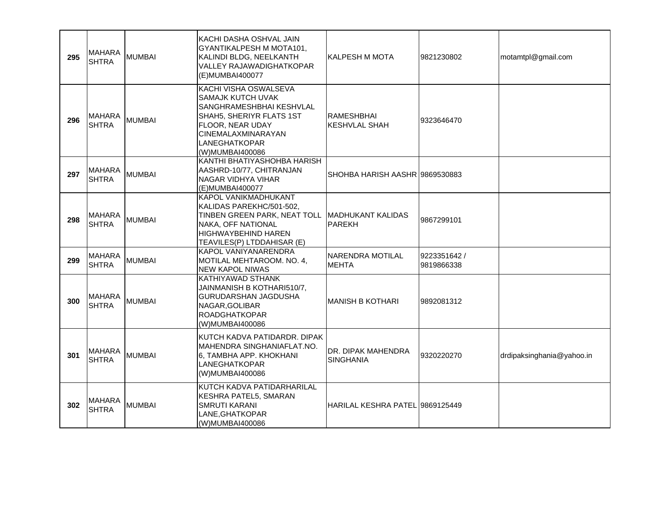| 295 | MAHARA<br><b>SHTRA</b>         | <b>MUMBAI</b> | KACHI DASHA OSHVAL JAIN<br>GYANTIKALPESH M MOTA101,<br>KALINDI BLDG, NEELKANTH<br>VALLEY RAJAWADIGHATKOPAR<br>(E)MUMBAI400077                                                           | <b>KALPESH M MOTA</b>                     | 9821230802                 | motamtpl@gmail.com        |
|-----|--------------------------------|---------------|-----------------------------------------------------------------------------------------------------------------------------------------------------------------------------------------|-------------------------------------------|----------------------------|---------------------------|
| 296 | <b>IMAHARA</b><br><b>SHTRA</b> | <b>MUMBAI</b> | KACHI VISHA OSWALSEVA<br>SAMAJK KUTCH UVAK<br>SANGHRAMESHBHAI KESHVLAL<br>SHAH5, SHERIYR FLATS 1ST<br>FLOOR, NEAR UDAY<br><b>CINEMALAXMINARAYAN</b><br>LANEGHATKOPAR<br>(W)MUMBAI400086 | <b>RAMESHBHAI</b><br><b>KESHVLAL SHAH</b> | 9323646470                 |                           |
| 297 | IMAHARA<br><b>SHTRA</b>        | <b>MUMBAI</b> | KANTHI BHATIYASHOHBA HARISH<br>AASHRD-10/77, CHITRANJAN<br>NAGAR VIDHYA VIHAR<br>(E)MUMBAI400077                                                                                        | SHOHBA HARISH AASHR 19869530883           |                            |                           |
| 298 | <b>MAHARA</b><br><b>SHTRA</b>  | <b>MUMBAI</b> | KAPOL VANIKMADHUKANT<br>KALIDAS PAREKHC/501-502,<br>TINBEN GREEN PARK, NEAT TOLL   MADHUKANT KALIDAS<br>NAKA, OFF NATIONAL<br>HIGHWAYBEHIND HAREN<br>TEAVILES(P) LTDDAHISAR (E)         | <b>PAREKH</b>                             | 9867299101                 |                           |
| 299 | <b>MAHARA</b><br><b>SHTRA</b>  | <b>MUMBAI</b> | KAPOL VANIYANARENDRA<br>MOTILAL MEHTAROOM. NO. 4,<br>NEW KAPOL NIWAS                                                                                                                    | NARENDRA MOTILAL<br><b>MEHTA</b>          | 9223351642 /<br>9819866338 |                           |
| 300 | <b>MAHARA</b><br><b>SHTRA</b>  | <b>MUMBAI</b> | KATHIYAWAD STHANK<br>JAINMANISH B KOTHARI510/7,<br>GURUDARSHAN JAGDUSHA<br>NAGAR, GOLIBAR<br><b>ROADGHATKOPAR</b><br>(W)MUMBAI400086                                                    | MANISH B KOTHARI                          | 9892081312                 |                           |
| 301 | IMAHARA<br><b>SHTRA</b>        | <b>MUMBAI</b> | KUTCH KADVA PATIDARDR. DIPAK<br>MAHENDRA SINGHANIAFLAT.NO.<br>6, TAMBHA APP. KHOKHANI<br>LANEGHATKOPAR<br>(W)MUMBAI400086                                                               | DR. DIPAK MAHENDRA<br><b>SINGHANIA</b>    | 9320220270                 | drdipaksinghania@yahoo.in |
| 302 | <b>MAHARA</b><br><b>SHTRA</b>  | <b>MUMBAI</b> | KUTCH KADVA PATIDARHARILAL<br>KESHRA PATEL5, SMARAN<br><b>SMRUTI KARANI</b><br>LANE, GHATKOPAR<br>(W)MUMBAI400086                                                                       | HARILAL KESHRA PATEL 19869125449          |                            |                           |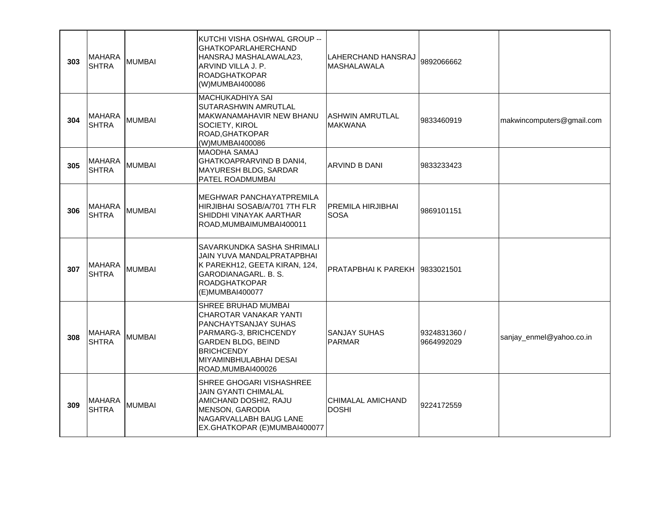| 303 | MAHARA<br><b>SHTRA</b>        | <b>MUMBAI</b> | KUTCHI VISHA OSHWAL GROUP --<br><b>GHATKOPARLAHERCHAND</b><br>HANSRAJ MASHALAWALA23,<br>ARVIND VILLA J. P.<br><b>ROADGHATKOPAR</b><br>(W)MUMBAI400086                                            | LAHERCHAND HANSRAJ<br>MASHALAWALA        | 9892066662                 |                           |
|-----|-------------------------------|---------------|--------------------------------------------------------------------------------------------------------------------------------------------------------------------------------------------------|------------------------------------------|----------------------------|---------------------------|
| 304 | <b>MAHARA</b><br><b>SHTRA</b> | <b>MUMBAI</b> | MACHUKADHIYA SAI<br>SUTARASHWIN AMRUTLAL<br>MAKWANAMAHAVIR NEW BHANU<br>SOCIETY, KIROL<br>ROAD, GHATKOPAR<br>(W)MUMBAI400086                                                                     | <b>ASHWIN AMRUTLAL</b><br><b>MAKWANA</b> | 9833460919                 | makwincomputers@gmail.com |
| 305 | <b>MAHARA</b><br><b>SHTRA</b> | <b>MUMBAI</b> | <b>MAODHA SAMAJ</b><br>GHATKOAPRARVIND B DANI4,<br>MAYURESH BLDG, SARDAR<br>PATEL ROADMUMBAI                                                                                                     | ARVIND B DANI                            | 9833233423                 |                           |
| 306 | MAHARA<br><b>SHTRA</b>        | <b>MUMBAI</b> | MEGHWAR PANCHAYATPREMILA<br>HIRJIBHAI SOSAB/A/701 7TH FLR<br>SHIDDHI VINAYAK AARTHAR<br>ROAD, MUMBAIMUMBAI400011                                                                                 | PREMILA HIRJIBHAI<br><b>SOSA</b>         | 9869101151                 |                           |
| 307 | MAHARA<br><b>SHTRA</b>        | <b>MUMBAI</b> | SAVARKUNDKA SASHA SHRIMALI<br>JAIN YUVA MANDALPRATAPBHAI<br>K PAREKH12, GEETA KIRAN, 124,<br>GARODIANAGARL, B. S.<br><b>ROADGHATKOPAR</b><br>(E)MUMBAI400077                                     | PRATAPBHAIK PAREKH                       | 9833021501                 |                           |
| 308 | <b>MAHARA</b><br><b>SHTRA</b> | <b>MUMBAI</b> | SHREE BRUHAD MUMBAI<br>CHAROTAR VANAKAR YANTI<br>PANCHAYTSANJAY SUHAS<br>PARMARG-3, BRICHCENDY<br><b>GARDEN BLDG, BEIND</b><br><b>BRICHCENDY</b><br>MIYAMINBHULABHAI DESAI<br>ROAD, MUMBAI400026 | SANJAY SUHAS<br><b>PARMAR</b>            | 9324831360 /<br>9664992029 | sanjay_enmel@yahoo.co.in  |
| 309 | <b>MAHARA</b><br><b>SHTRA</b> | <b>MUMBAI</b> | SHREE GHOGARI VISHASHREE<br><b>JAIN GYANTI CHIMALAL</b><br>AMICHAND DOSHI2, RAJU<br><b>MENSON, GARODIA</b><br>NAGARVALLABH BAUG LANE<br>EX.GHATKOPAR (E)MUMBAI400077                             | CHIMALAL AMICHAND<br><b>DOSHI</b>        | 9224172559                 |                           |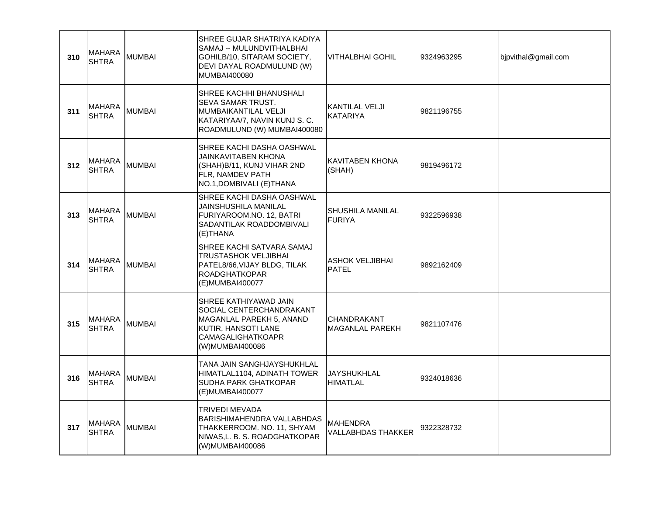| 310 | <b>MAHARA</b><br><b>SHTRA</b> | <b>MUMBAI</b> | SHREE GUJAR SHATRIYA KADIYA<br>SAMAJ -- MULUNDVITHALBHAI<br>GOHILB/10, SITARAM SOCIETY,<br>DEVI DAYAL ROADMULUND (W)<br>MUMBAI400080         | <b>VITHALBHAI GOHIL</b>                | 9324963295 | bjpvithal@gmail.com |
|-----|-------------------------------|---------------|----------------------------------------------------------------------------------------------------------------------------------------------|----------------------------------------|------------|---------------------|
| 311 | <b>MAHARA</b><br><b>SHTRA</b> | <b>MUMBAI</b> | SHREE KACHHI BHANUSHALI<br>SEVA SAMAR TRUST.<br>MUMBAIKANTILAL VELJI<br>KATARIYAA/7, NAVIN KUNJ S. C.<br>ROADMULUND (W) MUMBAI400080         | KANTILAL VELJI<br><b>KATARIYA</b>      | 9821196755 |                     |
| 312 | <b>MAHARA</b><br><b>SHTRA</b> | <b>MUMBAI</b> | SHREE KACHI DASHA OASHWAL<br>JAINKAVITABEN KHONA<br>(SHAH)B/11, KUNJ VIHAR 2ND<br>FLR, NAMDEV PATH<br>NO.1, DOMBIVALI (E) THANA              | KAVITABEN KHONA<br>(SHAH)              | 9819496172 |                     |
| 313 | <b>MAHARA</b><br><b>SHTRA</b> | <b>MUMBAI</b> | SHREE KACHI DASHA OASHWAL<br>JAINSHUSHILA MANILAL<br>FURIYAROOM.NO. 12. BATRI<br>SADANTILAK ROADDOMBIVALI<br>(E)THANA                        | SHUSHILA MANILAL<br><b>FURIYA</b>      | 9322596938 |                     |
| 314 | <b>MAHARA</b><br><b>SHTRA</b> | <b>MUMBAI</b> | SHREE KACHI SATVARA SAMAJ<br><b>TRUSTASHOK VELJIBHAI</b><br>PATEL8/66, VIJAY BLDG, TILAK<br><b>ROADGHATKOPAR</b><br>(E)MUMBAI400077          | <b>ASHOK VELJIBHAI</b><br><b>PATEL</b> | 9892162409 |                     |
| 315 | <b>MAHARA</b><br><b>SHTRA</b> | <b>MUMBAI</b> | SHREE KATHIYAWAD JAIN<br>SOCIAL CENTERCHANDRAKANT<br>MAGANLAL PAREKH 5, ANAND<br>KUTIR, HANSOTI LANE<br>CAMAGALIGHATKOAPR<br>(W)MUMBAI400086 | CHANDRAKANT<br>MAGANLAL PAREKH         | 9821107476 |                     |
| 316 | <b>MAHARA</b><br><b>SHTRA</b> | <b>MUMBAI</b> | TANA JAIN SANGHJAYSHUKHLAL<br>HIMATLAL1104, ADINATH TOWER<br>SUDHA PARK GHATKOPAR<br>(E)MUMBAI400077                                         | JAYSHUKHLAL<br><b>HIMATLAL</b>         | 9324018636 |                     |
| 317 | <b>MAHARA</b><br><b>SHTRA</b> | <b>MUMBAI</b> | TRIVEDI MEVADA<br>BARISHIMAHENDRA VALLABHDAS<br>THAKKERROOM. NO. 11, SHYAM<br>NIWAS, L. B. S. ROADGHATKOPAR<br>(W)MUMBAI400086               | MAHENDRA<br>VALLABHDAS THAKKER         | 9322328732 |                     |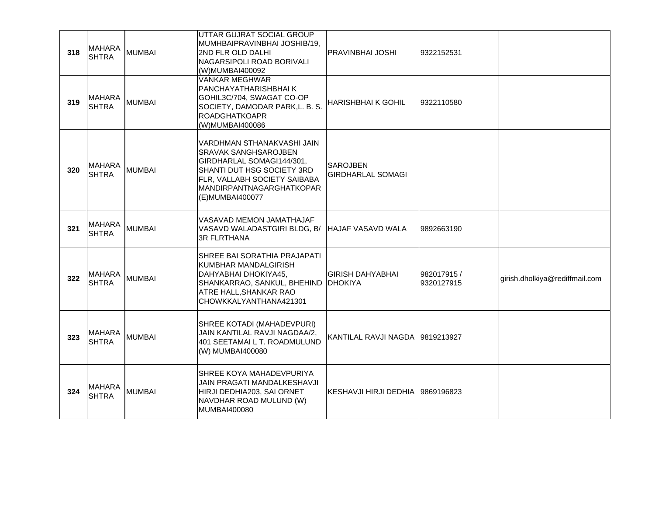| 318 | <b>MAHARA</b><br><b>SHTRA</b>  | <b>MUMBAI</b> | UTTAR GUJRAT SOCIAL GROUP<br>MUMHBAIPRAVINBHAI JOSHIB/19,<br>2ND FLR OLD DALHI<br>NAGARSIPOLI ROAD BORIVALI<br>(W)MUMBAI400092                                                               | PRAVINBHAI JOSHI                            | 9322152531                |                                |
|-----|--------------------------------|---------------|----------------------------------------------------------------------------------------------------------------------------------------------------------------------------------------------|---------------------------------------------|---------------------------|--------------------------------|
| 319 | <b>MAHARA</b><br><b>SHTRA</b>  | <b>MUMBAI</b> | <b>VANKAR MEGHWAR</b><br>PANCHAYATHARISHBHAI K<br>GOHIL3C/704, SWAGAT CO-OP<br>SOCIETY, DAMODAR PARK, L. B. S.<br><b>ROADGHATKOAPR</b><br>(W)MUMBAI400086                                    | <b>HARISHBHAI K GOHIL</b>                   | 9322110580                |                                |
| 320 | <b>IMAHARA</b><br><b>SHTRA</b> | <b>MUMBAI</b> | VARDHMAN STHANAKVASHI JAIN<br>SRAVAK SANGHSAROJBEN<br>GIRDHARLAL SOMAGI144/301,<br>SHANTI DUT HSG SOCIETY 3RD<br>FLR, VALLABH SOCIETY SAIBABA<br>MANDIRPANTNAGARGHATKOPAR<br>(E)MUMBAI400077 | <b>SAROJBEN</b><br><b>GIRDHARLAL SOMAGI</b> |                           |                                |
| 321 | <b>MAHARA</b><br><b>SHTRA</b>  | <b>MUMBAI</b> | VASAVAD MEMON JAMATHAJAF<br>VASAVD WALADASTGIRI BLDG, B/<br><b>3R FLRTHANA</b>                                                                                                               | <b>HAJAF VASAVD WALA</b>                    | 9892663190                |                                |
| 322 | <b>MAHARA</b><br><b>SHTRA</b>  | <b>MUMBAI</b> | SHREE BAI SORATHIA PRAJAPATI<br>KUMBHAR MANDALGIRISH<br>DAHYABHAI DHOKIYA45,<br>SHANKARRAO, SANKUL, BHEHIND   DHOKIYA<br>ATRE HALL, SHANKAR RAO<br>CHOWKKALYANTHANA421301                    | <b>GIRISH DAHYABHAI</b>                     | 982017915 /<br>9320127915 | girish.dholkiya@rediffmail.com |
| 323 | <b>MAHARA</b><br><b>SHTRA</b>  | <b>MUMBAI</b> | SHREE KOTADI (MAHADEVPURI)<br>JAIN KANTILAL RAVJI NAGDAA/2,<br>401 SEETAMAI L T. ROADMULUND<br>(W) MUMBAI400080                                                                              | KANTILAL RAVJI NAGDA   9819213927           |                           |                                |
| 324 | <b>MAHARA</b><br><b>SHTRA</b>  | <b>MUMBAI</b> | SHREE KOYA MAHADEVPURIYA<br>JAIN PRAGATI MANDALKESHAVJI<br>HIRJI DEDHIA203, SAI ORNET<br>NAVDHAR ROAD MULUND (W)<br>MUMBAI400080                                                             | KESHAVJI HIRJI DEDHIA   9869196823          |                           |                                |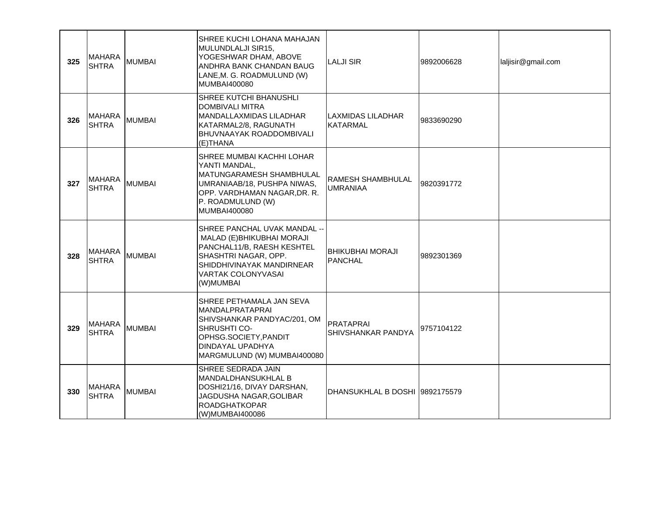| 325 | <b>MAHARA</b><br><b>SHTRA</b> | <b>MUMBAI</b> | SHREE KUCHI LOHANA MAHAJAN<br>MULUNDLALJI SIR15,<br>YOGESHWAR DHAM, ABOVE<br>ANDHRA BANK CHANDAN BAUG<br>LANE, M. G. ROADMULUND (W)<br>MUMBAI400080                                     | <b>LALJI SIR</b>                            | 9892006628 | laljisir@gmail.com |
|-----|-------------------------------|---------------|-----------------------------------------------------------------------------------------------------------------------------------------------------------------------------------------|---------------------------------------------|------------|--------------------|
| 326 | <b>MAHARA</b><br><b>SHTRA</b> | <b>MUMBAI</b> | SHREE KUTCHI BHANUSHLI<br><b>DOMBIVALI MITRA</b><br>MANDALLAXMIDAS LILADHAR<br>KATARMAL2/8, RAGUNATH<br>BHUVNAAYAK ROADDOMBIVALI<br>(E)THANA                                            | ILAXMIDAS LILADHAR<br>IKATARMAL             | 9833690290 |                    |
| 327 | <b>MAHARA</b><br><b>SHTRA</b> | MUMBAI        | SHREE MUMBAI KACHHI LOHAR<br>YANTI MANDAL,<br>MATUNGARAMESH SHAMBHULAL<br>UMRANIAAB/18, PUSHPA NIWAS,<br>OPP. VARDHAMAN NAGAR, DR. R.<br>P. ROADMULUND (W)<br>MUMBAI400080              | <b>RAMESH SHAMBHULAL</b><br><b>UMRANIAA</b> | 9820391772 |                    |
| 328 | <b>MAHARA</b><br><b>SHTRA</b> | <b>MUMBAI</b> | SHREE PANCHAL UVAK MANDAL --<br>MALAD (E) BHIKUBHAI MORAJI<br>PANCHAL11/B, RAESH KESHTEL<br>SHASHTRI NAGAR, OPP.<br>SHIDDHIVINAYAK MANDIRNEAR<br><b>VARTAK COLONYVASAI</b><br>(W)MUMBAI | <b>BHIKUBHAI MORAJI</b><br>PANCHAL          | 9892301369 |                    |
| 329 | <b>MAHARA</b><br><b>SHTRA</b> | <b>MUMBAI</b> | SHREE PETHAMALA JAN SEVA<br>MANDALPRATAPRAI<br>SHIVSHANKAR PANDYAC/201, OM<br><b>SHRUSHTI CO-</b><br>OPHSG.SOCIETY, PANDIT<br>DINDAYAL UPADHYA<br>MARGMULUND (W) MUMBAI400080           | PRATAPRAI<br><b>SHIVSHANKAR PANDYA</b>      | 9757104122 |                    |
| 330 | <b>MAHARA</b><br><b>SHTRA</b> | <b>MUMBAI</b> | SHREE SEDRADA JAIN<br>MANDALDHANSUKHLAL B<br>DOSHI21/16, DIVAY DARSHAN,<br>JAGDUSHA NAGAR, GOLIBAR<br><b>ROADGHATKOPAR</b><br>(W)MUMBAI400086                                           | DHANSUKHLAL B DOSHI  9892175579             |            |                    |